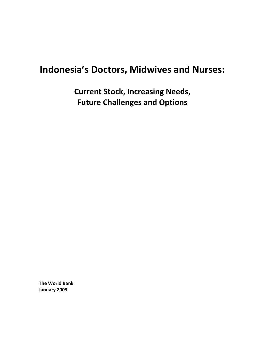# **Indonesia's Doctors, Midwives and Nurses:**

**Current Stock, Increasing Needs, Future Challenges and Options** 

**The World Bank January 2009**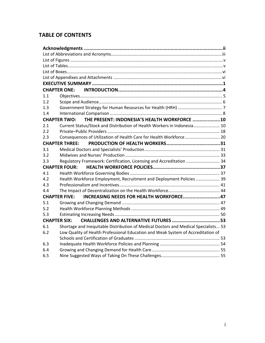# **TABLE OF CONTENTS**

|                     | <b>CHAPTER ONE:</b>                                                                 |  |  |  |  |
|---------------------|-------------------------------------------------------------------------------------|--|--|--|--|
| 1.1                 |                                                                                     |  |  |  |  |
| 1.2                 |                                                                                     |  |  |  |  |
| 1.3                 |                                                                                     |  |  |  |  |
| 1.4                 |                                                                                     |  |  |  |  |
|                     | CHAPTER TWO: THE PRESENT: INDONESIA'S HEALTH WORKFORCE  10                          |  |  |  |  |
| 2.1                 | Current Status/Stock and Distribution of Health Workers in Indonesia 10             |  |  |  |  |
| 2.2                 |                                                                                     |  |  |  |  |
| 2.3                 | Consequences of Utilization of Health Care for Health Workforce  20                 |  |  |  |  |
|                     | <b>CHAPTER THREE:</b>                                                               |  |  |  |  |
| 3.1                 |                                                                                     |  |  |  |  |
| 3.2                 |                                                                                     |  |  |  |  |
| 3.3                 | Regulatory Framework: Certification, Licensing and Accreditation  34                |  |  |  |  |
|                     | <b>CHAPTER FOUR:</b>                                                                |  |  |  |  |
| 4.1                 |                                                                                     |  |  |  |  |
| 4.2                 | Health Workforce Employment, Recruitment and Deployment Policies  39                |  |  |  |  |
| 4.3                 |                                                                                     |  |  |  |  |
| 4.4                 |                                                                                     |  |  |  |  |
|                     | CHAPTER FIVE: INCREASING NEEDS FOR HEALTH WORKFORCE47                               |  |  |  |  |
| 5.1                 |                                                                                     |  |  |  |  |
| 5.2                 |                                                                                     |  |  |  |  |
| 5.3                 |                                                                                     |  |  |  |  |
| <b>CHAPTER SIX:</b> |                                                                                     |  |  |  |  |
| 6.1                 | Shortage and Inequitable Distribution of Medical Doctors and Medical Specialists 53 |  |  |  |  |
| 6.2                 | Low Quality of Health Professional Education and Weak System of Accreditation of    |  |  |  |  |
|                     |                                                                                     |  |  |  |  |
| 6.3                 |                                                                                     |  |  |  |  |
| 6.4                 |                                                                                     |  |  |  |  |
| 6.5                 |                                                                                     |  |  |  |  |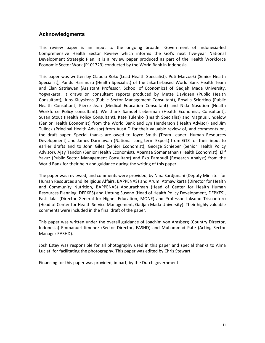# **Acknowledgments**

This review paper is an input to the ongoing broader Government of Indonesia‐led Comprehensive Health Sector Review which informs the GoI's next five‐year National Development Strategic Plan. It is a review paper produced as part of the Health Workforce Economic Sector Work (P101723) conducted by the World Bank in Indonesia.

This paper was written by Claudia Rokx (Lead Health Specialist), Puti Marzoeki (Senior Health Specialist), Pandu Harimurti (Health Specialist) of the Jakarta‐based World Bank Health Team and Elan Satriawan (Assistant Professor, School of Economics) of Gadjah Mada University, Yogyakarta. It draws on consultant reports produced by Mette Davidsen (Public Health Consultant), Jups Kluyskens (Public Sector Management Consultant), Rosalia Sciortino (Public Health Consultant) Pierre Jean (Medical Education Consultant) and Nida Nasution (Health Workforce Policy consultant). We thank Samuel Lieberman (Health Economist, Consultant), Susan Stout (Health Policy Consultant), Kate Tulenko (Health Specialist) and Magnus Lindelow (Senior Health Economist) from the World Bank and Lyn Henderson (Health Advisor) and Jim Tullock (Principal Health Advisor) from AusAID for their valuable review of, and comments on, the draft paper. Special thanks are owed to Joyce Smith (Team Leader, Human Resources Development) and James Darmawan (National Long‐term Expert) from GTZ for their input to earlier drafts and to John Giles (Senior Economist), George Schieber (Senior Health Policy Advisor), Ajay Tandon (Senior Health Economist), Aparnaa Somanathan (Health Economist), Elif Yavuz (Public Sector Management Consultant) and Eko Pambudi (Research Analyst) from the World Bank for their help and guidance during the writing of this paper.

The paper was reviewed, and comments were provided, by Nina Sardjunani (Deputy Minister for Human Resources and Religious Affairs, BAPPENAS) and Arum Atmawikarta (Director for Health and Community Nutrition, BAPPENAS) Abdurachman (Head of Center for Health Human Resources Planning, DEPKES) and Untung Suseno (Head of Health Policy Development, DEPKES), Fasli Jalal (Director General for Higher Education, MONE) and Professor Laksono Trisnantoro (Head of Center for Health Service Management, Gadjah Mada University). Their highly valuable comments were included in the final draft of the paper.

This paper was written under the overall guidance of Joachim von Amsberg (Country Director, Indonesia) Emmanuel Jimenez (Sector Director, EASHD) and Muhammad Pate (Acting Sector Manager EASHD).

Josh Estey was responsible for all photography used in this paper and special thanks to Alma Luciati for facilitating the photography. This paper was edited by Chris Stewart.

Financing for this paper was provided, in part, by the Dutch government.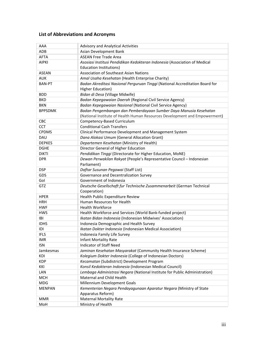# **List of Abbreviations and Acronyms**

| AAA            | Advisory and Analytical Activities                                           |  |  |  |  |  |
|----------------|------------------------------------------------------------------------------|--|--|--|--|--|
| ADB            | Asian Development Bank                                                       |  |  |  |  |  |
| <b>AFTA</b>    | <b>ASEAN Free Trade Area</b>                                                 |  |  |  |  |  |
| <b>AIPKI</b>   | Asosiasi Institusi Pendidikan Kedokteran Indonesia (Association of Medical   |  |  |  |  |  |
|                | <b>Education Institutions)</b>                                               |  |  |  |  |  |
| <b>ASEAN</b>   | <b>Association of Southeast Asian Nations</b>                                |  |  |  |  |  |
| <b>AUK</b>     | Amal Usaha Kesehatan (Health Enterprise Charity)                             |  |  |  |  |  |
| <b>BAN-PT</b>  | Badan Akreditasi Nasional Perguruan Tinggi (National Accreditation Board for |  |  |  |  |  |
|                | <b>Higher Education)</b>                                                     |  |  |  |  |  |
| <b>BDD</b>     | Bidan di Desa (Village Midwife)                                              |  |  |  |  |  |
| <b>BKD</b>     | Badan Kepegawaian Daerah (Regional Civil Service Agency)                     |  |  |  |  |  |
| <b>BKN</b>     | Badan Kepegawaian Nasional (National Civil Service Agency)                   |  |  |  |  |  |
| <b>BPPSDMK</b> | Badan Pengembangan dan Pemberdayaan Sumber Daya Manusia Kesehatan            |  |  |  |  |  |
|                | (National Institute of Health Human Resources Development and Empowerment)   |  |  |  |  |  |
| <b>CBC</b>     | Competency-Based Curriculum                                                  |  |  |  |  |  |
| <b>CCT</b>     | <b>Conditional Cash Transfers</b>                                            |  |  |  |  |  |
| <b>CPDMS</b>   | Clinical Performance Development and Management System                       |  |  |  |  |  |
| DAU            | Dana Alokasi Umum (General Allocation Grant)                                 |  |  |  |  |  |
| <b>DEPKES</b>  | Departemen Kesehatan (Ministry of Health)                                    |  |  |  |  |  |
| <b>DGHE</b>    | Director General of Higher Education                                         |  |  |  |  |  |
| <b>DIKTI</b>   | Pendidikan Tinggi (Directorate for Higher Education, MoNE)                   |  |  |  |  |  |
| <b>DPR</b>     | Dewan Perwakilan Rakyat (People's Representative Council - Indonesian        |  |  |  |  |  |
|                | Parliament)                                                                  |  |  |  |  |  |
| <b>DSP</b>     | Daftar Susunan Pegawai (Staff List)                                          |  |  |  |  |  |
| GDS            | Governance and Decentralization Survey                                       |  |  |  |  |  |
| Gol            | Government of Indonesia                                                      |  |  |  |  |  |
| GTZ            | Deutsche Gesellschaft fur Technische Zusammenarbeit (German Technical        |  |  |  |  |  |
|                | Cooperation)                                                                 |  |  |  |  |  |
| <b>HPER</b>    | Health Public Expenditure Review                                             |  |  |  |  |  |
| <b>HRH</b>     | Human Resources for Health                                                   |  |  |  |  |  |
| <b>HWF</b>     | <b>Health Workforce</b>                                                      |  |  |  |  |  |
| <b>HWS</b>     | Health Workforce and Services (World Bank-funded project)                    |  |  |  |  |  |
| <b>IBI</b>     | Ikatan Bidan Indonesia (Indonesian Midwives' Association)                    |  |  |  |  |  |
| <b>IDHS</b>    | Indonesia Demographic and Health Survey                                      |  |  |  |  |  |
| IDI            | Ikatan Dokter Indonesia (Indonesian Medical Association)                     |  |  |  |  |  |
| <b>IFLS</b>    | Indonesia Family Life Survey                                                 |  |  |  |  |  |
| <b>IMR</b>     | <b>Infant Mortality Rate</b>                                                 |  |  |  |  |  |
| <b>ISN</b>     | <b>Indicator of Staff Need</b>                                               |  |  |  |  |  |
| Jamkesmas      | Jaminan Kesehatan Masyarakat (Community Health Insurance Scheme)             |  |  |  |  |  |
| KDI            | Kolegium Dokter Indonesia (College of Indonesian Doctors)                    |  |  |  |  |  |
| <b>KDP</b>     | Kecamatan (Subdistrict) Development Program                                  |  |  |  |  |  |
| KKI            | Konsil Kedokteran Indonesia (Indonesian Medical Council)                     |  |  |  |  |  |
| LAN            | Lembaga Administrasi Negara (National Institute for Public Administration)   |  |  |  |  |  |
| <b>MCH</b>     | Maternal and Child Health                                                    |  |  |  |  |  |
| <b>MDG</b>     | Millennium Development Goals                                                 |  |  |  |  |  |
| <b>MENPAN</b>  | Kementerian Negara Pendayagunaan Aparatur Negara (Ministry of State          |  |  |  |  |  |
|                | Apparatus Reform)                                                            |  |  |  |  |  |
| <b>MMR</b>     | <b>Maternal Mortality Rate</b>                                               |  |  |  |  |  |
| MoH            | Ministry of Health                                                           |  |  |  |  |  |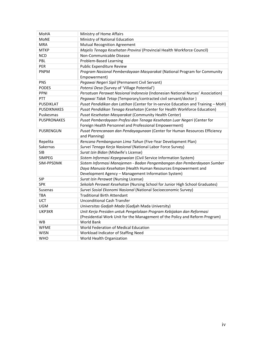| MoHA               | Ministry of Home Affairs                                                          |  |  |  |  |
|--------------------|-----------------------------------------------------------------------------------|--|--|--|--|
| <b>MoNE</b>        | Ministry of National Education                                                    |  |  |  |  |
| <b>MRA</b>         | <b>Mutual Recognition Agreement</b>                                               |  |  |  |  |
| <b>MTKP</b>        | Majelis Tenaga Kesehatan Provinsi (Provincial Health Workforce Council)           |  |  |  |  |
| <b>NCD</b>         | Non-Communicable Disease                                                          |  |  |  |  |
| PBL                | Problem-Based Learning                                                            |  |  |  |  |
| PER                | Public Expenditure Review                                                         |  |  |  |  |
| PNPM               | Program Nasional Pemberdayaan Masyarakat (National Program for Community          |  |  |  |  |
|                    | Empowerment)                                                                      |  |  |  |  |
| PNS                | Pegawai Negeri Sipil (Permanent Civil Servant)                                    |  |  |  |  |
| <b>PODES</b>       | Potensi Desa (Survey of 'Village Potential')                                      |  |  |  |  |
| PPNI               | Persatuan Perawat Nasional Indonesia (Indonesian National Nurses' Association)    |  |  |  |  |
| PTT                | Pegawai Tidak Tetap (Temporary/contracted civil servant/doctor)                   |  |  |  |  |
| PUSDIKLAT          | Pusat Pendidikan dan Latihan (Center for In-service Education and Training - MoH) |  |  |  |  |
| <b>PUSDIKNAKES</b> | Pusat Pendidikan Tenaga Kesehatan (Center for Health Workforce Education)         |  |  |  |  |
| Puskesmas          | Pusat Kesehatan Masyarakat (Community Health Center)                              |  |  |  |  |
| <b>PUSPRONAKES</b> | Pusat Pemberdayaan Profesi dan Tenaga Kesehatan Luar Negeri (Center for           |  |  |  |  |
|                    | Foreign Health Personnel and Professional Empowerment)                            |  |  |  |  |
| PUSRENGUN          | Pusat Perencanaan dan Pendayagunaan (Center for Human Resources Efficiency        |  |  |  |  |
|                    | and Planning)                                                                     |  |  |  |  |
| Repelita           | Rencana Pembangunan Lima Tahun (Five-Year Development Plan)                       |  |  |  |  |
| Sakernas           | Survei Tenaga Kerja Nasional (National Labor Force Survey)                        |  |  |  |  |
| <b>SIB</b>         | Surat Izin Bidan (Midwife's License)                                              |  |  |  |  |
| <b>SIMPEG</b>      | Sistem Informasi Kepegawaian (Civil Service Information System)                   |  |  |  |  |
| SIM-PPSDMK         | Sistem Informasi Manajemen - Badan Pengembangan dan Pemberdayaan Sumber           |  |  |  |  |
|                    | Daya Manusia Kesehatan (Health Human Resources Empowerment and                    |  |  |  |  |
|                    | Development Agency - Management Information System)                               |  |  |  |  |
| <b>SIP</b>         | Surat Izin Perawat (Nursing License)                                              |  |  |  |  |
| <b>SPK</b>         | Sekolah Perawat Kesehatan (Nursing School for Junior High School Graduates)       |  |  |  |  |
| Susenas            | Survei Sosial Ekonomi Nasional (National Socioeconomic Survey)                    |  |  |  |  |
| TBA                | <b>Traditional Birth Attendant</b>                                                |  |  |  |  |
| <b>UCT</b>         | <b>Unconditional Cash Transfer</b>                                                |  |  |  |  |
| <b>UGM</b>         | Universitas Gadjah Mada (Gadjah Mada University)                                  |  |  |  |  |
| UKP3KR             | Unit Kerja Presiden untuk Pengelolaan Program Kebijakan dan Reformasi             |  |  |  |  |
|                    | (Presidential Work Unit for the Management of the Policy and Reform Program)      |  |  |  |  |
| WB                 | <b>World Bank</b>                                                                 |  |  |  |  |
| <b>WFME</b>        | World Federation of Medical Education                                             |  |  |  |  |
| <b>WISN</b>        | Workload Indicator of Staffing Need                                               |  |  |  |  |
| <b>WHO</b>         | World Health Organization                                                         |  |  |  |  |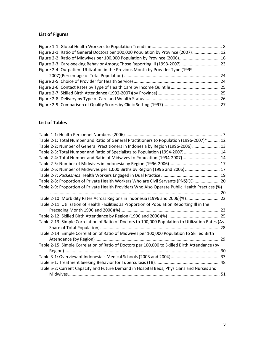# **List of Figures**

| Figure 2-1: Ratio of General Doctors per 100,000 Population by Province (2007) 12 |  |
|-----------------------------------------------------------------------------------|--|
| Figure 2-2: Ratio of Midwives per 100,000 Population by Province (2006) 16        |  |
| Figure 2-3: Care-seeking Behavior Among Those Reporting III (1993-2007)  23       |  |
| Figure 2-4: Outpatient Utilization in the Previous Month by Provider Type (1999-  |  |
|                                                                                   |  |
|                                                                                   |  |
|                                                                                   |  |
|                                                                                   |  |
|                                                                                   |  |
|                                                                                   |  |

# **List of Tables**

| Table 2-1: Total Number and Ratio of General Practitioners to Population (1996-2007)*  12         |    |
|---------------------------------------------------------------------------------------------------|----|
| Table 2-2: Number of General Practitioners in Indonesia by Region (1996-2006)  13                 |    |
| Table 2-3: Total Number and Ratio of Specialists to Population (1994-2007) 14                     |    |
| Table 2-4: Total Number and Ratio of Midwives to Population (1994-2007) 14                        |    |
|                                                                                                   |    |
| Table 2-6: Number of Midwives per 1,000 Births by Region (1996 and 2006)  17                      |    |
|                                                                                                   |    |
| Table 2-8: Proportion of Private Health Workers Who are Civil Servants (PNS)(%)  20               |    |
| Table 2-9: Proportion of Private Health Providers Who Also Operate Public Health Practices (%)    |    |
|                                                                                                   |    |
| Table 2-10: Morbidity Rates Across Regions in Indonesia (1996 and 2006)(%) 22                     |    |
| Table 2-11: Utilization of Health Facilities as Proportion of Population Reporting III in the     |    |
|                                                                                                   |    |
|                                                                                                   |    |
| Table 2-13: Simple Correlation of Ratio of Doctors to 100,000 Population to Utilization Rates (As |    |
|                                                                                                   | 28 |
| Table 2-14: Simple Correlation of Ratio of Midwives per 100,000 Population to Skilled Birth       |    |
|                                                                                                   | 29 |
| Table 2-15: Simple Correlation of Ratio of Doctors per 100,000 to Skilled Birth Attendance (by    |    |
|                                                                                                   |    |
|                                                                                                   |    |
|                                                                                                   |    |
| Table 5-2: Current Capacity and Future Demand in Hospital Beds, Physicians and Nurses and         |    |
|                                                                                                   |    |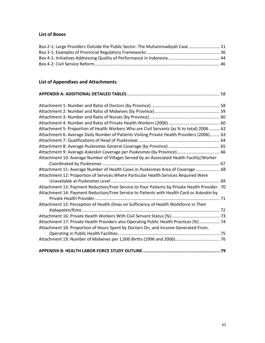# **List of Boxes**

| Box 2-1: Large Providers Outside the Public Sector: The Muhammadiyah Case  21 |  |
|-------------------------------------------------------------------------------|--|
|                                                                               |  |
|                                                                               |  |
|                                                                               |  |

# **List of Appendixes and Attachments**

# **APPENDIX A: ADDITIONAL DETAILED TABLES**.............................................................................. 58

| Attachment 5: Proportion of Health Workers Who are Civil Servants (as % to total) 2006  62     |  |
|------------------------------------------------------------------------------------------------|--|
| Attachment 6: Average Daily Number of Patients Visiting Private Health Providers (2006) 63     |  |
|                                                                                                |  |
|                                                                                                |  |
|                                                                                                |  |
| Attachment 10: Average Number of Villages Served by an Associated Health Facility/Worker       |  |
|                                                                                                |  |
| Attachment 11: Average Number of Health Cases in Puskesmas Area of Coverage  68                |  |
| Attachment 12: Proportion of Services Where Particular Health Services Required Were           |  |
|                                                                                                |  |
| Attachment 13: Payment Reduction/Free Service to Poor Patients by Private Health Provider . 70 |  |
| Attachment 14: Payment Reduction/Free Service to Patients with Health Card or Askeskin by      |  |
|                                                                                                |  |
| Attachment 15: Perception of Health Dinas on Sufficiency of Health Workforce in Their          |  |
|                                                                                                |  |
|                                                                                                |  |
| Attachment 17: Private Health Providers also Operating Public Health Practices (%)  74         |  |
| Attachment 18: Proportion of Hours Spent by Doctors On, and Income Generated From,             |  |
|                                                                                                |  |
|                                                                                                |  |
|                                                                                                |  |
|                                                                                                |  |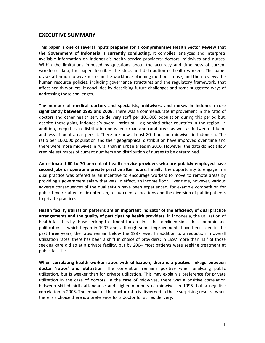# **EXECUTIVE SUMMARY**

**This paper is one of several inputs prepared for a comprehensive Health Sector Review that the Government of Indonesia is currently conducting.** It compiles, analyzes and interprets available information on Indonesia's health service providers; doctors, midwives and nurses. Within the limitations imposed by questions about the accuracy and timeliness of current workforce data, the paper describes the stock and distribution of health workers. The paper draws attention to weaknesses in the workforce planning methods in use, and then reviews the human resource policies, including governance structures and the regulatory framework, that affect health workers. It concludes by describing future challenges and some suggested ways of addressing these challenges.

**The number of medical doctors and specialists, midwives, and nurses in Indonesia rose significantly between 1995 and 2006.** There was a commensurate improvement in the ratio of doctors and other health service delivery staff per 100,000 population during this period but, despite these gains, Indonesia's overall ratios still lag behind other countries in the region. In addition, inequities in distribution between urban and rural areas as well as between affluent and less affluent areas persist. There are now almost 80 thousand midwives in Indonesia. The ratio per 100,000 population and their geographical distribution have improved over time and there were more midwives in rural than in urban areas in 2006. However, the data do not allow credible estimates of current numbers and distribution of nurses to be determined.

**An estimated 60 to 70 percent of health service providers who are publicly employed have second jobs or operate a private practice after hours**. Initially, the opportunity to engage in a dual practice was offered as an incentive to encourage workers to move to remote areas by providing a government salary that was, in effect, an income floor. Over time, however, various adverse consequences of the dual set‐up have been experienced, for example competition for public time resulted in absenteeism, resource misallocations and the diversion of public patients to private practices.

**Health facility utilization patterns are an important indicator of the efficiency of dual practice arrangements and the quality of participating health providers.** In Indonesia, the utilization of health facilities by those seeking treatment for an illness has declined since the economic and political crisis which began in 1997 and, although some improvements have been seen in the past three years, the rates remain below the 1997 level. In addition to a reduction in overall utilization rates, there has been a shift in choice of providers; in 1997 more than half of those seeking care did so at a private facility, but by 2004 most patients were seeking treatment at public facilities.

**When correlating health worker ratios with utilization, there is a positive linkage between doctor 'ratios' and utilization**. The correlation remains positive when analyzing public utilization, but is weaker than for private utilization. This may explain a preference for private utilization in the case of doctors. In the case of midwives, there was a positive correlation between skilled birth attendance and higher numbers of midwives in 1996, but a negative correlation in 2006. The impact of the doctor ratio is discerned in these surprising results‐‐when there is a choice there is a preference for a doctor for skilled delivery.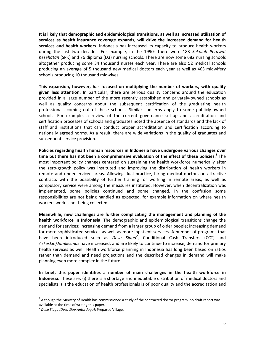**It is likely that demographic and epidemiological transitions, as well as increased utilization of services as health insurance coverage expands, will drive the increased demand for health services and health workers**. Indonesia has increased its capacity to produce health workers during the last two decades. For example, in the 1990s there were 183 *Sekolah Perawat Kesehatan* (SPK) and 76 diploma (D3) nursing schools. There are now some 682 nursing schools altogether producing some 34 thousand nurses each year. There are also 52 medical schools producing an average of 5 thousand new medical doctors each year as well as 465 midwifery schools producing 10 thousand midwives.

**This expansion, however, has focused on multiplying the number of workers, with quality given less attention.** In particular, there are serious quality concerns around the education provided in a large number of the more recently established and privately‐owned schools as well as quality concerns about the subsequent certification of the graduating health professionals coming out of these schools. Similar concerns apply to some publicly‐owned schools. For example, a review of the current governance set‐up and accreditation and certification processes of schools and graduates noted the absence of standards and the lack of staff and institutions that can conduct proper accreditation and certification according to nationally agreed norms. As a result, there are wide variations in the quality of graduates and subsequent service provision.

**Policies regarding health human resources in Indonesia have undergone various changes over time but there has not been a comprehensive evaluation of the effect of these policies.<sup>1</sup>** The most important policy changes centered on sustaining the health workforce numerically after the zero‐growth policy was instituted and improving the distribution of health workers in remote and underserviced areas. Allowing dual practice, hiring medical doctors on attractive contracts with the possibility of further training for working in remote areas, as well as compulsory service were among the measures instituted. However, when decentralization was implemented, some policies continued and some changed. In the confusion some responsibilities are not being handled as expected, for example information on where health workers work is not being collected.

**Meanwhile, new challenges are further complicating the management and planning of the health workforce in Indonesia**. The demographic and epidemiological transitions change the demand for services; increasing demand from a larger group of older people; increasing demand for more sophisticated services as well as more inpatient services. A number of programs that have been introduced such as *Desa Siaga<sup>2</sup>*, Conditional Cash Transfers (CCT) and *Askeskin*/*Jamkesmas* have increased, and are likely to continue to increase, demand for primary health services as well. Health workforce planning in Indonesia has long been based on ratios rather than demand and need projections and the described changes in demand will make planning even more complex in the future.

**In brief, this paper identifies a number of main challenges in the health workforce in Indonesia.** These are: (i) there is a shortage and inequitable distribution of medical doctors and specialists; (ii) the education of health professionals is of poor quality and the accreditation and

 $\overline{a}$ 

 $1$  Although the Ministry of Health has commissioned a study of the contracted doctor program, no draft report was available at the time of writing this paper.

available at the time of writing this paper. <sup>2</sup> *Desa Siaga (Desa Siap Antar Jaga)*: Prepared Village.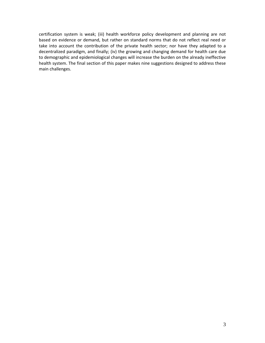certification system is weak; (iii) health workforce policy development and planning are not based on evidence or demand, but rather on standard norms that do not reflect real need or take into account the contribution of the private health sector; nor have they adapted to a decentralized paradigm, and finally; (iv) the growing and changing demand for health care due to demographic and epidemiological changes will increase the burden on the already ineffective health system. The final section of this paper makes nine suggestions designed to address these main challenges.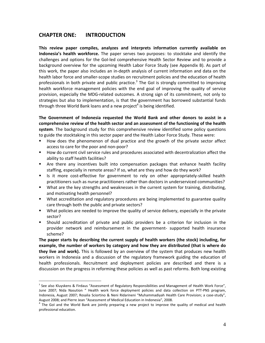# **CHAPTER ONE: INTRODUCTION**

 $\overline{a}$ 

**This review paper compiles, analyzes and interprets information currently available on Indonesia's health workforce.** The paper serves two purposes: to stocktake and identify the challenges and options for the GoI‐led comprehensive Health Sector Review and to provide a background overview for the upcoming Health Labor Force Study (see Appendix B). As part of this work, the paper also includes an in‐depth analysis of current information and data on the health labor force and smaller‐scope studies on recruitment policies and the education of health professionals in both private and public practice.<sup>3</sup> The GoI is strongly committed to improving health workforce management policies with the end goal of improving the quality of service provision, especially the MDG‐related outcomes. A strong sign of its commitment, not only to strategies but also to implementation, is that the government has borrowed substantial funds through three World Bank loans and a new project<sup>4</sup> is being identified.

**The Government of Indonesia requested the World Bank and other donors to assist in a comprehensive review of the health sector and an assessment of the functioning of the health system**. The background study for this comprehensive review identified some policy questions to guide the stocktaking in this sector paper and the Health Labor Force Study. These were:

- How does the phenomenon of dual practice and the growth of the private sector affect access to care for the poor and non‐poor?
- How do current civil service rules and procedures associated with decentralization affect the ability to staff health facilities?
- Are there any incentives built into compensation packages that enhance health facility staffing, especially in remote areas? If so, what are they and how do they work?
- Is it more cost-effective for government to rely on other appropriately-skilled health practitioners such as nurse practitioners rather than doctors in underserviced communities?
- What are the key strengths and weaknesses in the current system for training, distributing, and motivating health personnel?
- **What accreditation and regulatory procedures are being implemented to guarantee quality** care through both the public and private sectors?
- What policies are needed to improve the quality of service delivery, especially in the private sector?
- Should accreditation of private and public providers be a criterion for inclusion in the provider network and reimbursement in the government- supported health insurance scheme?

**The paper starts by describing the current supply of health workers (the stock) including, for example, the number of workers by category and how they are distributed (that is where do they live and work).** This is followed by an overview of the system that produces new health workers in Indonesia and a discussion of the regulatory framework guiding the education of health professionals. Recruitment and deployment policies are described and there is a discussion on the progress in reforming these policies as well as past reforms. Both long‐existing

<sup>&</sup>lt;sup>3</sup> See also Kluyskens & Firdaus "Assessment of Regulatory Responsibilities and Management of Health Work Force", June 2007; Nida Nasution " Health work force deployment policies and data collection on PTT‐PNS program, Indonesia, August 2007; Rosalia Sciortino & Neni Ridarineni "Muhammadiyah Health Care Provision; a case‐study", August 2008; and Pierre Jean "Assessment of Medical Education in Indonesia", 2008.<br><sup>4</sup> The GoI and the World Bank are jointly preparing a new project to improve the quality of medical and health

professional education.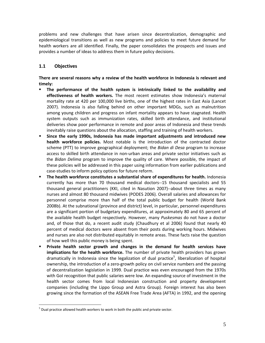problems and new challenges that have arisen since decentralization, demographic and epidemiological transitions as well as new programs and policies to meet future demand for health workers are all identified. Finally, the paper consolidates the prospects and issues and provides a number of ideas to address them in future policy decisions.

# **1.1 Objectives**

 $\overline{a}$ 

**There are several reasons why a review of the health workforce in Indonesia is relevant and timely:**

- **The performance of the health system is intrinsically linked to the availability and effectiveness of health workers.** The most recent estimates show Indonesia's maternal mortality rate at 420 per 100,000 live births, one of the highest rates in East Asia (Lancet 2007). Indonesia is also falling behind on other important MDGs, such as malnutrition among young children and progress on infant mortality appears to have stagnated. Health system outputs such as immunization rates, skilled birth attendance, and institutional deliveries show poor performance in remote and poor areas of Indonesia and these trends inevitably raise questions about the allocation, staffing and training of health workers.
- **Since the early 1990s, Indonesia has made important adjustments and introduced new health workforce policies.** Most notable is the introduction of the contracted doctor scheme (PTT) to improve geographical deployment; the *Bidan di Desa* program to increase access to skilled birth attendance in non-urban areas and private sector initiatives such as the *Bidan Delima* program to improve the quality of care. Where possible, the impact of these policies will be addressed in this paper using information from earlier publications and case‐studies to inform policy options for future reform.
- **The health workforce constitutes a substantial share of expenditures for health.** Indonesia currently has more than 70 thousand medical doctors‐‐15 thousand specialists and 55 thousand general practitioners (KKI, cited in Nasution 2007)‐‐about three times as many nurses and almost 80 thousand midwives (PODES 2006). Overall salaries and allowances for personnel comprise more than half of the total public budget for health (World Bank 2008b). At the subnational (province and district) level, in particular, personnel expenditures are a significant portion of budgetary expenditures, at approximately 80 and 65 percent of the available health budget respectively. However, many *Puskesmas* do not have a doctor and, of those that do, a recent audit study (Chaudhury et al 2006) found that nearly 40 percent of medical doctors were absent from their posts during working hours. Midwives and nurses are also not distributed equitably in remote areas. These facts raise the question of how well this public money is being spent.
- **Private health sector growth and changes in the demand for health services have implications for the health workforce.** The number of private health providers has grown dramatically in Indonesia since the legalization of dual practice<sup>5</sup>, liberalization of hospital ownership, the introduction of a zero-growth policy on civil service numbers and the passing of decentralization legislation in 1999. Dual practice was even encouraged from the 1970s with GoI recognition that public salaries were low. An expanding source of investment in the health sector comes from local Indonesian construction and property development companies (including the Lippo Group and Astra Group). Foreign interest has also been growing since the formation of the ASEAN Free Trade Area (AFTA) in 1992, and the opening

 $<sup>5</sup>$  Dual practice allowed health workers to work in both the public and private sector.</sup>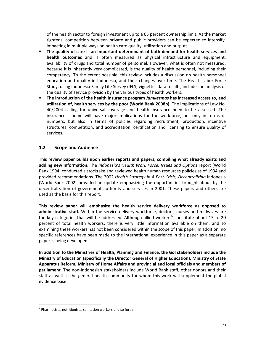of the health sector to foreign investment up to a 65 percent ownership limit. As the market tightens, competition between private and public providers can be expected to intensify, impacting in multiple ways on health care quality, utilization and outputs.

- **The quality of care is an important determinant of both demand for health services and health outcomes** and is often measured as physical infrastructure and equipment, availability of drugs and total number of personnel. However, what is often not measured, because it is inherently very complicated, is the quality of health personnel, including their competency. To the extent possible, this review includes a discussion on health personnel education and quality in Indonesia, and their changes over time. The Health Labor Force Study, using Indonesia Family Life Survey (IFLS) vignettes data results, includes an analysis of the quality of service provision by the various types of health workers.
- **The introduction of the health insurance program** *Jamkesmas* **has increased access to, and utilization of, health services by the poor (World Bank 2008b).** The implications of Law No. 40/2004 calling for universal coverage and health insurance need to be assessed. The insurance scheme will have major implications for the workforce, not only in terms of numbers, but also in terms of policies regarding recruitment, production, incentive structures, competition, and accreditation, certification and licensing to ensure quality of services.

## **1.2 Scope and Audience**

**This review paper builds upon earlier reports and papers, compiling what already exists and adding new information.** The *Indonesia's Health Work Force; Issues and Options* report (World Bank 1994) conducted a stocktake and reviewed health human resources policies as of 1994 and provided recommendations. The 2002 *Health Strategy in A Post‐Crisis, Decentralizing* Indonesia (World Bank 2002) provided an update emphasizing the opportunities brought about by the decentralization of government authority and services in 2001. These papers and others are used as the basis for this report.

**This review paper will emphasize the health service delivery workforce as opposed to administrative staff.** Within the service delivery workforce, doctors, nurses and midwives are the key categories that will be addressed. Although allied workers<sup>6</sup> constitute about 15 to 20 percent of total health workers, there is very little information available on them, and so examining these workers has not been considered within the scope of this paper. In addition, no specific references have been made to the international experience in this paper as a separate paper is being developed.

**In addition to the Ministries of Health, Planning and Finance, the GoI stakeholders include the Ministry of Education (specifically the Director General of Higher Education), Ministry of State Apparatus Reform, Ministry of Home Affairs and provincial and local officials and members of** parliament. The non-Indonesian stakeholders include World Bank staff, other donors and their staff as well as the general health community for whom this work will supplement the global evidence base.

 $\overline{a}$ 

 $6$  Pharmacists, nutritionists, sanitation workers and so forth.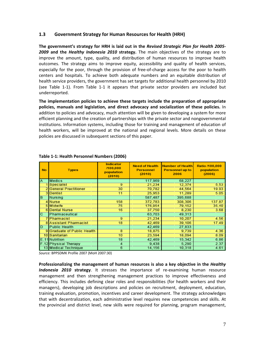#### **1.3 Government Strategy for Human Resources for Health (HRH)**

**The government's strategy for HRH is laid out in the** *Revised Strategic Plan for Health 2005‐ 2009* **and the** *Healthy Indonesia 2010* **strategy.** The main objectives of the strategy are to improve the amount, type, quality, and distribution of human resources to improve health outcomes. The strategy aims to improve equity, accessibility and quality of health services, especially for the poor, through the provision of free-of-charge access for the poor to health centers and hospitals. To achieve both adequate numbers and an equitable distribution of health service providers, the government has set targets for additional health personnel by 2010 (see Table 1‐1). From Table 1‐1 it appears that private sector providers are included but underreported.

**The implementation policies to achieve these targets include the preparation of appropriate policies, manuals and legislation, and direct advocacy and socialization of these policies.** In addition to policies and advocacy, much attention will be given to developing a system for more efficient planning and the creation of partnerships with the private sector and nongovernmental institutions. Information systems, including those for training and management of education of health workers, will be improved at the national and regional levels. More details on these policies are discussed in subsequent sections of this paper.

| No.            | <b>Types</b>                  | <b>Indicator</b><br>/100,000<br>population<br>(2010) | <b>Need of Health</b><br><b>Personnel</b><br>(2010) | <b>Number of Health</b><br>Personnel up to<br>2006 | Ratio /100,000<br>population<br>(2006) |
|----------------|-------------------------------|------------------------------------------------------|-----------------------------------------------------|----------------------------------------------------|----------------------------------------|
| A              | <b>Medics</b>                 |                                                      | 117,969                                             | 68,227                                             |                                        |
|                | <b>Specialist</b>             | 9                                                    | 21,234                                              | 12,374                                             | 5.53                                   |
|                | <b>General Practitioner</b>   | 30                                                   | 70,782                                              | 44,564                                             | 19.93                                  |
|                | 3 Dentist                     | 11                                                   | 25,953                                              | 11,289                                             | 5.05                                   |
| $\overline{B}$ | Nursing                       |                                                      | 587,487                                             | 395,688                                            |                                        |
|                | 4 Nurse                       | 158                                                  | 372.783                                             | 308,306                                            | 137.87                                 |
|                | 5 Midwife                     | 75                                                   | 176,954                                             | 79,152                                             | 35.40                                  |
|                | 6 Dental Nurse                | 16                                                   | 37,750                                              | 8,230                                              | 3.68                                   |
| C              | Pharmaceutical                |                                                      | 63,703                                              | 49.313                                             |                                        |
|                | 7 Pharmacist                  | 9                                                    | 21.234                                              | 10.207                                             | 4.56                                   |
|                | <b>8 Assistant Pharmacist</b> | 18                                                   | 42,469                                              | 39.106                                             | 17.49                                  |
| D              | <b>Public Health</b>          |                                                      | 42,469                                              | 27,833                                             |                                        |
|                | 9 Graduate of Public Health   | 8                                                    | 18,875                                              | 9.739                                              | 4.36                                   |
|                | 10 Sanitarian                 | 10                                                   | 23,594                                              | 18,094                                             | 8.09                                   |
|                | E.11 Nutrition                | 18                                                   | 42.469                                              | 15.342                                             | 6.86                                   |
|                | F.12 Physical Therapy         | 4                                                    | 9,438                                               | 5,290                                              | 2.37                                   |
|                | 13 Medical Technique          | 6                                                    | 14,156                                              | 10,318                                             | 4.61                                   |

#### **Table 1‐1: Health Personnel Numbers (2006)**

*Source:* BPPSDMK Profile 2007 (MoH 2007:30)

**Professionalizing the management of human resources is also a key objective in the** *Healthy Indonesia 2010* **strategy**. It stresses the importance of re‐examining human resource management and then strengthening management practices to improve effectiveness and efficiency. This includes defining clear roles and responsibilities (for health workers and their managers), developing job descriptions and policies on recruitment, deployment, education, training evaluation, promotion, incentives and career development. The strategy acknowledges that with decentralization, each administrative level requires new competencies and skills. At the provincial and district level, new skills were required for planning, program management,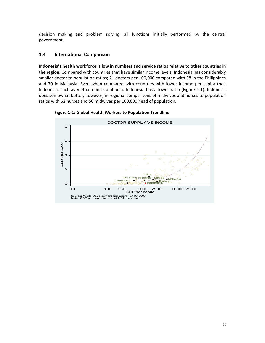decision making and problem solving; all functions initially performed by the central government.

## **1.4 International Comparison**

**Indonesia's health workforce is low in numbers and service ratios relative to other countries in the region.** Compared with countries that have similar income levels, Indonesia has considerably smaller doctor to population ratios; 21 doctors per 100,000 compared with 58 in the Philippines and 70 in Malaysia. Even when compared with countries with lower income per capita than Indonesia, such as Vietnam and Cambodia, Indonesia has a lower ratio (Figure 1‐1). Indonesia does somewhat better, however, in regional comparisons of midwives and nurses to population ratios with 62 nurses and 50 midwives per 100,000 head of population**.** 

DOCTOR SUPPLY VS INCOMEœ  $\circ$ Dodorsper 1,000 Doctors per 1,000  $\overline{4}$  $\overline{c}$  $\infty$  $\circ$ o<br>O ႜၜ  $\circ$  $\sim$  $\overline{8}$ <sub>o</sub>  $\circ$  $\alpha$  $\mathsf{N}$  $\circ$  $\overline{\phantom{0}}$  $\circ$  $C<sub>1</sub>$  $\infty$ **Indonesia Samoa Composition Cambodia**<br>Cambodia Malay Sia Philippines<br>Thailand Office Sia Philippinesia  $\circ$ 10 100 250 1000 2500 10000 25000 GDP per capita Source: World Dev elopment Indicators, WHO 2007 Note: GDP per capita in current US\$; Log scale

**Figure 1‐1: Global Health Workers to Population Trendline**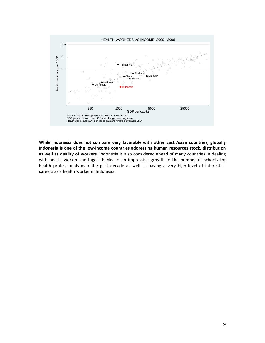

**While Indonesia does not compare very favorably with other East Asian countries, globally Indonesia is one of the low‐income countries addressing human resources stock, distribution as well as quality of workers**. Indonesia is also considered ahead of many countries in dealing with health worker shortages thanks to an impressive growth in the number of schools for health professionals over the past decade as well as having a very high level of interest in careers as a health worker in Indonesia.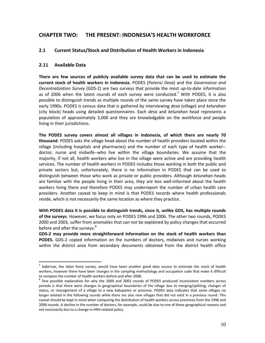# **CHAPTER TWO: THE PRESENT: INDONESIA'S HEALTH WORKFORCE**

#### **2.1 Current Status/Stock and Distribution of Health Workers in Indonesia**

#### **2.11 Available Data**

 $\overline{a}$ 

**There are few sources of publicly available survey data that can be used to estimate the current stock of health workers in Indonesia.** PODES (*Potensi Desa*) and the *Governance and Decentralization Survey* (GDS‐2) are two surveys that provide the most up‐to‐date information as of 2006 when the latest rounds of each survey were conducted.<sup>7</sup> With PODES, it is also possible to distinguish trends as multiple rounds of the same survey have taken place since the early 1990s. PODES is census data that is gathered by interviewing *desa* (village) and *kelurahan* (city block) heads using detailed questionnaires. Each *desa* and *kelurahan* head represents a population of approximately 3,000 and they are knowledgable on the workforce and people living in their jurisdictions.

**The PODES survey covers almost all villages in Indonesia, of which there are nearly 70 thousand**. PODES asks the village head about the number of health providers located within the village (including hospitals and pharmacies) and the number of each type of health worker‐‐ doctor, nurse and midwife‐‐who live within the village boundaries. We assume that the majority, if not all, health workers who live in the village were active and are providing health services. The number of health workers in PODES includes those working in both the public and private sectors but, unfortunately, there is no information in PODES that can be used to distinguish between those who work as private or public providers. Although *kelurahan* heads are familiar with the people living in their area, they are less well‐informed about the health workers living there and therefore PODES may underreport the number of urban health care providers. Another caveat to keep in mind is that PODES records where health professionals reside, which is not necessarily the same location as where they practice.

**With PODES data it is possible to distinguish trends, since it, unlike GDS, has multiple rounds of the surveys**. However, we focus only on PODES 1996 and 2006. The other two rounds, PODES 2000 and 2003, suffer from anomalies that can not be explained by policy changes that occurred before and after the surveys.<sup>8</sup>

**GDS‐2 may provide more straightforward information on the stock of health workers than PODES.** GDS-2 copied information on the numbers of doctors, midwives and nurses working within the district area from secondary documents obtained from the district health office

<sup>7</sup> *Sakernas*, the labor force survey, would have been another good data source to estimate the stock of health workers, however there have been changes in the sampling methodology and occupation code that make it difficult to compare the number of health workers before and after 2000.<br><sup>8</sup> One possible explanation for why the 2000 and 2003 rounds of PODES produced inconsistent numbers across

periods is that there were changes in geographical boundaries of the village due to merging/splitting, changes of status, or reassignment of a village to a new *kabupaten* or province. PODES data indicates that some villages no longer existed in the following rounds while there are also new villages that did not exist in a previous round. This caveat should be kept in mind when comparing the distribution of health workers across provinces from the 1996 and 2006 rounds. A decline in the number of doctors, for example, could be due to one of these geographical reasons and not necessarily due to a change in HRH‐related policy.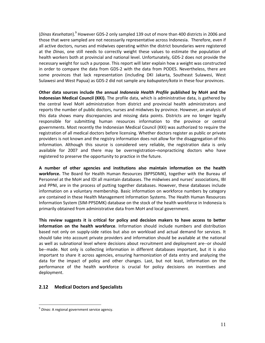(*Dinas Kesehatan*).<sup>9</sup> However GDS‐2 only sampled 139 out of more than 400 districts in 2006 and those that were sampled are not necessarily representative across Indonesia. Therefore, even if all active doctors, nurses and midwives operating within the district boundaries were registered at the *Dinas*, one still needs to correctly weight these values to estimate the population of health workers both at provincial and national level. Unfortunately, GDS‐2 does not provide the necessary weight for such a purpose. This report will later explain how a weight was constructed in order to compare the data from GDS‐2 with the data from PODES. Nevertheless, there are some provinces that lack representation (including DKI Jakarta, Southeast Sulawesi, West Sulawesi and West Papua) as GDS‐2 did not sample any *kabupaten/kota* in these four provinces.

**Other data sources include the annual** *Indonesia Health Profile* **published by MoH and the Indonesian Medical Council (KKI).** The profile data, which is administrative data, is gathered by the central level MoH administration from district and provincial health administrators and reports the number of public doctors, nurses and midwives by province. However, an analysis of this data shows many discrepancies and missing data points. Districts are no longer legally responsible for submitting human resources information to the province or central governments. Most recently the Indonesian Medical Council (KKI) was authorized to require the registration of all medical doctors before licensing. Whether doctors register as public or private providers is not known and the registry information does not allow for the disaggregation of this information. Although this source is considered very reliable, the registration data is only available for 2007 and there may be overregistration–nonpracticing doctors who have registered to preserve the opportunity to practice in the future.

**A number of other agencies and institutions also maintain information on the health workforce.** The Board for Health Human Resources (BPPSDMK), together with the Bureau of Personnel at the MoH and IDI all maintain databases. The midwives and nurses' associations, IBI and PPNI, are in the process of putting together databases. However, these databases include information on a voluntary membership. Basic information on workforce numbers by category are contained in these Health Management Information Systems. The Health Human Resources Information System (SIM‐PPSDMK) database on the stock of the health workforce in Indonesia is primarily obtained from administrative data from MoH and local government.

**This review suggests it is critical for policy and decision makers to have access to better information on the health workforce**. Information should include numbers and distribution based not only on supply‐side ratios but also on workload and actual demand for services. It should take into account private providers and information should be available at the national as well as subnational level where decisions about recruitment and deployment are‐‐or should be--made. Not only is collecting information in different databases important, but it is also important to share it across agencies, ensuring harmonization of data entry and analyzing the data for the impact of policy and other changes. Last, but not least, information on the performance of the health workforce is crucial for policy decisions on incentives and deployment.

## **2.12 Medical Doctors and Specialists**

 $\overline{a}$ 

<sup>9</sup> *Dinas:* A regional government service agency.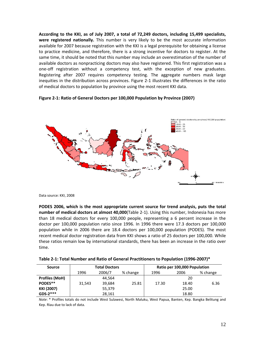**According to the KKI, as of July 2007, a total of 72,249 doctors, including 15,499 specialists, were registered nationally.** This number is very likely to be the most accurate information available for 2007 because registration with the KKI is a legal prerequisite for obtaining a license to practice medicine, and therefore, there is a strong incentive for doctors to register. At the same time, it should be noted that this number may include an overestimation of the number of available doctors as nonpracticing doctors may also have registered. This first registration was a one‐off registration without a competency test, with the exception of new graduates. Registering after 2007 requires competency testing. The aggregate numbers mask large inequities in the distribution across provinces. Figure 2‐1 illustrates the differences in the ratio of medical doctors to population by province using the most recent KKI data.

#### **Figure 2‐1: Ratio of General Doctors per 100,000 Population by Province (2007)**



Data source: KKI, 2008

**PODES 2006, which is the most appropriate current source for trend analysis, puts the total number of medical doctors at almost 40,000**(Table 2‐1). Using this number, Indonesia has more than 18 medical doctors for every 100,000 people, representing a 6 percent increase in the doctor per 100,000 population ratio since 1996. In 1996 there were 17.3 doctors per 100,000 population while in 2006 there are 18.4 doctors per 100,000 population (PODES). The most recent medical doctor registration data from KKI shows a ratio of 25 doctors per 100,000. While these ratios remain low by international standards, there has been an increase in the ratio over time.

| Table 2-1: Total Number and Ratio of General Practitioners to Population (1996-2007)* |  |
|---------------------------------------------------------------------------------------|--|
|                                                                                       |  |

| Source                | <b>Total Doctors</b> |        |          | Ratio per 100,000 Population |       |          |
|-----------------------|----------------------|--------|----------|------------------------------|-------|----------|
|                       | 1996                 | 2006/7 | % change | 1996                         | 2006  | % change |
| <b>Profiles (MoH)</b> |                      | 44.564 |          |                              | 20    |          |
| PODES**               | 31.543               | 39.684 | 25.81    | 17.30                        | 18.40 | 6.36     |
| KKI (2007)            |                      | 55,379 |          |                              | 25.00 |          |
| $GDS-2***$<br>28,161  |                      |        | 18.80    |                              |       |          |

*Note*: \* Profiles totals do not include West Sulawesi, North Maluku, West Papua, Banten, Kep. Bangka Belitung and Kep. Riau due to lack of data.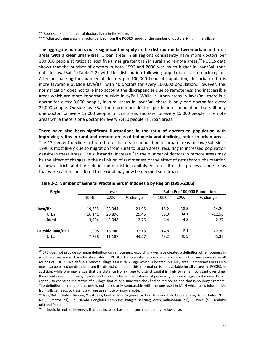\*\* Represents the number of doctors living in the village.

\*\*\* Adjusted using a scaling factor derived from the PODES report of the number of doctors living in the village.

**The aggregate numbers mask significant inequity in the distribution between urban and rural areas with a clear urban‐bias**. Urban areas in all regions consistently have more doctors per 100,000 people at ratios at least five times greater than in rural and remote areas.<sup>10</sup> PODES data shows that the number of doctors in both 1996 and 2006 was much higher in Java/Bali than outside Java/Bali<sup>11</sup> (Table 2-2) with the distribution following population size in each region. After normalizing the number of doctors per 100,000 head of population, the urban ratio is more favorable outside Java/Bali with 40 doctors for every 100,000 population. However, this normalization does not take into account the discrepancies due to remoteness and inaccessible areas which are more important outside Java/Bali. While in urban areas in Java/Bali there is a doctor for every 3,000 people, in rural areas in Java/Bali there is only one doctor for every 22,000 people. Outside Java/Bali there are more doctors per head of population, but still only one doctor for every 12,000 people in rural areas and one for every 15,000 people in remote areas while there is one doctor for every 2,430 people in urban areas.

**There have also been significant fluctuations in the ratio of doctors to population with improving ratios in rural and remote areas of Indonesia and declining ratios in urban areas.** The 13 percent decline in the ratio of doctors to population in urban areas of Java/Bali since 1996 is most likely due to migration from rural to urban areas, resulting in increased population density in these areas. The substantial increase<sup>12</sup> in the number of doctors in remote areas may be the effect of changes in the definition of remoteness or the effect of *pemekaran*–the creation of new districts and the redefinition of district capitals. As a result of this process, some areas that were earlier considered to be rural may now be deemed sub‐urban.

| <b>Region</b>            | Level  |        |          | Ratio Per 100,000 Population |      |          |
|--------------------------|--------|--------|----------|------------------------------|------|----------|
|                          | 1996   | 2006   | % change | 1996                         | 2006 | % change |
|                          |        |        |          |                              |      |          |
| Java/Bali                | 19,635 | 23.944 | 21.95    | 16.2                         | 18.5 | 14.20    |
| Urban                    | 16,141 | 20,896 | 29.46    | 39.0                         | 34.1 | $-12.56$ |
| Rural                    | 3.494  | 3.048  | $-12.76$ | 4.4                          | 4.5  | 2.27     |
|                          |        |        |          |                              |      |          |
| <b>Outside Java/Bali</b> | 11,908 | 15,740 | 32.18    | 14.8                         | 18.1 | 22.30    |
| Urban                    | 7,738  | 11,187 | 44.57    | 43.2                         | 40.9 | $-5.32$  |

| Table 2-2: Number of General Practitioners in Indonesia by Region (1996-2006) |  |  |
|-------------------------------------------------------------------------------|--|--|
|-------------------------------------------------------------------------------|--|--|

 $\frac{12}{12}$  It should be noted, however, that this increase has been from a comparatively low base.

 $\overline{a}$ 

<sup>&</sup>lt;sup>10</sup> BPS does not provide common definition on remoteness. Accordingly we have created a definition of remoteness in which we use some characteristics listed in PODES. For consistency, we use characteristics that are available in all rounds of PODES. We define a remote village as a rural village which is located in a hilly area. Remoteness in PODES may also be based on distance from the district capital but this information is not available for all villages in PODES. In addition, while one may argue that the distance from village to district capital is likely to remain constant over time, the recent creation of many new districts has shortened the distance of previously remote villages to the new district capital, so changing the status of a village that at one time was classified as remote to one that is no longer remote. The definition of remoteness here is not necessarily comparable with the one used in MoH which uses information from village heads to classify a village as remote or non-remote.<br><sup>11</sup> Java/Bali includes: Banten, West Java, Central Java, Yogyakarta, East Java and Bali. Outside Java/Bali includes: NTT,

NTB, Sumatra (all), Riau, Jambi, Bengkulu, Lampung, Bangka Belitung, Aceh, Kalimantan (all), Sulawesi (all), Maluku<br>(all) and Papua.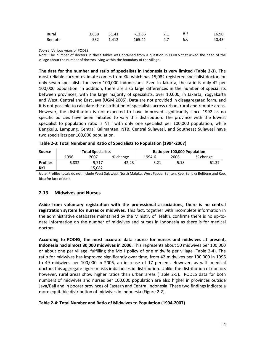| Rural  |     | 3,638 3,141 | $-13.66$ | 7.1 | - 8.3 | 16.90 |
|--------|-----|-------------|----------|-----|-------|-------|
| Remote | 532 | 1,412       | 165.41   | 4.7 | 6.6   | 40.43 |

*Source*: Various years of PODES.

*Note*: The number of doctors in these tables was obtained from a question in PODES that asked the head of the village about the number of doctors living within the boundary of the village.

**The data for the number and ratio of specialists in Indonesia is very limited (Table 2‐3).** The most reliable current estimate comes from KKI which has 15,082 registered specialist doctors or only seven specialists for every 100,000 Indonesians. Even in Jakarta, the ratio is only 42 per 100,000 population. In addition, there are also large differences in the number of specialists between provinces, with the large majority of specialists, over 10,000, in Jakarta, Yogyakarta and West, Central and East Java (UGM 2005). Data are not provided in disaggregated form, and it is not possible to calculate the distribution of specialists across urban, rural and remote areas. However, the distribution is not expected to have improved significantly since 1992 as no specific policies have been initiated to vary this distribution. The province with the lowest specialist to population ratio is NTT with only one specialist per 100,000 population, while Bengkulu, Lampung, Central Kalimantan, NTB, Central Sulawesi, and Southeast Sulawesi have two specialists per 100,000 population.

| Table 2-3: Total Number and Ratio of Specialists to Population (1994-2007) |  |  |
|----------------------------------------------------------------------------|--|--|
|----------------------------------------------------------------------------|--|--|

| Source          | <b>Total Specialists</b> |        |          | Ratio per 100,000 Population |      |          |
|-----------------|--------------------------|--------|----------|------------------------------|------|----------|
|                 | 1996                     | 2007   | % change | 1994-6                       | 2006 | % change |
| <b>Profiles</b> | 6.832                    | 9.717  | 42.23    | 3.21                         | 5.18 | 61.37    |
| KKI             |                          | 15.082 |          |                              |      |          |

*Note*: Profiles totals do not include West Sulawesi, North Maluku, West Papua, Banten, Kep. Bangka Belitung and Kep. Riau for lack of data.

## **2.13 Midwives and Nurses**

**Aside from voluntary registration with the professional associations, there is no central registration system for nurses or midwives**. This fact, together with incomplete information in the administrative databases maintained by the Ministry of Health, confirms there is no up-todate information on the number of midwives and nurses in Indonesia as there is for medical doctors.

**According to PODES, the most accurate data source for nurses and midwives at present, Indonesia had almost 80,000 midwives in 2006.** This represents about 50 midwives per 100,000 or about one per village, fulfilling the MoH policy of one midwife per village (Table 2‐4). The ratio for midwives has improved significantly over time, from 42 midwives per 100,000 in 1996 to 49 midwives per 100,000 in 2006, an increase of 17 percent. However, as with medical doctors this aggregate figure masks imbalances in distribution. Unlike the distribution of doctors however, rural areas show higher ratios than urban areas (Table 2-5). PODES data for both numbers of midwives and nurses per 100,000 population are also higher in provinces outside Java/Bali and in poorer provinces of Eastern and Central Indonesia. These two findings indicate a more equitable distribution of midwives in Indonesia (Figure 2‐2).

#### **Table 2‐4: Total Number and Ratio of Midwives to Population (1994‐2007)**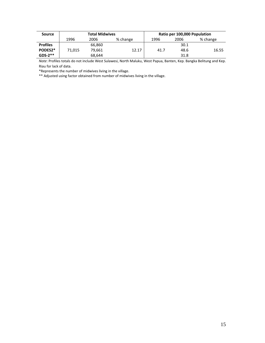| <b>Source</b>   | <b>Total Midwives</b> |        |          | Ratio per 100,000 Population |      |          |
|-----------------|-----------------------|--------|----------|------------------------------|------|----------|
|                 | 1996                  | 2006   | % change | 1996                         | 2006 | % change |
| <b>Profiles</b> |                       | 66,860 |          |                              | 30.1 |          |
| PODES2*         | 71.015                | 79.661 | 12.17    | 41.7                         | 48.6 | 16.55    |
| $GDS-2**$       |                       | 68,644 |          |                              | 31.8 |          |

*Note*: Profiles totals do not include West Sulawesi, North Maluku, West Papua, Banten, Kep. Bangka Belitung and Kep. Riau for lack of data.

\*Represents the number of midwives living in the village.

\*\* Adjusted using factor obtained from number of midwives living in the village.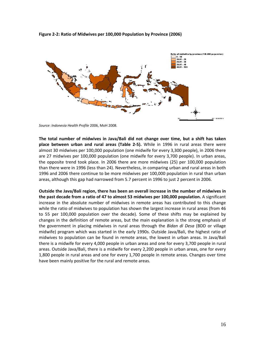**Figure 2‐2: Ratio of Midwives per 100,000 Population by Province (2006)** 



*Source*: *Indonesia Health Profile* 2006, MoH 2008.

**The total number of midwives in Java/Bali did not change over time, but a shift has taken place between urban and rural areas (Table 2‐5).** While in 1996 in rural areas there were almost 30 midwives per 100,000 population (one midwife for every 3,300 people), in 2006 there are 27 midwives per 100,000 population (one midwife for every 3,700 people). In urban areas, the opposite trend took place. In 2006 there are more midwives (25) per 100,000 population than there were in 1996 (less than 24). Nevertheless, in comparing urban and rural areas in both 1996 and 2006 there continue to be more midwives per 100,000 population in rural than urban areas, although this gap had narrowed from 5.7 percent in 1996 to just 2 percent in 2006.

**Outside the Java/Bali region, there has been an overall increase in the number of midwives in the past decade from a ratio of 47 to almost 53 midwives per 100,000 population.** A significant increase in the absolute number of midwives in remote areas has contributed to this change while the ratio of midwives to population has shown the largest increase in rural areas (from 46 to 55 per 100,000 population over the decade). Some of these shifts may be explained by changes in the definition of remote areas, but the main explanation is the strong emphasis of the government in placing midwives in rural areas through the *Bidan di Desa* (BDD or village midwife) program which was started in the early 1990s. Outside Java/Bali, the highest ratio of midwives to population can be found in remote areas, the lowest in urban areas. In Java/Bali there is a midwife for every 4,000 people in urban areas and one for every 3,700 people in rural areas. Outside Java/Bali, there is a midwife for every 2,200 people in urban areas, one for every 1,800 people in rural areas and one for every 1,700 people in remote areas. Changes over time have been mainly positive for the rural and remote areas.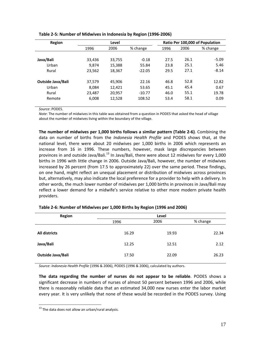| Region                   |        | Level  |          | Ratio Per 100,000 of Population |      |          |
|--------------------------|--------|--------|----------|---------------------------------|------|----------|
|                          | 1996   | 2006   | % change | 1996                            | 2006 | % change |
|                          |        |        |          |                                 |      |          |
| Java/Bali                | 33.436 | 33.755 | $-0.18$  | 27.5                            | 26.1 | $-5.09$  |
| Urban                    | 9.874  | 15,388 | 55.84    | 23.8                            | 25.1 | 5.46     |
| Rural                    | 23,562 | 18,367 | $-22.05$ | 29.5                            | 27.1 | $-8.14$  |
|                          |        |        |          |                                 |      |          |
| <b>Outside Java/Bali</b> | 37,579 | 45.906 | 22.16    | 46.8                            | 52.8 | 12.82    |
| Urban                    | 8,084  | 12,421 | 53.65    | 45.1                            | 45.4 | 0.67     |
| Rural                    | 23,487 | 20.957 | $-10.77$ | 46.0                            | 55.1 | 19.78    |
| Remote                   | 6,008  | 12,528 | 108.52   | 53.4                            | 58.1 | 0.09     |
|                          |        |        |          |                                 |      |          |

#### **Table 2‐5: Number of Midwives in Indonesia by Region (1996‐2006)**

*Source*: PODES.

*Note*: The number of midwives in this table was obtained from a question in PODES that asked the head of village about the number of midwives living within the boundary of the village.

**The number of midwives per 1,000 births follows a similar pattern (Table 2‐6)**. Combining the data on number of births from the *Indonesia Health Profile* and PODES shows that, at the national level, there were about 20 midwives per 1,000 births in 2006 which represents an increase from 16 in 1996. These numbers, however, mask large discrepancies between provinces in and outside Java/Bali.<sup>13</sup> In Java/Bali, there were about 12 midwives for every 1,000 births in 1996 with little change in 2006. Outside Java/Bali, however, the number of midwives increased by 26 percent (from 17.5 to approximately 22) over the same period. These findings, on one hand, might reflect an unequal placement or distribution of midwives across provinces but, alternatively, may also indicate the local preference for a provider to help with a delivery. In other words, the much lower number of midwives per 1,000 births in provinces in Java/Bali may reflect a lower demand for a midwife's service relative to other more modern private health providers.

| <b>Region</b>        | Level |       |          |  |  |
|----------------------|-------|-------|----------|--|--|
|                      | 1996  | 2006  | % change |  |  |
| <b>All districts</b> | 16.29 | 19.93 | 22.34    |  |  |
| Java/Bali            | 12.25 | 12.51 | 2.12     |  |  |
| Outside Java/Bali    | 17.50 | 22.09 | 26.23    |  |  |

#### **Table 2‐6: Number of Midwives per 1,000 Births by Region (1996 and 2006)**

*Source*: *Indonesia Health Profile* (1996 & 2006), PODES (1996 & 2006), calculated by authors.

**The data regarding the number of nurses do not appear to be reliable**. PODES shows a significant decrease in numbers of nurses of almost 50 percent between 1996 and 2006, while there is reasonably reliable data that an estimated 34,000 new nurses enter the labor market every year. It is very unlikely that none of these would be recorded in the PODES survey. Using

 $\overline{a}$ 

 $13$  The data does not allow an urban/rural analysis.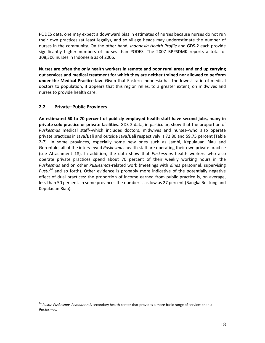PODES data, one may expect a downward bias in estimates of nurses because nurses do not run their own practices (at least legally), and so village heads may underestimate the number of nurses in the community. On the other hand, *Indonesia Health Profile* and GDS‐2 each provide significantly higher numbers of nurses than PODES. The 2007 BPPSDMK reports a total of 308,306 nurses in Indonesia as of 2006.

**Nurses are often the only health workers in remote and poor rural areas and end up carrying out services and medical treatment for which they are neither trained nor allowed to perform under the Medical Practice law**. Given that Eastern Indonesia has the lowest ratio of medical doctors to population, it appears that this region relies, to a greater extent, on midwives and nurses to provide health care.

## **2.2 Private–Public Providers**

 $\overline{a}$ 

**An estimated 60 to 70 percent of publicly employed health staff have second jobs, many in private solo practice or private facilities**. GDS‐2 data, in particular, show that the proportion of *Puskesmas* medical staff‐‐which includes doctors, midwives and nurses‐‐who also operate private practices in Java/Bali and outside Java/Bali respectively is 72.80 and 59.75 percent (Table 2‐7). In some provinces, especially some new ones such as Jambi, Kepulauan Riau and Gorontalo, all of the interviewed *Puskesmas* health staff are operating their own private practice (see Attachment 18). In addition, the data show that *Puskesmas* health workers who also operate private practices spend about 70 percent of their weekly working hours in the *Puskesmas* and on other *Puskesmas*‐related work (meetings with *dinas* personnel, supervising *Pustu<sup>14</sup>* and so forth). Other evidence is probably more indicative of the potentially negative effect of dual practices: the proportion of income earned from public practice is, on average, less than 50 percent. In some provinces the number is as low as 27 percent (Bangka Belitung and Kepulauan Riau).

<sup>14</sup> *Pustu*: *Puskesmas Pembantu*: A secondary health center that provides a more basic range of services than a *Puskesmas*.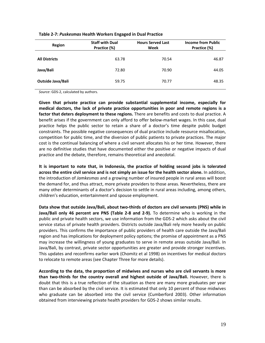| Region                   | <b>Staff with Dual</b><br>Practice (%) | <b>Hours Served Last</b><br>Week | <b>Income from Public</b><br>Practice (%) |
|--------------------------|----------------------------------------|----------------------------------|-------------------------------------------|
| <b>All Districts</b>     | 63.78                                  | 70.54                            | 46.87                                     |
| Java/Bali                | 72.80                                  | 70.90                            | 44.05                                     |
| <b>Outside Java/Bali</b> | 59.75                                  | 70.77                            | 48.35                                     |

#### **Table 2‐7:** *Puskesmas* **Health Workers Engaged in Dual Practice**

*Source*: GDS‐2, calculated by authors.

**Given that private practice can provide substantial supplemental income, especially for medical doctors, the lack of private practice opportunities in poor and remote regions is a factor that deters deployment to these regions.** There are benefits and costs to dual practice. A benefit arises if the government can only afford to offer below‐market wages. In this case, dual practice helps the public sector to retain a share of a doctor's time despite public budget constraints. The possible negative consequences of dual practice include resource misallocation, competition for public time, and the diversion of public patients to private practices. The major cost is the continual balancing of where a civil servant allocates his or her time. However, there are no definitive studies that have documented either the positive or negative impacts of dual practice and the debate, therefore, remains theoretical and anecdotal.

**It is important to note that, in Indonesia, the practice of holding second jobs is tolerated across the entire civil service and is not simply an issue for the health sector alone.** In addition, the introduction of *Jamkesmas* and a growing number of insured people in rural areas will boost the demand for, and thus attract, more private providers to those areas. Nevertheless, there are many other determinants of a doctor's decision to settle in rural areas including, among others, children's education, entertainment and spouse employment.

**Data show that outside Java/Bali, about two‐thirds of doctors are civil servants (PNS) while in Java/Bali only 46 percent are PNS (Table 2‐8 and 2‐9).** To determine who is working in the public and private health sectors, we use information from the GDS‐2 which asks about the civil service status of private health providers. Districts outside Java/Bali rely more heavily on public providers. This confirms the importance of public providers of health care outside the Java/Bali region and has implications for deployment policy options; the promise of appointment as a PNS may increase the willingness of young graduates to serve in remote areas outside Java/Bali. In Java/Bali, by contrast, private sector opportunities are greater and provide stronger incentives. This updates and reconfirms earlier work (Chomitz et al 1998) on incentives for medical doctors to relocate to remote areas (see Chapter Three for more details).

**According to the data, the proportion of midwives and nurses who are civil servants is more than two‐thirds for the country overall and highest outside of Java/Bali.** However, there is doubt that this is a true reflection of the situation as there are many more graduates per year than can be absorbed by the civil service. It is estimated that only 10 percent of those midwives who graduate can be absorbed into the civil service (Cumberford 2003). Other information obtained from interviewing private health providers for GDS‐2 shows similar results.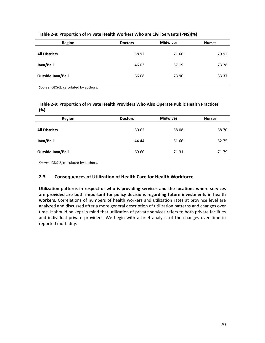| <b>Region</b>        | <b>Doctors</b> | <b>Midwives</b> | <b>Nurses</b> |
|----------------------|----------------|-----------------|---------------|
| <b>All Districts</b> | 58.92          | 71.66           | 79.92         |
| Java/Bali            | 46.03          | 67.19           | 73.28         |
| Outside Java/Bali    | 66.08          | 73.90           | 83.37         |

#### **Table 2‐8: Proportion of Private Health Workers Who are Civil Servants (PNS)(%)**

*Source*: GDS‐2, calculated by authors.

#### **Table 2‐9: Proportion of Private Health Providers Who Also Operate Public Health Practices (%)**

| Region               | <b>Doctors</b> | <b>Midwives</b> | <b>Nurses</b> |
|----------------------|----------------|-----------------|---------------|
| <b>All Districts</b> | 60.62          | 68.08           | 68.70         |
| Java/Bali            | 44.44          | 61.66           | 62.75         |
| Outside Java/Bali    | 69.60          | 71.31           | 71.79         |

*Source*: GDS‐2, calculated by authors.

## **2.3 Consequences of Utilization of Health Care for Health Workforce**

**Utilization patterns in respect of who is providing services and the locations where services are provided are both important for policy decisions regarding future investments in health workers.** Correlations of numbers of health workers and utilization rates at province level are analyzed and discussed after a more general description of utilization patterns and changes over time. It should be kept in mind that utilization of private services refers to both private facilities and individual private providers. We begin with a brief analysis of the changes over time in reported morbidity.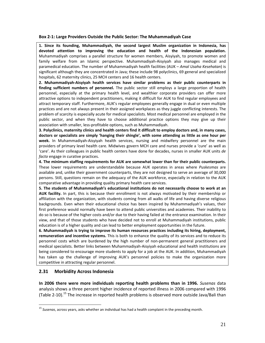#### **Box 2‐1: Large Providers Outside the Public Sector: The Muhammadiyah Case**

**1. Since its founding, Muhammadiyah, the second largest Muslim organization in Indonesia, has devoted attention to improving the education and health of the Indonesian population.** Muhammadiyah comprises a parallel structure for women members, Aisyiyah, to promote women and family welfare from an Islamic perspective. Muhammadiyah‐Aisyiyah also manages medical and paramedical education. The number of Muhammadiyah health facilities (AUK – *Amal Usaha Kesehatan*) is significant although they are concentrated in Java; these include 98 polyclinics, 69 general and specialized hospitals, 62 maternity clinics, 25 MCH centers and 16 health centers.

**2. Muhammadiyah‐Aisyiyah health services have similar problems as their public counterparts in finding sufficient numbers of personnel.** The public sector still employs a large proportion of health personnel, especially at the primary health level, and wealthier corporate providers can offer more attractive options to independent practitioners, making it difficult for AUK to find regular employees and attract temporary staff. Furthermore, AUK's regular employees generally engage in dual or even multiple practices and are not always present in their assigned workplaces as they juggle conflicting interests. The problem of scarcity is especially acute for medical specialists. Most medical personnel are employed in the public sector, and when they have to choose additional practice options they may give up their association with smaller, less‐profitable options, such as Muhammadiyah.

3. Polyclinics, maternity clinics and health centers find it difficult to employ doctors and, in many cases, **doctors or specialists are simply 'hanging their shingle', with some attending as little as one hour per week.** In Muhammadiyah‐Aisyiyah health services, nursing and midwifery personnel are the main providers of primary level health care. Midwives govern MCH care and nurses provide a 'cure' as well as 'care'. As their colleagues in public health centers have done for decades, nurses in smaller AUK units *de facto* engage in curative practices.

**4. The minimum staffing requirements for AUK are somewhat lower than for their public counterparts.** These lower requirements are understandable because AUK operates in areas where *Puskesmas* are available and, unlike their government counterparts, they are not designed to serve an average of 30,000 persons. Still, questions remain on the adequacy of the AUK workforce, especially in relation to the AUK comparative advantage in providing quality primary health care services.

**5. The students of Muhammadiyah's educational institutions do not necessarily choose to work at an AUK facility.** In part, this is because their enrollment is not always motivated by their membership or affiliation with the organization, with students coming from all walks of life and having diverse religious backgrounds. Even when their educational choice has been inspired by Muhammadiyah's values, their first preference would normally have been to attend public universities and academies. Their inability to do so is because of the higher costs and/or due to their having failed at the entrance examination. In their view, and that of those students who have decided not to enroll at Muhammadiyah institutions, public education is of a higher quality and can lead to better employment opportunities in the future.

**6. Muhammadiyah is trying to improve its human resources practices including its hiring, deployment, remuneration and incentive systems.** This is both to enhance the quality of its services and to reduce its personnel costs which are burdened by the high number of non‐permanent general practitioners and medical specialists. Better links between Muhammadiyah‐Aisyiyah educational and health institutions are being considered to encourage more students to apply for a job at the AUK. In addition, Muhammadiyah has taken up the challenge of improving AUK's personnel policies to make the organization more competitive in attracting regular personnel.

## **2.31 Morbidity Across Indonesia**

 $\overline{a}$ 

**In 2006 there were more individuals reporting health problems than in 1996.** *Susenas* data analysis shows a three percent higher incidence of reported illness in 2006 compared with 1996 (Table 2-10).<sup>15</sup> The increase in reported health problems is observed more outside Java/Bali than

<sup>15</sup> *Susenas*, across years, asks whether an individual has had a health complaint in the preceding month.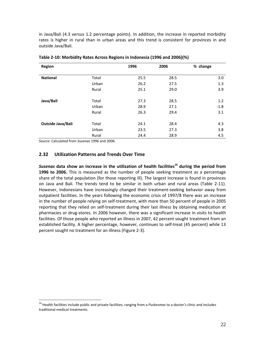in Java/Bali (4.3 versus 1.2 percentage points). In addition, the increase in reported morbidity rates is higher in rural than in urban areas and this trend is consistent for provinces in and outside Java/Bali.

| Region            |       | 1996 | 2006 | % change |
|-------------------|-------|------|------|----------|
| <b>National</b>   | Total | 25.5 | 28.5 | 3.0      |
|                   | Urban | 26.2 | 27.5 | 1.3      |
|                   | Rural | 25.1 | 29.0 | 3.9      |
| Java/Bali         | Total | 27.3 | 28.5 | 1.2      |
|                   | Urban | 28.9 | 27.1 | $-1.8$   |
|                   | Rural | 26.3 | 29.4 | 3.1      |
|                   |       |      |      |          |
| Outside Java/Bali | Total | 24.1 | 28.4 | 4.3      |
|                   | Urban | 23.5 | 27.3 | 3.8      |
|                   | Rural | 24.4 | 28.9 | 4.5      |

**Table 2‐10: Morbidity Rates Across Regions in Indonesia (1996 and 2006)(%)**

*Source*: Calculated from *Susenas* 1996 and 2006.

 $\overline{a}$ 

## **2.32 Utilization Patterns and Trends Over Time**

*Susenas* **data show an increase in the utilization of health facilities<sup>16</sup> during the period from 1996 to 2006.** This is measured as the number of people seeking treatment as a percentage share of the total population (for those reporting ill). The largest increase is found in provinces on Java and Bali. The trends tend to be similar in both urban and rural areas (Table 2‐11). However, Indonesians have increasingly changed their treatment‐seeking behavior away from outpatient facilities. In the years following the economic crisis of 1997/8 there was an increase in the number of people relying on self-treatment, with more than 50 percent of people in 2005 reporting that they relied on self‐treatment during their last illness by obtaining medication at pharmacies or drug‐stores. In 2006 however, there was a significant increase in visits to health facilities. Of those people who reported an illness in 2007, 42 percent sought treatment from an established facility. A higher percentage, however, continues to self‐treat (45 percent) while 13 percent sought no treatment for an illness (Figure 2‐3).

<sup>16</sup> Health facilities include public and private facilities, ranging from a *Puskesmas* to a doctor's clinic and includes traditional medical treatments.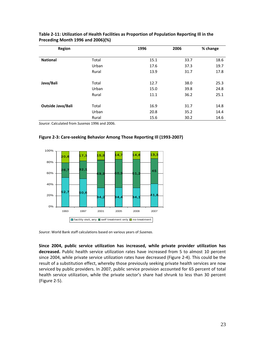| <b>Region</b>            |       | 1996 | 2006 | % change |
|--------------------------|-------|------|------|----------|
|                          |       |      |      |          |
| <b>National</b>          | Total | 15.1 | 33.7 | 18.6     |
|                          | Urban | 17.6 | 37.3 | 19.7     |
|                          | Rural | 13.9 | 31.7 | 17.8     |
| Java/Bali                | Total | 12.7 | 38.0 | 25.3     |
|                          | Urban | 15.0 | 39.8 | 24.8     |
|                          | Rural | 11.1 | 36.2 | 25.1     |
|                          |       |      |      |          |
| <b>Outside Java/Bali</b> | Total | 16.9 | 31.7 | 14.8     |
|                          | Urban | 20.8 | 35.2 | 14.4     |
|                          | Rural | 15.6 | 30.2 | 14.6     |

#### **Table 2‐11: Utilization of Health Facilities as Proportion of Population Reporting Ill in the Preceding Month 1996 and 2006)(%)**

*Source*: Calculated from *Susenas* 1996 and 2006.



**Figure 2‐3: Care‐seeking Behavior Among Those Reporting Ill (1993‐2007)**

*Source*: World Bank staff calculations based on various years of *Susenas*.

**Since 2004, public service utilization has increased, while private provider utilization has decreased.** Public health service utilization rates have increased from 5 to almost 10 percent since 2004, while private service utilization rates have decreased (Figure 2‐4). This could be the result of a substitution effect, whereby those previously seeking private health services are now serviced by public providers. In 2007, public service provision accounted for 65 percent of total health service utilization, while the private sector's share had shrunk to less than 30 percent (Figure 2‐5).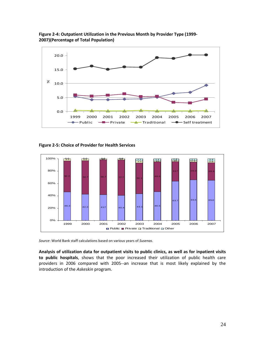

**Figure 2‐4: Outpatient Utilization in the Previous Month by Provider Type (1999‐ 2007)(Percentage of Total Population)**

**Figure 2‐5: Choice of Provider for Health Services**



*Source*: World Bank staff calculations based on various years of *Susenas*.

**Analysis of utilization data for outpatient visits to public clinics, as well as for inpatient visits to public hospitals**, shows that the poor increased their utilization of public health care providers in 2006 compared with 2005--an increase that is most likely explained by the introduction of the *Askeskin* program.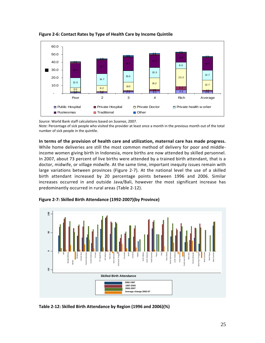

**Figure 2‐6: Contact Rates by Type of Health Care by Income Quintile**

*Source*: World Bank staff calculations based on *Susenas*, 2007.

*Note:* Percentage of sick people who visited the provider at least once a month in the previous month out of the total number of sick people in the quintile.

#### **In terms of the provision of health care and utilization, maternal care has made progress.**

While home deliveries are still the most common method of delivery for poor and middleincome women giving birth in Indonesia, more births are now attended by skilled personnel. In 2007, about 73 percent of live births were attended by a trained birth attendant, that is a doctor, midwife, or village midwife. At the same time, important inequity issues remain with large variations between provinces (Figure 2‐7). At the national level the use of a skilled birth attendant increased by 20 percentage points between 1996 and 2006. Similar increases occurred in and outside Java/Bali, however the most significant increase has predominantly occurred in rural areas (Table 2‐12).



**Figure 2‐7: Skilled Birth Attendance (1992‐2007)(by Province)**

**Table 2‐12: Skilled Birth Attendance by Region (1996 and 2006)(%)**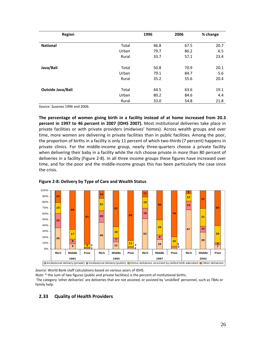| <b>Region</b>     |       | 1996 | 2006 | % change |
|-------------------|-------|------|------|----------|
| <b>National</b>   | Total | 46.8 | 67.5 | 20.7     |
|                   | Urban | 79.7 | 86.2 | 6.5      |
|                   | Rural | 33.7 | 57.1 | 23.4     |
| Java/Bali         | Total | 50.8 | 70.9 | 20.1     |
|                   | Urban | 79.1 | 84.7 | 5.6      |
|                   | Rural | 35.2 | 55.6 | 20.4     |
| Outside Java/Bali | Total | 44.5 | 63.6 | 19.1     |
|                   | Urban | 80.2 | 84.6 | 4.4      |
|                   | Rural | 33.0 | 54.8 | 21.8     |

*Source*: *Susenas* 1996 and 2006.

**The percentage of women giving birth in a facility instead of at home increased from 20.3 percent in 1997 to 46 percent in 2007 (IDHS 2007).** Most institutional deliveries take place in private facilities or with private providers (midwives' homes). Across wealth groups and over time, more women are delivering in private facilities than in public facilities. Among the poor, the proportion of births in a facility is only 11 percent of which two-thirds (7 percent) happens in private clinics. For the middle-income group, nearly three-quarters choose a private facility when delivering their baby in a facility while the rich choose private in more than 80 percent of deliveries in a facility (Figure 2‐8). In all three income groups these figures have increased over time, and for the poor and the middle‐income groups this has been particularly the case since the crisis.





*Source*: World Bank staff calculations based on various years of IDHS.

*Note:* \* the sum of two figures (public and private facilities) is the percent of institutional births.

The category 'other deliveries' are deliveries that are not assisted, or assisted by 'unskilled' personnel, such as TBAs or family help.

## **2.33 Quality of Health Providers**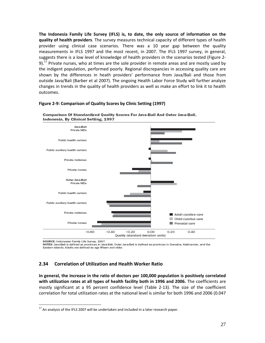**The Indonesia Family Life Survey (IFLS) is, to date, the only source of information on the quality of health providers**. The survey measures technical capacity of different types of health provider using clinical case scenarios. There was a 10 year gap between the quality measurements in IFLS 1997 and the most recent, in 2007. The IFLS 1997 survey, in general, suggests there is a low level of knowledge of health providers in the scenarios tested (Figure 2‐ 9).<sup>17</sup> Private nurses, who at times are the sole provider in remote areas and are mostly used by the indigent population, performed poorly. Regional discrepancies in accessing quality care are shown by the differences in heath providers' performance from Java/Bali and those from outside Java/Bali (Barber et al 2007). The ongoing Health Labor Force Study will further analyze changes in trends in the quality of health providers as well as make an effort to link it to health outcomes.



#### **Figure 2‐9: Comparison of Quality Scores by Clinic Setting (1997)**

SOURCE: Indonesian Family Life Survey, 1997.

 $\overline{a}$ 

NOTES: Java-Bali is defined as provinces in Java-Bali. Outer Java-Bali is defined as provinces in Sumatra, Kalimantan, and the Eastern Islands. Adults are defined as age fifteen and older.

# **2.34 Correlation of Utilization and Health Worker Ratio**

**In general, the increase in the ratio of doctors per 100,000 population is positively correlated with utilization rates at all types of health facility both in 1996 and 2006.** The coefficients are mostly significant at a 95 percent confidence level (Table 2‐13). The size of the coefficient correlation for total utilization rates at the national level is similar for both 1996 and 2006 (0.047

 $17$  An analysis of the IFLS 2007 will be undertaken and included in a later research paper.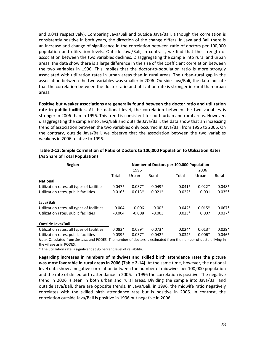and 0.041 respectively). Comparing Java/Bali and outside Java/Bali, although the correlation is consistently positive in both years, the direction of the change differs. In Java and Bali there is an increase and change of significance in the correlation between ratio of doctors per 100,000 population and utilization levels. Outside Java/Bali, in contrast, we find that the strength of association between the two variables declines. Disaggregating the sample into rural and urban areas, the data show there is a large difference in the size of the coefficient correlation between the two variables in 1996. This implies that the doctor-to-population ratio is more strongly associated with utilization rates in urban areas than in rural areas. The urban‐rural gap in the association between the two variables was smaller in 2006. Outside Java/Bali, the data indicate that the correlation between the doctor ratio and utilization rate is stronger in rural than urban areas.

**Positive but weaker associations are generally found between the doctor ratio and utilization rate in public facilities.** At the national level, the correlation between the two variables is stronger in 2006 than in 1996. This trend is consistent for both urban and rural areas. However, disaggregating the sample into Java/Bali and outside Java/Bali, the data show that an increasing trend of association between the two variables only occurred in Java/Bali from 1996 to 2006. On the contrary, outside Java/Bali, we observe that the association between the two variables weakens in 2006 relative to 1996.

| Number of Doctors per 100,000 Population |          |          |          |          |          |  |
|------------------------------------------|----------|----------|----------|----------|----------|--|
|                                          | 1996     |          | 2006     |          |          |  |
| Total                                    | Urban    | Rural    | Total    | Urban    | Rural    |  |
|                                          |          |          |          |          |          |  |
| $0.047*$                                 | $0.037*$ | $0.049*$ | $0.041*$ | $0.022*$ | $0.048*$ |  |
| $0.016*$                                 | $0.013*$ | $0.021*$ | $0.022*$ | 0.001    | $0.035*$ |  |
|                                          |          |          |          |          |          |  |
|                                          |          |          |          |          |          |  |
| 0.004                                    | $-0.006$ | 0.003    | $0.042*$ | $0.015*$ | $0.067*$ |  |
| $-0.004$                                 | $-0.008$ | $-0.003$ | $0.023*$ | 0.007    | $0.037*$ |  |
|                                          |          |          |          |          |          |  |
|                                          |          |          |          |          |          |  |
| $0.083*$                                 | $0.089*$ | $0.073*$ | $0.024*$ | $0.013*$ | $0.029*$ |  |
| $0.039*$                                 | $0.037*$ | $0.042*$ | $0.034*$ | $0.006*$ | $0.046*$ |  |
|                                          |          |          |          |          |          |  |

#### **Table 2‐13: Simple Correlation of Ratio of Doctors to 100,000 Population to Utilization Rates (As Share of Total Population)**

*Note*: Calculated from *Susenas* and PODES. The number of doctors is estimated from the number of doctors living in the village as in PODES.

\* The utilization rate is significant at 95 percent level of reliability.

**Regarding increases in numbers of midwives and skilled birth attendance rates the picture was most favorable in rural areas in 2006 (Table 2‐14)**. At the same time, however, the national level data show a negative correlation between the number of midwives per 100,000 population and the rate of skilled birth attendance in 2006. In 1996 the correlation is positive. The negative trend in 2006 is seen in both urban and rural areas. Dividing the sample into Java/Bali and outside Java/Bali, there are opposite trends. In Java/Bali, in 1996, the midwife ratio negatively correlates with the skilled birth attendance rate but is positive in 2006. In contrast, the correlation outside Java/Bali is positive in 1996 but negative in 2006.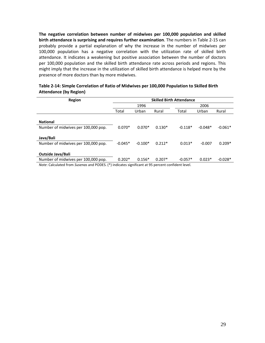**The negative correlation between number of midwives per 100,000 population and skilled birth attendance is surprising and requires further examination**. The numbers in Table 2‐15 can probably provide a partial explanation of why the increase in the number of midwives per 100,000 population has a negative correlation with the utilization rate of skilled birth attendance. It indicates a weakening but positive association between the number of doctors per 100,000 population and the skilled birth attendance rate across periods and regions. This might imply that the increase in the utilization of skilled birth attendance is helped more by the presence of more doctors than by more midwives.

| Region                                             | <b>Skilled Birth Attendance</b> |           |          |           |           |           |  |  |
|----------------------------------------------------|---------------------------------|-----------|----------|-----------|-----------|-----------|--|--|
|                                                    | 1996                            |           |          | 2006      |           |           |  |  |
|                                                    | Total                           | Urban     | Rural    | Total     | Urban     | Rural     |  |  |
|                                                    |                                 |           |          |           |           |           |  |  |
| <b>National</b>                                    |                                 |           |          |           |           |           |  |  |
| Number of midwives per 100,000 pop.                | $0.070*$                        | $0.070*$  | $0.130*$ | $-0.118*$ | $-0.048*$ | $-0.061*$ |  |  |
|                                                    |                                 |           |          |           |           |           |  |  |
| Java/Bali                                          |                                 |           |          |           |           |           |  |  |
| Number of midwives per 100,000 pop.                | $-0.045*$                       | $-0.100*$ | $0.212*$ | $0.013*$  | $-0.007$  | $0.209*$  |  |  |
|                                                    |                                 |           |          |           |           |           |  |  |
| <b>Outside Java/Bali</b>                           |                                 |           |          |           |           |           |  |  |
| Number of midwives per 100,000 pop.                | $0.202*$                        | $0.156*$  | $0.207*$ | $-0.057*$ | $0.023*$  | $-0.028*$ |  |  |
| $\cdots$ $\cdots$ $\cdots$ $\cdots$<br>$1 - 2 - 7$ | $\cdots$                        | $\cdots$  |          |           |           |           |  |  |

#### **Table 2‐14: Simple Correlation of Ratio of Midwives per 100,000 Population to Skilled Birth Attendance (by Region)**

*Note*: Calculated from *Susenas* and PODES. (\*) indicates significant at 95 percent confident level.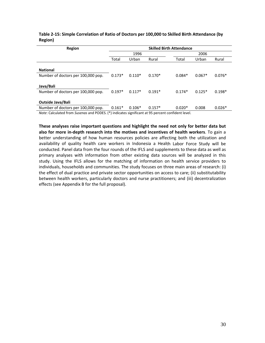| Region                                                                                          |          |          |          | <b>Skilled Birth Attendance</b> |          |          |
|-------------------------------------------------------------------------------------------------|----------|----------|----------|---------------------------------|----------|----------|
|                                                                                                 |          | 1996     |          |                                 | 2006     |          |
|                                                                                                 | Total    | Urban    | Rural    | Total                           | Urban    | Rural    |
|                                                                                                 |          |          |          |                                 |          |          |
| <b>National</b>                                                                                 |          |          |          |                                 |          |          |
| Number of doctors per 100,000 pop.                                                              | $0.173*$ | $0.110*$ | $0.170*$ | $0.084*$                        | $0.067*$ | $0.076*$ |
|                                                                                                 |          |          |          |                                 |          |          |
| Java/Bali                                                                                       |          |          |          |                                 |          |          |
| Number of doctors per 100,000 pop.                                                              | $0.197*$ | $0.117*$ | $0.191*$ | $0.174*$                        | $0.125*$ | $0.198*$ |
|                                                                                                 |          |          |          |                                 |          |          |
| <b>Outside Java/Bali</b>                                                                        |          |          |          |                                 |          |          |
| Number of doctors per 100,000 pop.                                                              | $0.161*$ | $0.106*$ | $0.157*$ | $0.020*$                        | 0.008    | $0.026*$ |
| Nata: Calculated from Sucange and DODES (*) indicatos significant at 05 norsent confident lovel |          |          |          |                                 |          |          |

#### **Table 2‐15: Simple Correlation of Ratio of Doctors per 100,000 to Skilled Birth Attendance (by Region)**

*Note*: Calculated from *Susenas* and PODES. (\*) indicates significant at 95 percent confident level.

**These analyses raise important questions and highlight the need not only for better data but also for more in‐depth research into the motives and incentives of health workers**. To gain a better understanding of how human resources policies are affecting both the utilization and availability of quality health care workers in Indonesia a Health Labor Force Study will be conducted. Panel data from the four rounds of the IFLS and supplements to these data as well as primary analyses with information from other existing data sources will be analyzed in this study. Using the IFLS allows for the matching of information on health service providers to individuals, households and communities. The study focuses on three main areas of research: (i) the effect of dual practice and private sector opportunities on access to care; (ii) substitutability between health workers, particularly doctors and nurse practitioners; and (iii) decentralization effects (see Appendix B for the full proposal).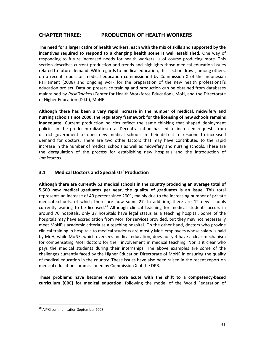# **CHAPTER THREE: PRODUCTION OF HEALTH WORKERS**

The need for a larger cadre of health workers, each with the mix of skills and supported by the **incentives required to respond to a changing health scene is well established.** One way of responding to future increased needs for health workers, is of course producing more. This section describes current production and trends and highlights those medical education issues related to future demand. With regards to medical education, this section draws, among others, on a recent report on medical education commissioned by Commission X of the Indonesian Parliament (2008) and ongoing work for the preparation of the new health professional's education project. Data on preservice training and production can be obtained from databases maintained by *Pusdiknakes* (Center for Health Workforce Education), MoH, and the Directorate of Higher Education (Dikti), MoNE.

**Although there has been a very rapid increase in the number of medical, midwifery and nursing schools since 2000, the regulatory framework for the licensing of new schools remains inadequate.** Current production policies reflect the same thinking that shaped deployment policies in the predecentralization era. Decentralization has led to increased requests from district government to open new medical schools in their district to respond to increased demand for doctors. There are two other factors that may have contributed to the rapid increase in the number of medical schools as well as midwifery and nursing schools. These are the deregulation of the process for establishing new hospitals and the introduction of *Jamkesmas*.

## **3.1 Medical Doctors and Specialists' Production**

**Although there are currently 52 medical schools in the country producing an average total of 5,500 new medical graduates per year, the quality of graduates is an issue.** This total represents an increase of 40 percent since 2001, mainly due to the increasing number of private medical schools, of which there are now some 27. In addition, there are 12 new schools currently waiting to be licensed.<sup>18</sup> Although clinical teaching for medical students occurs in around 70 hospitals, only 37 hospitals have legal status as a teaching hospital. Some of the hospitals may have accreditation from MoH for services provided, but they may not necessarily meet MoNE's academic criteria as a teaching hospital. On the other hand, doctors who provide clinical training in hospitals to medical students are mostly MoH employees whose salary is paid by MoH, while MoNE, which oversees medical education, does not yet have a clear mechanism for compensating MoH doctors for their involvement in medical teaching. Nor is it clear who pays the medical students during their internships. The above examples are some of the challenges currently faced by the Higher Education Directorate of MoNE in ensuring the quality of medical education in the country. These issues have also been raised in the recent report on medical education commissioned by Commission X of the DPR.

**These problems have become even more acute with the shift to a competency‐based curriculum (CBC) for medical education**, following the model of the World Federation of

<sup>&</sup>lt;sup>18</sup> AIPKI communication September 2008.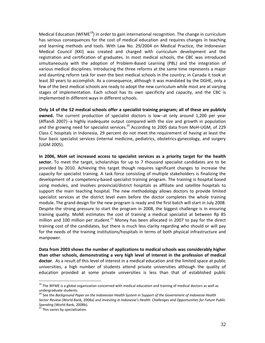Medical Education (WFME<sup>19</sup>) in order to gain international recognition. The change in curriculum has serious consequences for the cost of medical education and requires changes in teaching and learning methods and tools. With Law No. 29/2004 on Medical Practice, the Indonesian Medical Council (KKI) was created and charged with curriculum development and the registration and certification of graduates. In most medical schools, the CBC was introduced simultaneously with the adoption of Problem-Based Learning (PBL) and the integration of various medical disciplines. Introducing the three reforms at the same time represents a major and daunting reform task for even the best medical schools in the country; in Canada it took at least 30 years to accomplish. As a consequence, although it was mandated by the DGHE, only a few of the best medical schools are ready to adopt the new curriculum while most are at varying stages of implementation. Each school has its own specificity and capacity, and the CBC is implemented in different ways in different schools.

**Only 14 of the 52 medical schools offer a specialist training program; all of these are publicly owned.** The current production of specialist doctors is low--at only around 1,200 per year (Affandi 2007)‐‐a highly inadequate output compared with the size and growth in population and the growing need for specialist services.<sup>20</sup> According to 2005 data from MoH-UGM, of 229 Class C hospitals in Indonesia, 29 percent do not meet the requirement of having at least the four basic specialist services (internal medicine, pediatrics, obstetrics‐gynecology, and surgery (UGM 2005).

**In 2006, MoH set increased access to specialist services as a priority target for the health sector.** To meet the target, scholarships for up to 7 thousand specialist candidates are to be provided by 2010. Achieving this target though requires significant changes to increase the capacity for specialist training. A task force consisting of multiple stakeholders is finalizing the development of a competency‐based specialist training program. The training is hospital based using modules, and involves provincial/district hospitals as affiliate and satellite hospitals to support the main teaching hospital. The new methodology allows doctors to provide limited specialist services at the district level even before the doctor completes the whole training module. The grand design for the new program is ready and the first batch will start in July 2008. Despite the strong pressure to start the program in 2008, the biggest challenge is in ensuring training quality. MoNE estimates the cost of training a medical specialist at between Rp 85 million and 100 million per student.<sup>21</sup> Money has been allocated in 2007 to pay for the direct training cost of the candidates, but there is much less clarity regarding who should or will pay for the needs of the training institutions/hospitals in terms of both physical infrastructure and manpower.

**Data from 2003 shows the number of applications to medical schools was considerably higher than other schools, demonstrating a very high level of interest in the profession of medical doctor**. As a result of this level of interest in a medical education and the limited space at public universities, a high number of students attend private universities although the quality of education provided at some private universities is less than that of established public

<sup>&</sup>lt;sup>19</sup> The WFME is a global organization concerned with medical education and training of medical doctors as well as<br>undergraduate students.

<sup>&</sup>lt;sup>20</sup> See the Backaround Paper on the Indonesian Health System in Support of the Government of Indonesia Health *Sector Review* (World Bank, 2008a) and *Investing in Indonesia's Health: Challenges and Opportunities for Future Public*

<sup>&</sup>lt;sup>21</sup> This varies by specialization.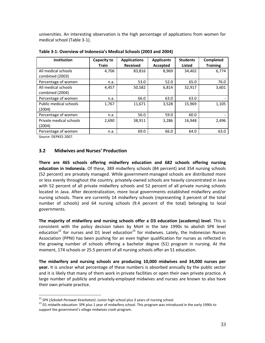universities. An interesting observation is the high percentage of applications from women for medical school (Table 3‐1).

| Institution                            | Capacity to<br><b>Train</b> | <b>Applications</b><br><b>Received</b> | <b>Applicants</b><br>Accepted | <b>Students</b><br><b>Listed</b> | <b>Completed</b><br><b>Training</b> |
|----------------------------------------|-----------------------------|----------------------------------------|-------------------------------|----------------------------------|-------------------------------------|
| All medical schools<br>combined (2003) | 4,706                       | 83,816                                 | 8,969                         | 34,402                           | 6,774                               |
| Percentage of women                    | n.a.                        | 53.0                                   | 52.0                          | 65.0                             | 76.0                                |
| All medical schools<br>combined (2004) | 4,457                       | 50,582                                 | 6,814                         | 32,917                           | 3,601                               |
| Percentage of women                    | n.a.                        | 66.0                                   | 63.0                          | 63.0                             |                                     |
| Public medical schools<br>(2004)       | 1,767                       | 11,671                                 | 3,528                         | 15,969                           | 1,105                               |
| Percentage of women                    | n.a.                        | 56.0                                   | 59.0                          | 60.0                             |                                     |
| Private medical schools<br>(2004)      | 2,690                       | 38,911                                 | 3,286                         | 16,948                           | 2,496                               |
| Percentage of women                    | n.a.                        | 69.0                                   | 66.0                          | 64.0                             | 63.0                                |

**Table 3‐1: Overview of Indonesia's Medical Schools (2003 and 2004)**

*Source*: DEPKES 2007.

 $\overline{a}$ 

#### **3.2 Midwives and Nurses' Production**

**There are 465 schools offering midwifery education and 682 schools offering nursing education in Indonesia.** Of these, 389 midwifery schools (84 percent) and 354 nursing schools (52 percent) are privately managed. While government‐managed schools are distributed more or less evenly throughout the country, privately‐owned schools are heavily concentrated in Java with 52 percent of all private midwifery schools and 52 percent of all private nursing schools located in Java. After decentralization, more local governments established midwifery and/or nursing schools. There are currently 14 midwifery schools (representing 3 percent of the total number of schools) and 64 nursing schools (9.4 percent of the total) belonging to local governments.

**The majority of midwifery and nursing schools offer a D3 education (academy) level**. This is consistent with the policy decision taken by MoH in the late 1990s to abolish SPK level education<sup>22</sup> for nurses and D1 level education<sup>23</sup> for midwives. Lately, the Indonesian Nurses Association (PPNI) has been pushing for an even higher qualification for nurses as reflected in the growing number of schools offering a bachelor degree (S1) program in nursing. At the moment, 174 schools or 25.5 percent of all nursing schools offer an S1 education.

**The midwifery and nursing schools are producing 10,000 midwives and 34,000 nurses per year.** It is unclear what percentage of these numbers is absorbed annually by the public sector and it is likely that many of them work in private facilities or open their own private practice. A large number of publicly and privately-employed midwives and nurses are known to also have their own private practice.

<sup>&</sup>lt;sup>22</sup> SPK (*Sekolah Perawat Kesehatan*): Junior high school plus 3 years of nursing school.<br><sup>23</sup> D1 midwife education: SPK plus 1 year of midwifery school. This program was introduced in the early 1990s to support the government's village midwives crash program.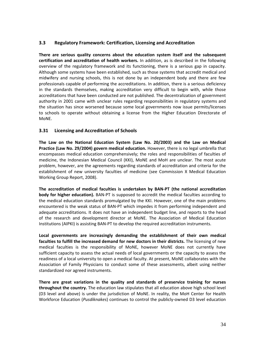### **3.3 Regulatory Framework: Certification, Licensing and Accreditation**

**There are serious quality concerns about the education system itself and the subsequent certification and accreditation of health workers.** In addition, as is described in the following overview of the regulatory framework and its functioning, there is a serious gap in capacity. Although some systems have been established, such as those systems that accredit medical and midwifery and nursing schools, this is not done by an independent body and there are few professionals capable of performing the accreditations. In addition, there is a serious deficiency in the standards themselves, making accreditation very difficult to begin with, while those accreditations that have been conducted are not published. The decentralization of government authority in 2001 came with unclear rules regarding responsibilities in regulatory systems and the situation has since worsened because some local governments now issue permits/licenses to schools to operate without obtaining a license from the Higher Education Directorate of MoNE.

### **3.31 Licensing and Accreditation of Schools**

**The Law on the National Education System (Law No. 20/2003) and the Law on Medical Practice (Law No. 29/2004) govern medical education.** However, there is no legal umbrella that encompasses medical education comprehensively; the roles and responsibilities of faculties of medicine, the Indonesian Medical Council (KKI), MoNE and MoH are unclear. The most acute problem, however, are the agreements regarding standards of accreditation and criteria for the establishment of new university faculties of medicine (see Commission X Medical Education Working Group Report, 2008).

**The accreditation of medical faculties is undertaken by BAN‐PT (the national accreditation body for higher education).** BAN‐PT is supposed to accredit the medical faculties according to the medical education standards promulgated by the KKI. However, one of the main problems encountered is the weak status of BAN‐PT which impedes it from performing independent and adequate accreditations. It does not have an independent budget line, and reports to the head of the research and development director at MoNE. The Association of Medical Education Institutions (AIPKI) is assisting BAN‐PT to develop the required accreditation instruments.

**Local governments are increasingly demanding the establishment of their own medical faculties to fulfill the increased demand for new doctors in their districts.** The licensing of new medical faculties is the responsibility of MoNE, however MoNE does not currently have sufficient capacity to assess the actual needs of local governments or the capacity to assess the readiness of a local university to open a medical faculty. At present, MoNE collaborates with the Association of Family Physicians to conduct some of these assessments, albeit using neither standardized nor agreed instruments.

**There are great variations in the quality and standards of preservice training for nurses throughout the country.** The education law stipulates that all education above high school level (D3 level and above) is under the jurisdiction of MoNE. In reality, the MoH Center for Health Workforce Education (*Pusdiknakes*) continues to control the publicly‐owned D3 level education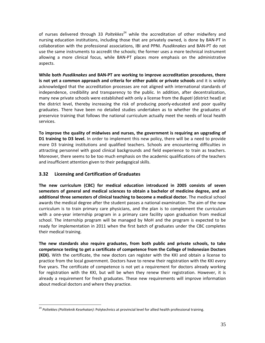of nurses delivered through 33 *Poltekkes*<sup>24</sup> while the accreditation of other midwifery and nursing education institutions, including those that are privately owned, is done by BAN‐PT in collaboration with the professional associations, IBI and PPNI. *Pusdiknakes* and BAN‐PT do not use the same instruments to accredit the schools; the former uses a more technical instrument allowing a more clinical focus, while BAN‐PT places more emphasis on the administrative aspects.

**While both** *Pusdiknakes* **and BAN‐PT are working to improve accreditation procedures, there is not yet a common approach and criteria for either public or private schools** and it is widely acknowledged that the accreditation processes are not aligned with international standards of independence, credibility and transparency to the public. In addition, after decentralization, many new private schools were established with only a license from the *Bupati* (district head) at the district level, thereby increasing the risk of producing poorly‐educated and poor quality graduates. There have been no detailed studies undertaken as to whether the graduates of preservice training that follows the national curriculum actually meet the needs of local health services.

**To improve the quality of midwives and nurses, the government is requiring an upgrading of D1 training to D3 level.** In order to implement this new policy, there will be a need to provide more D3 training institutions and qualified teachers. Schools are encountering difficulties in attracting personnel with good clinical backgrounds and field experience to train as teachers. Moreover, there seems to be too much emphasis on the academic qualifications of the teachers and insufficient attention given to their pedagogical skills.

## **3.32 Licensing and Certification of Graduates**

 $\overline{a}$ 

**The new curriculum (CBC) for medical education introduced in 2005 consists of seven semesters of general and medical sciences to obtain a bachelor of medicine degree, and an additional three semesters of clinical teaching to become a medical doctor.** The medical school awards the medical degree after the student passes a national examination. The aim of the new curriculum is to train primary care physicians, and the plan is to complement the curriculum with a one‐year internship program in a primary care facility upon graduation from medical school. The internship program will be managed by MoH and the program is expected to be ready for implementation in 2011 when the first batch of graduates under the CBC completes their medical training.

**The new standards also require graduates, from both public and private schools, to take competence testing to get a certificate of competence from the College of Indonesian Doctors (KDI).** With the certificate, the new doctors can register with the KKI and obtain a license to practice from the local government. Doctors have to renew their registration with the KKI every five years. The certificate of competence is not yet a requirement for doctors already working for registration with the KKI, but will be when they renew their registration. However, it is already a requirement for fresh graduates. These new requirements will improve information about medical doctors and where they practice.

<sup>24</sup> *Poltekkes (Politeknik Kesehatan)*: Polytechnics at provincial level for allied health professional training.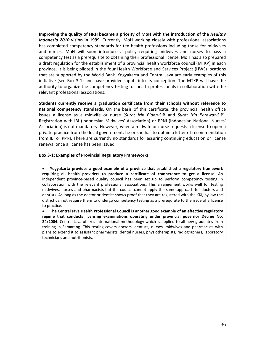**Improving the quality of HRH became a priority of MoH with the introduction of the** *Healthy Indonesia 2010* **vision in 1999.** Currently, MoH working closely with professional associations has completed competency standards for ten health professions including those for midwives and nurses. MoH will soon introduce a policy requiring midwives and nurses to pass a competency test as a prerequisite to obtaining their professional license. MoH has also prepared a draft regulation for the establishment of a provincial health workforce council (MTKP) in each province. It is being piloted in the four Health Workforce and Services Project (HWS) locations that are supported by the World Bank. Yogyakarta and Central Java are early examples of this initiative (see Box 3‐1) and have provided inputs into its conception. The MTKP will have the authority to organize the competency testing for health professionals in collaboration with the relevant professional associations.

**Students currently receive a graduation certificate from their schools without reference to national competency standards**. On the basis of this certificate, the provincial health office issues a license as a midwife or nurse (*Surat Izin Bidan*‐SIB and *Surat Izin Perawat*‐SIP). Registration with IBI (Indonesian Midwives' Association) or PPNI (Indonesian National Nurses' Association) is not mandatory. However, when a midwife or nurse requests a license to open a private practice from the local government, he or she has to obtain a letter of recommendation from IBI or PPNI. There are currently no standards for assuring continuing education or license renewal once a license has been issued.

#### **Box 3‐1: Examples of Provincial Regulatory Frameworks**

• **Yogyakarta provides a good example of a province that established a regulatory framework requiring all health providers to produce a certificate of competence to get a license**. An independent province-based quality council has been set up to perform competency testing in collaboration with the relevant professional associations. This arrangement works well for testing midwives, nurses and pharmacists but the council cannot apply the same approach for doctors and dentists. As long as the doctor or dentist shows proof that they are registered with the KKI, by law the district cannot require them to undergo competency testing as a prerequisite to the issue of a license to practice.

• **The Central Java Health Professional Council is another good example of an effective regulatory regime that conducts licensing examinations operating under provincial governor Decree No. 24/2004.** Central Java utilizes international methodology which is applied to all new graduates from training in Semarang. This testing covers doctors, dentists, nurses, midwives and pharmacists with plans to extend it to assistant pharmacists, dental nurses, physiotherapists, radiographers, laboratory technicians and nutritionists.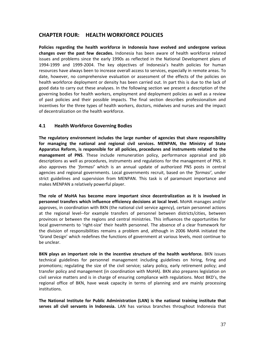## **CHAPTER FOUR: HEALTH WORKFORCE POLICIES**

**Policies regarding the health workforce in Indonesia have evolved and undergone various changes over the past few decades.** Indonesia has been aware of health workforce related issues and problems since the early 1990s as reflected in the National Development plans of 1994‐1999 and 1999‐2004. The key objectives of Indonesia's health policies for human resources have always been to increase overall access to services, especially in remote areas. To date, however, no comprehensive evaluation or assessment of the effects of the policies on health workforce deployment or density has been carried out. In part this is due to the lack of good data to carry out these analyses. In the following section we present a description of the governing bodies for health workers, employment and deployment policies as well as a review of past policies and their possible impacts. The final section describes professionalism and incentives for the three types of health workers, doctors, midwives and nurses and the impact of decentralization on the health workforce.

### **4.1 Health Workforce Governing Bodies**

**The regulatory environment includes the large number of agencies that share responsibility for managing the national and regional civil services. MENPAN, the Ministry of State Apparatus Reform, is responsible for all policies, procedures and instruments related to the management of PNS**. These include remuneration policy, performance appraisal and job descriptions as well as procedures, instruments and regulations for the management of PNS. It also approves the '*formasi'* which is an annual update of authorized PNS posts in central agencies and regional governments. Local governments recruit, based on the *'formasi'*, under strict guidelines and supervision from MENPAN. This task is of paramount importance and makes MENPAN a relatively powerful player.

**The role of MoHA has become more important since decentralization as it is involved in personnel transfers which influence efficiency decisions at local level.** MoHA manages and/or approves, in coordination with BKN (the national civil service agency), certain personnel actions at the regional level‐‐for example transfers of personnel between districts/cities, between provinces or between the regions and central ministries. This influences the opportunities for local governments to 'right‐size' their health personnel. The absence of a clear framework for the division of responsibilities remains a problem and, although in 2006 MoHA initiated the 'Grand Design' which redefines the functions of government at various levels, most continue to be unclear.

**BKN plays an important role in the incentive structure of the health workforce.** BKN issues technical guidelines for personnel management including guidelines on hiring, firing and promotions; regulating the size of the civil service; salary policy, early retirement policy; and transfer policy and management (in coordination with MoHA). BKN also prepares legislation on civil service matters and is in charge of ensuring compliance with regulations. Most BKD's, the regional office of BKN, have weak capacity in terms of planning and are mainly processing institutions.

**The National Institute for Public Administration (LAN) is the national training institute that serves all civil servants in Indonesia.** LAN has various branches throughout Indonesia that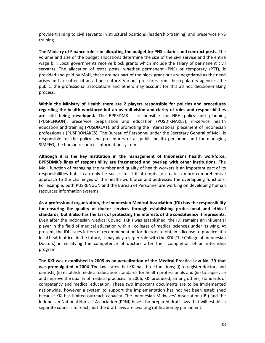provide training to civil servants in structural positions (leadership training) and preservice PNS training.

**The Ministry of Finance role is in allocating the budget for PNS salaries and contract posts.** The volume and size of the budget allocations determine the size of the civil service and the entire wage bill. Local governments receive block grants which include the salary of permanent civil servants. The allocation of extra posts, whether permanent (PNS) or temporary (PTT), is provided and paid by MoH, these are not part of the block grant but are negotiated as the need arises and are often of an ad hoc nature. Various pressures from the regulatory agencies, the public, the professional associations and others may account for this ad hoc decision‐making process.

**Within the Ministry of Health there are 2 players responsible for policies and procedures regarding the health workforce but an overall vision and clarity of roles and responsibilities are still being developed.** The BPPSDMK is responsible for HRH policy and planning (PUSRENGUN); preservice preparation and education (PUSDIKNAKES); in‐service health education and training (PUSDIKLAT), and promoting the international placement of Indonesian professionals (PUSPRONAKES). The Bureau of Personnel under the Secretary General of MoH is responsible for the policy and procedures of all public health personnel and for managing SIMPEG, the human resources information system.

**Although it is the key institution in the management of Indonesia's health workforce, BPPSDMK's lines of responsibility are fragmented and overlap with other institutions.** The MoH function of managing the number and quality of health workers is an important part of its responsibilities but it can only be successful if it attempts to create a more comprehensive approach to the challenges of the health workforce and addresses the overlapping functions. For example, both PUSRENGUN and the Bureau of Personnel are working on developing human resources information systems.

**As a professional organization, the Indonesian Medical Association (IDI) has the responsibility for ensuring the quality of doctor services through establishing professional and ethical standards, but it also has the task of protecting the interests of the constituency it represents**. Even after the Indonesian Medical Council (KKI) was established, the IDI remains an influential player in the field of medical education with all colleges of medical sciences under its wing. At present, the IDI issues letters of recommendation for doctors to obtain a license to practice at a local health office. In the future, it may play a larger role with the KDI (The College of Indonesian Doctors) in certifying the competence of doctors after their completion of an internship program.

**The KKI was established in 2005 as an actualization of the Medical Practice Law No. 29 that was promulgated in 2004**. The law states that KKI has three functions; (i) to register doctors and dentists, (ii) establish medical education standards for health professionals and (iii) to supervise and improve the quality of medical practices. In 2006, KKI produced, among others, standards of competency and medical education. These two important documents are to be implemented nationwide, however a system to support the implementation has not yet been established because KKI has limited outreach capacity. The Indonesian Midwives' Association (IBI) and the Indonesian National Nurses' Association (PPNI) have also prepared draft laws that will establish separate councils for each, but the draft laws are awaiting ratification by parliament.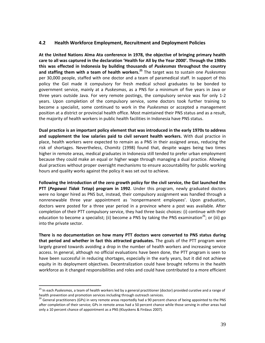#### **4.2 Health Workforce Employment, Recruitment and Deployment Policies**

**At the United Nations Alma Ata conference in 1978, the objective of bringing primary health care to all was captured in the declaration 'Health for All by the Year 2000'. Through the 1980s this was effected in Indonesia by building thousands of** *Puskesmas* **throughout the country and staffing them with a team of health workers.<sup>25</sup>** The target was to sustain one *Puskesmas* per 30,000 people, staffed with one doctor and a team of paramedical staff. In support of this policy the GoI made it compulsory for fresh medical school graduates to be bonded to government service, mainly at a *Puskesmas*, as a PNS for a minimum of five years in Java or three years outside Java. For very remote postings, the compulsory service was for only 1‐2 years. Upon completion of the compulsory service, some doctors took further training to become a specialist, some continued to work in the *Puskesmas* or accepted a management position at a district or provincial health office. Most maintained their PNS status and as a result, the majority of health workers in public health facilities in Indonesia have PNS status.

**Dual practice is an important policy element that was introduced in the early 1970s to address and supplement the low salaries paid to civil servant health workers.** With dual practice in place, health workers were expected to remain as a PNS in their assigned areas, reducing the risk of shortages. Nevertheless, Chomitz (1998) found that, despite wages being two times higher in remote areas, medical graduates in Indonesia still tended to prefer urban employment because they could make an equal or higher wage through managing a dual practice. Allowing dual practices without proper oversight mechanisms to ensure accountability for public working hours and quality works against the policy it was set out to achieve.

**Following the introduction of the zero growth policy for the civil service, the GoI launched the PTT (***Pegawai Tidak Tetap***) program in 1992**. Under this program, newly graduated doctors were no longer hired as PNS but, instead, their compulsory assignment was handled through a nonrenewable three year appointment as 'nonpermanent employees'. Upon graduation, doctors were posted for a three year period in a province where a post was available. After completion of their PTT compulsory service, they had three basic choices: (i) continue with their education to become a specialist; (ii) become a PNS by taking the PNS examination<sup>26</sup>; or (iii) go into the private sector.

**There is no documentation on how many PTT doctors were converted to PNS status during that period and whether in fact this attracted graduates.** The goals of the PTT program were largely geared towards avoiding a drop in the number of health workers and increasing service access. In general, although no official evaluations have been done, the PTT program is seen to have been successful in reducing shortages, especially in the early years, but it did not achieve equity in its deployment objectives. Decentralization could have brought reforms in the health workforce as it changed responsibilities and roles and could have contributed to a more efficient

<sup>&</sup>lt;sup>25</sup> In each *Puskesmas*, a team of health workers led by a general practitioner (doctor) provided curative and a range of<br>health prevention and promotion services including through outreach services.

<sup>&</sup>lt;sup>26</sup> General practitioners (GPs) in very remote areas reportedly had a 90 percent chance of being appointed to the PNS after completion of their service; GPs in remote areas had a 50 percent chance while those serving in other areas had only a 10 percent chance of appointment as a PNS (Kluyskens & Firdaus 2007).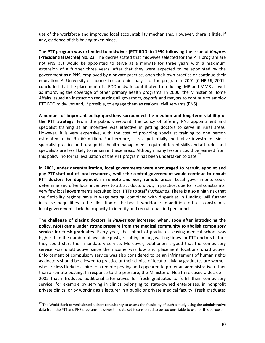use of the workforce and improved local accountability mechanisms. However, there is little, if any, evidence of this having taken place.

**The PTT program was extended to midwives (PTT BDD) in 1994 following the issue of** *Keppres* **(Presidential Decree) No. 23**. The decree stated that midwives selected for the PTT program are not PNS but would be appointed to serve as a midwife for three years with a maximum extension of a further three years. After that they were expected to be appointed by the government as a PNS, employed by a private practice, open their own practice or continue their education. A University of Indonesia economic analysis of the program in 2001 (CfHR-UI, 2001) concluded that the placement of a BDD midwife contributed to reducing IMR and MMR as well as improving the coverage of other primary health programs. In 2000, the Minister of Home Affairs issued an instruction requesting all governors, *bupati*s and mayors to continue to employ PTT BDD midwives and, if possible, to engage them as regional civil servants (PNS).

**A number of important policy questions surrounded the medium and long‐term viability of the PTT strategy.** From the public viewpoint, the policy of offering PNS appointment and specialist training as an incentive was effective in getting doctors to serve in rural areas. However, it is very expensive, with the cost of providing specialist training to one person estimated to be Rp 60 million. Furthermore, it is a potentially ineffective investment since specialist practice and rural public health management require different skills and attitudes and specialists are less likely to remain in these areas. Although many lessons could be learned from this policy, no formal evaluation of the PTT program has been undertaken to date.<sup>27</sup>

**In 2001, under decentralization, local governments were encouraged to recruit, appoint and pay PTT staff out of local resources, while the central government would continue to recruit PTT doctors for deployment in remote and very remote areas**. Local governments could determine and offer local incentives to attract doctors but, in practice, due to fiscal constraints, very few local governments recruited local PTTs to staff *Puskesmas*. There is also a high risk that the flexibility regions have in wage setting, combined with disparities in funding, will further increase inequalities in the allocation of the health workforce. In addition to fiscal constraints, local governments lack the capacity to identify and recruit qualified personnel.

**The challenge of placing doctors in** *Puskesmas* **increased when, soon after introducing the policy, MoH came under strong pressure from the medical community to abolish compulsory service for fresh graduates.** Every year, the cohort of graduates leaving medical school was higher than the number of available posts, resulting in long waiting times for PTT doctors before they could start their mandatory service. Moreover, petitioners argued that the compulsory service was unattractive since the income was low and placement locations unattractive. Enforcement of compulsory service was also considered to be an infringement of human rights as doctors should be allowed to practice at their choice of location. Many graduates are women who are less likely to aspire to a remote posting and appeared to prefer an administrative rather than a remote posting. In response to the pressure, the Minister of Health released a decree in 2002 that introduced additional alternatives for fresh graduates to fulfill their compulsory service, for example by serving in clinics belonging to state-owned enterprises, in nonprofit private clinics, or by working as a lecturer in a public or private medical faculty. Fresh graduates

<sup>&</sup>lt;sup>27</sup> The World Bank commissioned a short consultancy to assess the feasibility of such a study using the administrative data from the PTT and PNS programs however the data set is considered to be too unreliable to use for this purpose.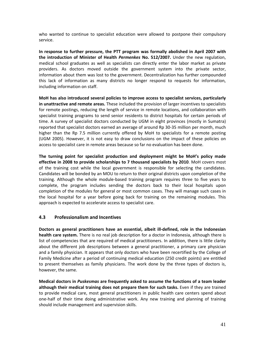who wanted to continue to specialist education were allowed to postpone their compulsory service.

**In response to further pressure, the PTT program was formally abolished in April 2007 with the introduction of Minister of Health** *Permenkes* **No. 512/2007.** Under the new regulation, medical school graduates as well as specialists can directly enter the labor market as private providers. As doctors moved outside the government system into the private sector, information about them was lost to the government. Decentralization has further compounded this lack of information as many districts no longer respond to requests for information, including information on staff.

**MoH has also introduced several policies to improve access to specialist services, particularly in unattractive and remote areas.** These included the provision of larger incentives to specialists for remote postings, reducing the length of service in remote locations, and collaboration with specialist training programs to send senior residents to district hospitals for certain periods of time. A survey of specialist doctors conducted by UGM in eight provinces (mostly in Sumatra) reported that specialist doctors earned an average of around Rp 30‐35 million per month, much higher than the Rp 7.5 million currently offered by MoH to specialists for a remote posting (UGM 2005). However, it is not easy to draw conclusions on the impact of these policies on access to specialist care in remote areas because so far no evaluation has been done.

**The turning point for specialist production and deployment might be MoH's policy made effective in 2008 to provide scholarships to 7 thousand specialists by 2010**. MoH covers most of the training cost while the local government is responsible for selecting the candidates. Candidates will be bonded by an MOU to return to their original districts upon completion of the training. Although the whole module‐based training program requires three to five years to complete, the program includes sending the doctors back to their local hospitals upon completion of the modules for general or most common cases. They will manage such cases in the local hospital for a year before going back for training on the remaining modules. This approach is expected to accelerate access to specialist care.

### **4.3 Professionalism and Incentives**

**Doctors as general practitioners have an essential, albeit ill‐defined, role in the Indonesian health care system.** There is no real job description for a doctor in Indonesia, although there is list of competencies that are required of medical practitioners. In addition, there is little clarity about the different job descriptions between a general practitioner, a primary care physician and a family physician. It appears that only doctors who have been recertified by the College of Family Medicine after a period of continuing medical education (250 credit points) are entitled to present themselves as family physicians. The work done by the three types of doctors is, however, the same.

**Medical doctors in** *Puskesmas* **are frequently asked to assume the functions of a team leader although their medical training does not prepare them for such tasks.** Even if they are trained to provide medical care, most general practitioners in public health care centers spend about one‐half of their time doing administrative work. Any new training and planning of training should include management and supervision skills.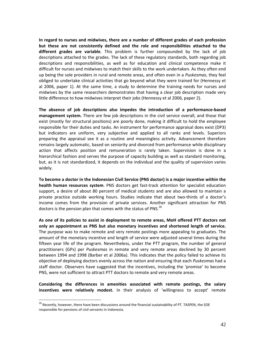**In regard to nurses and midwives, there are a number of different grades of each profession but these are not consistently defined and the role and responsibilities attached to the different grades are variable**. This problem is further compounded by the lack of job descriptions attached to the grades. The lack of these regulatory standards, both regarding job descriptions and responsibilities, as well as for education and clinical competence make it difficult for nurses and midwives to match their skills to the work undertaken. As they often end up being the sole providers in rural and remote areas, and often even in a *Puskesmas*, they feel obliged to undertake clinical activities that go beyond what they were trained for (Hennessy et al 2006, paper 1). At the same time, a study to determine the training needs for nurses and midwives by the same researchers demonstrates that having a clear job description made very little difference to how midwives interpret their jobs (Hennessy et al 2006, paper 2).

**The absence of job descriptions also impedes the introduction of a performance‐based management system.** There are few job descriptions in the civil service overall, and those that exist (mostly for structural positions) are poorly done, making it difficult to hold the employee responsible for their duties and tasks. An instrument for performance appraisal does exist (DP3) but indicators are uniform, very subjective and applied to all ranks and levels. Superiors preparing the appraisal see it as a routine and meaningless activity. Advancement therefore remains largely automatic, based on seniority and divorced from performance while disciplinary action that affects position and remuneration is rarely taken. Supervision is done in a hierarchical fashion and serves the purpose of capacity building as well as standard monitoring, but, as it is not standardized, it depends on the individual and the quality of supervision varies widely.

**To become a doctor in the Indonesian Civil Service (PNS doctor) is a major incentive within the health human resources system**. PNS doctors get fast‐track attention for specialist education support, a desire of about 80 percent of medical students and are also allowed to maintain a private practice outside working hours. Studies indicate that about two‐thirds of a doctor's income comes from the provision of private services. Another significant attraction for PNS doctors is the pension plan that comes with the status of PNS.<sup>28</sup>

**As one of its policies to assist in deployment to remote areas, MoH offered PTT doctors not only an appointment as PNS but also monetary incentives and shortened length of service.** The purpose was to make remote and very remote postings more appealing to graduates. The amount of the monetary incentive and length of service were adjusted several times during the fifteen year life of the program. Nevertheless, under the PTT program, the number of general practitioners (GPs) per *Puskesmas* in remote and very remote areas declined by 30 percent between 1994 and 1998 (Barber et al 2006a). This indicates that the policy failed to achieve its objective of deploying doctors evenly across the nation and ensuring that each *Puskesmas* had a staff doctor. Observers have suggested that the incentives, including the 'promise' to become PNS, were not sufficient to attract PTT doctors to remote and very remote areas.

**Considering the differences in amenities associated with remote postings, the salary incentives were relatively modest.** In their analysis of 'willingness to accept' remote

<sup>&</sup>lt;sup>28</sup> Recently, however, there have been discussions around the financial sustainability of PT. TASPEN, the SOE responsible for pensions of civil servants in Indonesia.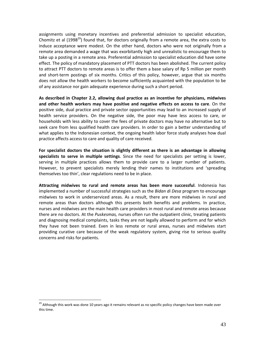assignments using monetary incentives and preferential admission to specialist education, Chomitz et al (1998<sup>29</sup>) found that, for doctors originally from a remote area, the extra costs to induce acceptance were modest. On the other hand, doctors who were not originally from a remote area demanded a wage that was exorbitantly high and unrealistic to encourage them to take up a posting in a remote area. Preferential admission to specialist education did have some effect. The policy of mandatory placement of PTT doctors has been abolished. The current policy to attract PTT doctors to remote areas is to offer them a base salary of Rp 5 million per month and short-term postings of six months. Critics of this policy, however, argue that six months does not allow the health workers to become sufficiently acquainted with the population to be of any assistance nor gain adequate experience during such a short period.

**As described in Chapter 2.2, allowing dual practice as an incentive for physicians, midwives and other health workers may have positive and negative effects on access to care**. On the positive side, dual practice and private sector opportunities may lead to an increased supply of health service providers. On the negative side, the poor may have less access to care, or households with less ability to cover the fees of private doctors may have no alternative but to seek care from less qualified health care providers. In order to gain a better understanding of what applies to the Indonesian context, the ongoing health labor force study analyses how dual practice affects access to care and quality of care received.

**For specialist doctors the situation is slightly different as there is an advantage in allowing specialists to serve in multiple settings**. Since the need for specialists per setting is lower, serving in multiple practices allows them to provide care to a larger number of patients. However, to prevent specialists merely lending their names to institutions and 'spreading themselves too thin', clear regulations need to be in place.

**Attracting midwives to rural and remote areas has been more successful**. Indonesia has implemented a number of successful strategies such as the *Bidan di Desa* program to encourage midwives to work in underserviced areas. As a result, there are more midwives in rural and remote areas than doctors although this presents both benefits and problems. In practice, nurses and midwives are the main health care providers in most rural and remote areas because there are no doctors. At the *Puskesmas,* nurses often run the outpatient clinic, treating patients and diagnosing medical complaints, tasks they are not legally allowed to perform and for which they have not been trained. Even in less remote or rural areas, nurses and midwives start providing curative care because of the weak regulatory system, giving rise to serious quality concerns and risks for patients.

<sup>&</sup>lt;sup>29</sup> Although this work was done 10 years ago it remains relevant as no specific policy changes have been made over this time.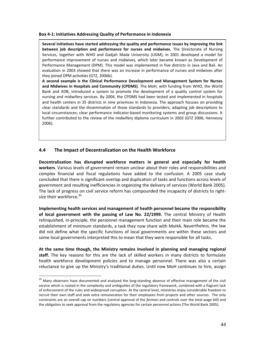#### **Box 4‐1: Initiatives Addressing Quality of Performance in Indonesia**

**Several initiatives have started addressing the quality and performance issues by improving the link between job description and performance for nurses and midwives.** The Directorate of Nursing Services, together with WHO and Gadjah Mada University (UGM), in 2001 developed a model for performance improvement of nurses and midwives, which later became known as Development of Performance Management (DPM). This model was implemented in five districts in Java and Bali. An evaluation in 2003 showed that there was an increase in performance of nurses and midwives after they joined DPM activities (GTZ, 2006b).

**A second example is the Clinical Performance Development and Management System for Nurses and Midwives in Hospitals and Community (CPDMS)**. The MoH, with funding from WHO, the World Bank and ADB, introduced a system to promote the development of a quality control system for nursing and midwifery services. By 2004, the CPDMS had been tested and implemented in hospitals and health centers in 35 districts in nine provinces in Indonesia. The approach focuses on providing clear standards and the dissemination of those standards to providers; adapting job descriptions to local circumstances; clear performance indicator-based monitoring systems and group discussions. It further contributed to the review of the midwifery diploma curriculum in 2002 (GTZ 2006; Hennessy 2006).

### **4.4 The Impact of Decentralization on the Health Workforce**

 $\overline{a}$ 

**Decentralization has disrupted workforce matters in general and especially for health workers**. Various levels of government remain unclear about their roles and responsibilities and complex financial and fiscal regulations have added to the confusion. A 2005 case study concluded that there is significant overlap and duplication of tasks and functions across levels of government and resulting inefficiencies in organizing the delivery of services (World Bank 2005). The lack of progress on civil service reform has compounded the incapacity of districts to right‐ size their workforce.<sup>30</sup>

**Implementing health services and management of health personnel became the responsibility of local government with the passing of Law No. 22/1999.** The central Ministry of Health relinquished, in‐principle, the personnel management function and their main role became the establishment of minimum standards, a task they now share with MoHA. Nevertheless, the law did not define what the specific functions of local governments are within these sectors and some local governments interpreted this to mean that they were responsible for all tasks.

**At the same time though, the Ministry remains involved in planning and managing regional staff.** The key reasons for this are the lack of skilled workers in many districts to formulate health workforce development policies and to manage personnel. There was also a certain reluctance to give up the Ministry's traditional duties. Until now MoH continues to hire, assign

<sup>&</sup>lt;sup>30</sup> Many observers have documented and analyzed the long-standing absence of effective management of the civil service which is rooted in the complexity and ambiguities of the regulatory framework, combined with a flagrant lack of enforcement of the rules and widespread corruption. At the central level, ministries enjoy considerable freedom to recruit their own staff and seek extra remuneration for their employees from projects and other sources. The only constraints are an overall cap on numbers (central approval of the *formasi* and controls over the total wage bill) and the obligation to seek approval from the regulatory agencies for certain personnel actions (The World Bank 2005).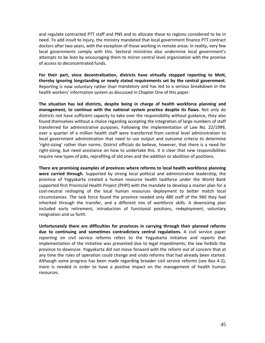and regulate contracted PTT staff and PNS and to allocate these to regions considered to be in need. To add insult to injury, the ministry mandated that local government finance PTT contract doctors after two years, with the exception of those working in remote areas. In reality, very few local governments comply with this. Sectoral ministries also undermine local government's attempts to be lean by encouraging them to mirror central level organization with the promise of access to deconcentrated funds.

**For their part, since decentralization, districts have virtually stopped reporting to MoH, thereby ignoring longstanding or newly stated requirements set by the central government**. Reporting is now voluntary rather than mandatory and has led to a serious breakdown in the health workers' information system as discussed in Chapter One of this paper.

**The situation has led districts, despite being in charge of health workforce planning and management, to continue with the national system practice despite its flaws.** Not only do districts not have sufficient capacity to take over the responsibility without guidance, they also found themselves without a choice regarding accepting the integration of large numbers of staff transferred for administrative purposes. Following the implementation of Law No. 22/1999, over a quarter of a million health staff were transferred from central level administration to local government administration that need to use output and outcome criteria to determine 'right‐sizing' rather than norms. District officials do believe, however, that there is a need for right-sizing, but need assistance on how to undertake this. It is clear that new responsibilities require new types of jobs, reprofiling of old ones and the addition or abolition of positions.

**There are promising examples of provinces where reforms to local health workforce planning were carried through.** Supported by strong local political and administrative leadership, the province of Yogyakarta created a human resource health taskforce under the World Bank supported first Provincial Health Project (PHPI) with the mandate to develop a master plan for a cost‐neutral reshaping of the local human resources deployment to better match local circumstances. The task force found the province needed only 480 staff of the 960 they had inherited through the transfer, and a different mix of workforce skills. A downsizing plan included early retirement, introduction of functional positions, redeployment, voluntary resignation and so forth.

**Unfortunately there are difficulties for provinces in carrying through their planned reforms due to continuing and sometimes contradictory central regulations.** A civil service paper reporting on civil service reforms refers to the Yogyakarta initiative and reports that implementation of the initiative was prevented due to legal impediments; the law forbids the province to downsize. Yogyakarta did not move forward with the reform out of concern that at any time the rules of operation could change and undo reforms that had already been started. Although some progress has been made regarding broader civil service reforms (see Box 4‐2), more is needed in order to have a positive impact on the management of health human resources.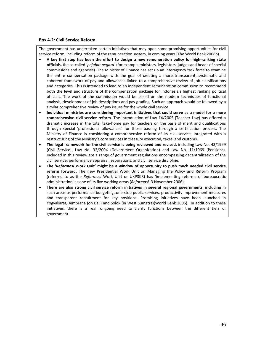#### **Box 4‐2: Civil Service Reform**

The government has undertaken certain initiatives that may open some promising opportunities for civil service reform, including reform of the remuneration system, in coming years (The World Bank 2008b).

- A key first step has been the effort to design a new remuneration policy for high-ranking state **officials,** the so‐called '*pejabat negara'* (for example ministers, legislators, judges and heads of special commissions and agencies). The Minister of Finance has set up an interagency task force to examine the entire compensation package with the goal of creating a more transparent, systematic and coherent framework of pay and allowances linked to a comprehensive review of job classifications and categories. This is intended to lead to an independent remuneration commission to recommend both the level and structure of the compensation package for Indonesia's highest ranking political officials. The work of the commission would be based on the modern techniques of functional analysis, development of job descriptions and pay grading. Such an approach would be followed by a similar comprehensive review of pay issues for the whole civil service.
- **Individual ministries are considering important initiatives that could serve as a model for a more comprehensive civil service reform**. The introduction of Law 14/2005 (Teacher Law) has offered a dramatic increase in the total take‐home pay for teachers on the basis of merit and qualifications through special 'professional allowances' for those passing through a certification process. The Ministry of Finance is considering a comprehensive reform of its civil service, integrated with a restructuring of the Ministry's core services in treasury execution, taxes, and customs.
- **The legal framework for the civil service is being reviewed and revised,** including Law No. 43/1999 (Civil Service), Law No. 32/2004 (Government Organization) and Law No. 11/1969 (Pensions). Included in this review are a range of government regulations encompassing decentralization of the civil service, performance appraisal, separations, and civil service discipline.
- **The '***Reformasi* **Work Unit' might be a window of opportunity to push much needed civil service reform forward.** The new Presidential Work Unit on Managing the Policy and Reform Program (referred to as the *Reformasi* Work Unit or UKP3KR) has 'implementing reforms of bureaucratic administration' as one of its five working areas (*Reformasi*, 3 November 2006).
- **There are also strong civil service reform initiatives in several regional governments**, including in such areas as performance budgeting, one‐stop public services, productivity improvement measures and transparent recruitment for key positions. Promising initiatives have been launched in Yogyakarta, Jembrana (on Bali) and Solok (in West Sumatra)(World Bank 2006). In addition to these initiatives, there is a real, ongoing need to clarify functions between the different tiers of government.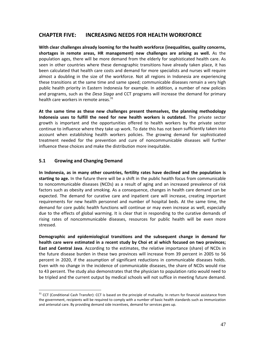# **CHAPTER FIVE: INCREASING NEEDS FOR HEALTH WORKFORCE**

**With clear challenges already looming for the health workforce (inequalities, quality concerns, shortages in remote areas, HR management) new challenges are arising as well.** As the population ages, there will be more demand from the elderly for sophisticated health care. As seen in other countries where these demographic transitions have already taken place, it has been calculated that health care costs and demand for more specialists and nurses will require almost a doubling in the size of the workforce. Not all regions in Indonesia are experiencing these transitions at the same time and same speed; communicable diseases remain a very high public health priority in Eastern Indonesia for example. In addition, a number of new policies and programs, such as the *Desa Siaga* and CCT programs will increase the demand for primary health care workers in remote areas.<sup>31</sup>

**At the same time as these new challenges present themselves, the planning methodology Indonesia uses to fulfill the need for new health workers is outdated.** The private sector growth is important and the opportunities offered to health workers by the private sector continue to influence where they take up work. To date this has not been sufficiently taken into account when establishing health workers policies. The growing demand for sophisticated treatment needed for the prevention and cure of noncommunicable diseases will further influence these choices and make the distribution more inequitable.

### **5.1 Growing and Changing Demand**

 $\overline{a}$ 

**In Indonesia, as in many other countries, fertility rates have declined and the population is starting to age.** In the future there will be a shift in the public health focus from communicable to noncommunicable diseases (NCDs) as a result of aging and an increased prevalence of risk factors such as obesity and smoking. As a consequence, changes in health care demand can be expected. The demand for curative care and inpatient care will increase, creating important requirements for new health personnel and number of hospital beds. At the same time, the demand for core public health functions will continue or may even increase as well, especially due to the effects of global warming. It is clear that in responding to the curative demands of rising rates of noncommunicable diseases, resources for public health will be even more stressed.

**Demographic and epidemiological transitions and the subsequent change in demand for health care were estimated in a recent study by Choi et al which focused on two provinces; East and Central Java**. According to the estimates, the relative importance (share) of NCDs in the future disease burden in these two provinces will increase from 39 percent in 2005 to 56 percent in 2020, if the assumption of significant reductions in communicable diseases holds. Even with no change in the incidence of communicable diseases, the share of NCDs would rise to 43 percent. The study also demonstrates that the physician to population ratio would need to be tripled and the current output by medical schools will not suffice in meeting future demand.

<sup>&</sup>lt;sup>31</sup> CCT (Conditional Cash Transfer): CCT is based on the principle of mutuality. In return for financial assistance from the government, recipients will be required to comply with a number of basic health standards such as immunization and antenatal care. By providing demand side incentives, demand for services goes up.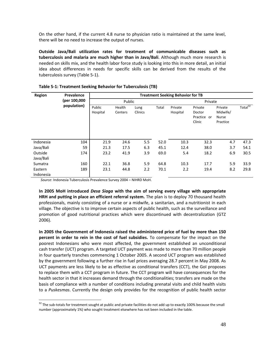On the other hand, if the current 4.8 nurse to physician ratio is maintained at the same level, there will be no need to increase the output of nurses.

**Outside Java/Bali utilization rates for treatment of communicable diseases such as tuberculosis and malaria are much higher than in Java/Bali**. Although much more research is needed on skills mix, and the health labor force study is looking into this in more detail, an initial idea about differences in needs for specific skills can be derived from the results of the tuberculosis survey (Table 5‐1).

| <b>Region</b>        | Prevalence   | <b>Treatment Seeking Behavior for TB</b> |                   |                 |       |                     |                                            |                                                 |            |  |
|----------------------|--------------|------------------------------------------|-------------------|-----------------|-------|---------------------|--------------------------------------------|-------------------------------------------------|------------|--|
|                      | (per 100,000 |                                          | Public            |                 |       | Private             |                                            |                                                 |            |  |
|                      | population)  | Public<br>Hospital                       | Health<br>Centers | Lung<br>Clinics | Total | Private<br>Hospital | Private<br>Doctor<br>Practice or<br>Clinic | Private<br>Midwife/<br><b>Nurse</b><br>Practice | Total $32$ |  |
| Indonesia            | 104          | 21.9                                     | 24.6              | 5.5             | 52.0  | 10.3                | 32.3                                       | 4.7                                             | 47.3       |  |
| Java/Bali            | 59           | 21.3                                     | 17.5              | 6.3             | 45.1  | 12.4                | 38.0                                       | 3.7                                             | 54.1       |  |
| Outside<br>Java/Bali | 174          | 23.2                                     | 41.9              | 3.9             | 69.0  | 5.4                 | 18.2                                       | 6.9                                             | 30.5       |  |
| Sumatra              | 160          | 22.1                                     | 36.8              | 5.9             | 64.8  | 10.3                | 17.7                                       | 5.9                                             | 33.9       |  |
| Eastern<br>Indonesia | 189          | 23.1                                     | 44.8              | 2.2             | 70.1  | 2.2                 | 19.4                                       | 8.2                                             | 29.8       |  |

| Table 5-1: Treatment Seeking Behavior for Tuberculosis (TB) |  |
|-------------------------------------------------------------|--|
|-------------------------------------------------------------|--|

*Source*: Indonesia Tuberculosis Prevalence Survey 2004 – NIHRD MoH.

 $\overline{a}$ 

**In 2005 MoH introduced** *Desa Siaga* **with the aim of serving every village with appropriate HRH and putting in place an efficient referral system.** The plan is to deploy 70 thousand health professionals, mainly consisting of a nurse or a midwife, a sanitarian, and a nutritionist in each village. The objective is to improve certain aspects of public health, such as the surveillance and promotion of good nutritional practices which were discontinued with decentralization (GTZ 2006).

**In 2005 the Government of Indonesia raised the administered price of fuel by more than 150 percent in order to rein in the cost of fuel subsidies.** To compensate for the impact on the poorest Indonesians who were most affected, the government established an unconditional cash transfer (UCT) program. A targeted UCT payment was made to more than 70 million people in four quarterly tranches commencing 1 October 2005. A second UCT program was established by the government following a further rise in fuel prices averaging 28.7 percent in May 2008. As UCT payments are less likely to be as effective as conditional transfers (CCT), the GoI proposes to replace them with a CCT program in future. The CCT program will have consequences for the health sector in that it increases demand through the conditionalities; transfers are made on the basis of compliance with a number of conditions including prenatal visits and child health visits to a *Puskesmas*. Currently the design only provides for the recognition of public health sector

 $32$  The sub-totals for treatment sought at public and private facilities do not add up to exactly 100% because the small number (approximately 1%) who sought treatment elsewhere has not been included in the table.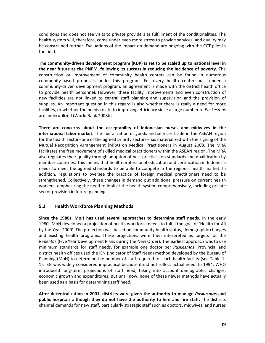conditions and does not see visits to private providers as fulfillment of the conditionalities. The health system will, therefore, come under even more stress to provide services, and quality may be constrained further. Evaluations of the impact on demand are ongoing with the CCT pilot in the field.

**The community‐driven development program (KDP) is set to be scaled up to national level in the near future as the PNPM, following its success in reducing the incidence of poverty.** The construction or improvement of community health centers can be found in numerous community-based proposals under this program. For every health center built under a community‐driven development program, an agreement is made with the district health office to provide health personnel. However, these facility improvements and even construction of new facilities are not linked to central staff planning and supervision and the provision of supplies. An important question in this regard is also whether there is really a need for more facilities, or whether the needs relate to improving efficiency since a large number of *Puskesmas* are underutilized (World Bank 2008b).

**There are concerns about the acceptability of Indonesian nurses and midwives in the international labor market**. The liberalization of goods and services trade in the ASEAN region for the health sector--one of the agreed priority sectors--has materialized with the signing of the Mutual Recognition Arrangement (MRA) on Medical Practitioners in August 2008. The MRA facilitates the free movement of skilled medical practitioners within the ASEAN region. The MRA also regulates their quality through adoption of best practices on standards and qualification by member countries. This means that health professional education and certification in Indonesia needs to meet the agreed standards to be able to compete in the regional health market. In addition, regulations to oversee the practice of foreign medical practitioners need to be strengthened. Collectively, these changes in demand put additional pressure on current health workers, emphasizing the need to look at the health system comprehensively, including private sector provision in future planning.

### **5.2 Health Workforce Planning Methods**

**Since the 1980s, MoH has used several approaches to determine staff needs.** In the early 1980s MoH developed a projection of health workforce needs to fulfill the goal of 'Health for All by the Year 2000'. The projection was based on community health status, demographic changes and existing health programs. These projections were then interpreted as targets for the *Repelita*s (Five Year Development Plans during the New Order). The earliest approach was to use minimum standards for staff needs, for example one doctor per *Puskesmas*. Provincial and district health offices used the ISN (Indicator of Staff Need) method developed by the Bureau of Planning (MoH) to determine the number of staff required for each health facility (see Table 1‐ 1). ISN was widely considered impractical because it did not reflect actual need. In 1994, WHO introduced long‐term projections of staff need, taking into account demographic changes, economic growth and expenditures. But until now, none of these newer methods have actually been used as a basis for determining staff need.

**After decentralization in 2001, districts were given the authority to manage** *Puskesmas* **and public hospitals although they do not have the authority to hire and fire staff.** The districts channel demands for new staff, particularly strategic staff such as doctors, midwives, and nurses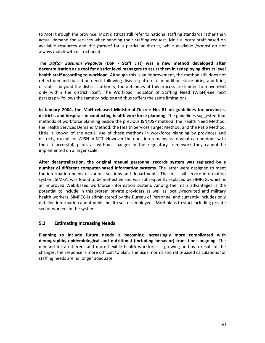to MoH through the province. Most districts still refer to national staffing standards rather than actual demand for services when sending their staffing request. MoH allocate staff based on available resources and the *formasi* for a particular district, while available *formasi* do not always match with district need.

**The** *Daftar Susunan Pegawai* **(DSP ‐ Staff List) was a new method developed after decentralization as a tool for district level managers to assist them in redeploying district level health staff according to workload**. Although this is an improvement, the method still does not reflect demand (based on needs following disease patterns). In addition, since hiring and firing of staff is beyond the district authority, the outcomes of this process are limited to movement only within the district itself. The Workload Indicator of Staffing Need (WISN)‐see next paragraph‐ follows the same principles and thus suffers the same limitations.

**In January 2004, the MoH released Ministerial Decree No. 81 on guidelines for provinces, districts, and hospitals in conducting health workforce planning**. The guidelines suggested four methods of workforce planning beside the previous ISN/DSP method: the Health Need Method, the Health Services Demand Method, the Health Services Target Method, and the Ratio Method. Little is known of the actual use of these methods in workforce planning by provinces and districts, except for WISN in NTT. However the question remains as to what can be done with these (successful) pilots as without changes in the regulatory framework they cannot be implemented on a larger scale.

**After decentralization, the original manual personnel records system was replaced by a number of different computer‐based information systems.** The latter were designed to meet the information needs of various sections and departments**.** The first civil service information system, SIMKA, was found to be ineffective and was subsequently replaced by SIMPEG, which is an improved Web‐based workforce information system. Among the main advantages is the potential to include in this system private providers as well as locally-recruited and military health workers. SIMPEG is administered by the Bureau of Personnel and currently includes only detailed information about public health sector employees. MoH plans to start including private sector workers in the system.

### **5.3 Estimating Increasing Needs**

**Planning to include future needs is becoming increasingly more complicated with demographic, epidemiological and nutritional (including behavior) transitions ongoing**. The demand for a different and more flexible health workforce is growing and as a result of the changes, the response is more difficult to plan. The usual norms and ratio‐based calculations for staffing needs are no longer adequate.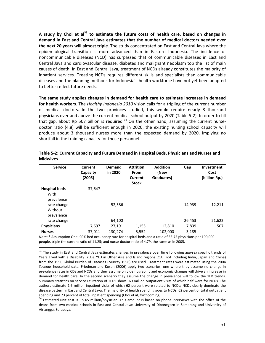**A study by Choi et al<sup>33</sup> to estimate the future costs of health care, based on changes in demand in East and Central Java estimates that the number of medical doctors needed over the next 20 years will almost triple**. The study concentrated on East and Central Java where the epidemiological transition is more advanced than in Eastern Indonesia. The incidence of noncommunicable diseases (NCD) has surpassed that of communicable diseases in East and Central Java and cardiovascular disease, diabetes and malignant neoplasm top the list of main causes of death. In East and Central Java, treatment of NCDs already constitutes the majority of inpatient services. Treating NCDs requires different skills and specialists than communicable diseases and the planning methods for Indonesia's health workforce have not yet been adapted to better reflect future needs.

**The same study applies changes in demand for health care to estimate increases in demand for health workers**. The *Healthy Indonesia 2010* vision calls for a tripling of the current number of medical doctors. In the two provinces studied, this would require nearly 8 thousand physicians over and above the current medical school output by 2020 (Table 5‐2). In order to fill that gap, about Rp 507 billion is required. $34$  On the other hand, assuming the current nursedoctor ratio (4.8) will be sufficient enough in 2020, the existing nursing school capacity will produce about 3 thousand nurses more than the expected demand by 2020, implying no shortfall in the training capacity for those personnel.

| <b>Service</b>                             | <b>Current</b><br>Capacity<br>(2005) | Demand<br>in 2020 | <b>Attrition</b><br><b>From</b><br><b>Current</b><br><b>Stock</b> | <b>Addition</b><br>(New<br>Graduates) | Gap      | Investment<br>Cost<br>(billion Rp.) |
|--------------------------------------------|--------------------------------------|-------------------|-------------------------------------------------------------------|---------------------------------------|----------|-------------------------------------|
| <b>Hospital beds</b><br>With<br>prevalence | 37,647                               |                   |                                                                   |                                       |          |                                     |
| rate change<br>Without<br>prevalence       |                                      | 52,586            |                                                                   |                                       | 14,939   | 12,211                              |
| rate change                                |                                      | 64,100            |                                                                   |                                       | 26,453   | 21,622                              |
| <b>Physicians</b>                          | 7,697                                | 27,191            | 1,155                                                             | 12,810                                | 7,839    | 507                                 |
| <b>Nurses</b>                              | 37.011                               | 130,274           | 5.552                                                             | 102.000                               | $-3,185$ |                                     |

#### **Table 5‐2: Current Capacity and Future Demand in Hospital Beds, Physicians and Nurses and Midwives**

*Note*: \* Assumption One: 90% bed occupancy rate for hospital beds and a ratio of 33.75 physicians per 100,000 people, triple the current ratio of 11.25; and nurse-doctor ratio of 4.79, the same as in 2005.

 $33$  The study in East and Central Java estimates changes in prevalence over time following age-sex specific trends of Years Lived with a Disability (YLD). YLD in Other Asia and Island regions (OAI, not including India, Japan and China) from the 1990 Global Burden of Diseases (Murray 1996) are used. Treatment rates were estimated using the 2004 *Susenas* household data. Friedman and Kosen (2006) apply two scenarios, one where they assume no change in prevalence rates in CDs and NCDs and they assume only demographic and economic changes will drive an increase in demand for health care. In the second scenario they assume the change in prevalence will follow the YLD trends. Summary statistics on service utilization of 2005 show 160 million outpatient visits of which half were for NCDs. The authors estimate 1.6 million inpatient visits of which 62 percent were related to NCDs; NCDs clearly dominate the disease pattern in East and Central Java. The majority of health spending goes to NCDs: 62 percent of total outpatient<br>spending and 73 percent of total inpatient spending (Choi et al, forthcoming).

<sup>&</sup>lt;sup>34</sup> Estimated unit cost is Rp 65 million/physician. This amount is based on phone interviews with the office of the deans from two medical schools in East and Central Java: University of Diponegoro in Semarang and University of Airlangga, Surabaya.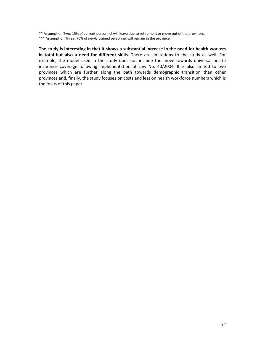\*\* Assumption Two: 15% of current personnel will leave due to retirement or move out of the provinces.

\*\*\* Assumption Three: 70% of newly trained personnel will remain in the province.

**The study is interesting in that it shows a substantial increase in the need for health workers in total but also a need for different skills.** There are limitations to the study as well. For example, the model used in the study does not include the move towards universal health insurance coverage following implementation of Law No. 40/2004. It is also limited to two provinces which are further along the path towards demographic transition than other provinces and, finally, the study focuses on costs and less on health workforce numbers which is the focus of this paper.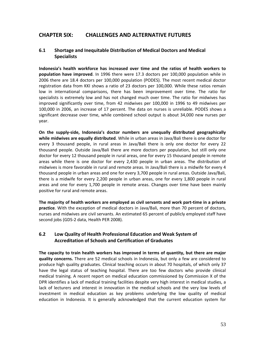# **CHAPTER SIX: CHALLENGES AND ALTERNATIVE FUTURES**

### **6.1 Shortage and Inequitable Distribution of Medical Doctors and Medical Specialists**

**Indonesia's health workforce has increased over time and the ratios of health workers to population have improved**. In 1996 there were 17.3 doctors per 100,000 population while in 2006 there are 18.4 doctors per 100,000 population (PODES). The most recent medical doctor registration data from KKI shows a ratio of 23 doctors per 100,000. While these ratios remain low in international comparisons, there has been improvement over time. The ratio for specialists is extremely low and has not changed much over time. The ratio for midwives has improved significantly over time, from 42 midwives per 100,000 in 1996 to 49 midwives per 100,000 in 2006, an increase of 17 percent. The data on nurses is unreliable. PODES shows a significant decrease over time, while combined school output is about 34,000 new nurses per year.

**On the supply‐side, Indonesia's doctor numbers are unequally distributed geographically while midwives are equally distributed**. While in urban areas in Java/Bali there is one doctor for every 3 thousand people, in rural areas in Java/Bali there is only one doctor for every 22 thousand people. Outside Java/Bali there are more doctors per population, but still only one doctor for every 12 thousand people in rural areas, one for every 15 thousand people in remote areas while there is one doctor for every 2,430 people in urban areas. The distribution of midwives is more favorable in rural and remote areas. In Java/Bali there is a midwife for every 4 thousand people in urban areas and one for every 3,700 people in rural areas. Outside Java/Bali, there is a midwife for every 2,200 people in urban areas, one for every 1,800 people in rural areas and one for every 1,700 people in remote areas. Changes over time have been mainly positive for rural and remote areas.

**The majority of health workers are employed as civil servants and work part‐time in a private practice**. With the exception of medical doctors in Java/Bali, more than 70 percent of doctors, nurses and midwives are civil servants. An estimated 65 percent of publicly employed staff have second jobs (GDS‐2 data, Health PER 2008).

## **6.2 Low Quality of Health Professional Education and Weak System of Accreditation of Schools and Certification of Graduates**

**The capacity to train health workers has improved in terms of quantity, but there are major quality concerns.** There are 52 medical schools in Indonesia, but only a few are considered to produce high quality graduates. Clinical teaching occurs in about 70 hospitals, of which only 37 have the legal status of teaching hospital. There are too few doctors who provide clinical medical training. A recent report on medical education commissioned by Commission X of the DPR identifies a lack of medical training facilities despite very high interest in medical studies, a lack of lecturers and interest in innovation in the medical schools and the very low levels of investment in medical education as key problems underlying the low quality of medical education in Indonesia. It is generally acknowledged that the current education system for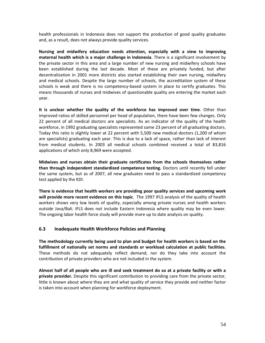health professionals in Indonesia does not support the production of good quality graduates and, as a result, does not always provide quality services.

**Nursing and midwifery education needs attention, especially with a view to improving maternal health which is a major challenge in Indonesia**. There is a significant involvement by the private sector in this area and a large number of new nursing and midwifery schools have been established during the last decade. Most of these are privately funded, but after decentralization in 2001 more districts also started establishing their own nursing, midwifery and medical schools. Despite the large number of schools, the accreditation system of these schools is weak and there is no competency-based system in place to certify graduates. This means thousands of nurses and midwives of questionable quality are entering the market each year.

**It is unclear whether the quality of the workforce has improved over time**. Other than improved ratios of skilled personnel per head of population, there have been few changes. Only 22 percent of all medical doctors are specialists. As an indicator of the quality of the health workforce, in 1992 graduating specialists represented some 23 percent of all graduating doctors. Today this ratio is slightly lower at 22 percent with 5,500 new medical doctors (1,200 of whom are specialists) graduating each year. This is due to a lack of space, rather than lack of interest from medical students. In 2003 all medical schools combined received a total of 83,816 applications of which only 8,969 were accepted.

**Midwives and nurses obtain their graduate certificates from the schools themselves rather than through independent standardized competence testing.** Doctors until recently fell under the same system, but as of 2007, all new graduates need to pass a standardized competency test applied by the KDI.

**There is evidence that health workers are providing poor quality services and upcoming work will provide more recent evidence on this topic**. The 1997 IFLS analysis of the quality of health workers shows very low levels of quality, especially among private nurses and health workers outside Java/Bali. IFLS does not include Eastern Indonesia where quality may be even lower. The ongoing labor health force study will provide more up to date analysis on quality.

### **6.3 Inadequate Health Workforce Policies and Planning**

**The methodology currently being used to plan and budget for health workers is based on the fulfillment of nationally set norms and standards or workload calculation at public facilities.** These methods do not adequately reflect demand, nor do they take into account the contribution of private providers who are not included in the system.

Almost half of all people who are ill and seek treatment do so at a private facility or with a **private provider.** Despite this significant contribution to providing care from the private sector, little is known about where they are and what quality of service they provide and neither factor is taken into account when planning for workforce deployment.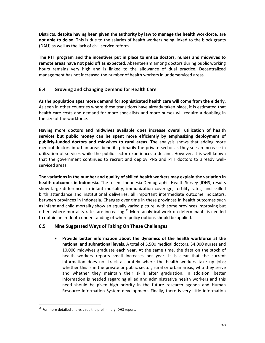**Districts, despite having been given the authority by law to manage the health workforce, are not able to do so.** This is due to the salaries of health workers being linked to the block grants (DAU) as well as the lack of civil service reform.

**The PTT program and the incentives put in place to entice doctors, nurses and midwives to remote areas have not paid off as expected**. Absenteeism among doctors during public working hours remains very high and is linked to the allowance of dual practice. Decentralized management has not increased the number of health workers in underserviced areas.

## **6.4 Growing and Changing Demand for Health Care**

**As the population ages more demand for sophisticated health care will come from the elderly.** As seen in other countries where these transitions have already taken place, it is estimated that health care costs and demand for more specialists and more nurses will require a doubling in the size of the workforce.

**Having more doctors and midwives available does increase overall utilization of health services but public money can be spent more efficiently by emphasizing deployment of publicly‐funded doctors and midwives to rural areas.** The analysis shows that adding more medical doctors in urban areas benefits primarily the private sector as they see an increase in utilization of services while the public sector experiences a decline. However, it is well‐known that the government continues to recruit and deploy PNS and PTT doctors to already well‐ serviced areas.

**The variations in the number and quality of skilled health workers may explain the variation in health outcomes in Indonesia.** The recent Indonesia Demographic Health Survey (IDHS) results show large differences in infant mortality, immunization coverage, fertility rates, and skilled birth attendance and institutional deliveries, all important intermediate outcome indicators, between provinces in Indonesia. Changes over time in these provinces in health outcomes such as infant and child mortality show an equally varied picture, with some provinces improving but others where mortality rates are increasing.<sup>35</sup> More analytical work on determinants is needed to obtain an in‐depth understanding of where policy options should be applied.

### **6.5 Nine Suggested Ways of Taking On These Challenges**

• **Provide better information about the dynamics of the health workforce at the national and subnational levels**. A total of 5,500 medical doctors, 34,000 nurses and 10,000 midwives graduate each year. At the same time, the data on the stock of health workers reports small increases per year. It is clear that the current information does not track accurately where the health workers take up jobs; whether this is in the private or public sector, rural or urban areas; who they serve and whether they maintain their skills after graduation. In addition, better information is needed regarding allied and administrative health workers and this need should be given high priority in the future research agenda and Human Resource Information System development. Finally, there is very little information

<sup>&</sup>lt;sup>35</sup> For more detailed analysis see the preliminary IDHS report.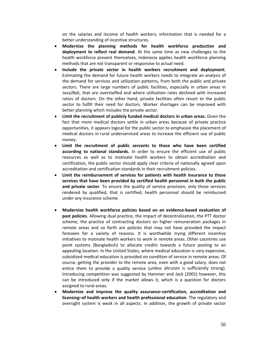on the salaries and income of health workers; information that is needed for a better understanding of incentive structures.

- **Modernize the planning methods for health workforce production and deployment to reflect real demand**. At the same time as new challenges to the health workforce present themselves, Indonesia applies health workforce planning methods that are not transparent or responsive to actual need.
- **Include the private sector in health workers recruitment and deployment**. Estimating the demand for future health workers needs to integrate an analysis of the demand for services and utilization patterns, from both the public and private sectors. There are large numbers of public facilities, especially in urban areas in Java/Bali, that are overstaffed and where utilization rates declined with increased ratios of doctors. On the other hand, private facilities often resort to the public sector to fulfill their need for doctors. Worker shortages can be improved with better planning which includes the private sector.
- **Limit the recruitment of publicly funded medical doctors in urban areas.** Given the fact that more medical doctors settle in urban areas because of private practice opportunities, it appears logical for the public sector to emphasize the placement of medical doctors in rural underserviced areas to increase the efficient use of public money.
- **Limit the recruitment of public servants to those who have been certified according to national standards.** In order to ensure the efficient use of public resources as well as to motivate health workers to obtain accreditation and certification, the public sector should apply clear criteria of nationally agreed upon accreditation and certification standards in their recruitment policies.
- **Limit the reimbursement of services for patients with health insurance to those services that have been provided by certified health personnel in both the public and private sector**. To ensure the quality of service provision, only those services rendered by qualified, that is certified, health personnel should be reimbursed under any insurance scheme.
- **Modernize health workforce policies based on an evidence‐based evaluation of past policies**. Allowing dual practice, the impact of decentralization, the PTT doctor scheme, the practice of contracting doctors on higher remuneration packages in remote areas and so forth are policies that may not have provided the impact foreseen for a variety of reasons. It is worthwhile trying different incentive initiatives to motivate health workers to work in remote areas. Other countries use point systems (Bangladesh) to allocate credits towards a future posting to an appealing location. In the United States, where medical education is very expensive, subsidized medical education is provided on condition of service in remote areas. Of course, getting the provider to the remote area, even with a good salary, does not entice them to provide a quality service (unless altruism is sufficiently strong). Introducing competition was suggested by Hammer and Jack (2001) however, this can be introduced only if the market allows it, which is a question for doctors assigned to rural areas.
- **Modernize and improve the quality assurance–certification, accreditation and licensing–of health workers and health professional education**. The regulatory and oversight system is weak in all aspects. In addition, the growth of private sector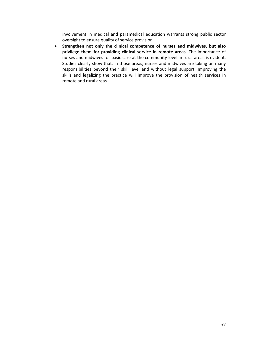involvement in medical and paramedical education warrants strong public sector oversight to ensure quality of service provision.

• **Strengthen not only the clinical competence of nurses and midwives, but also privilege them for providing clinical service in remote areas**. The importance of nurses and midwives for basic care at the community level in rural areas is evident. Studies clearly show that, in those areas, nurses and midwives are taking on many responsibilities beyond their skill level and without legal support. Improving the skills and legalizing the practice will improve the provision of health services in remote and rural areas.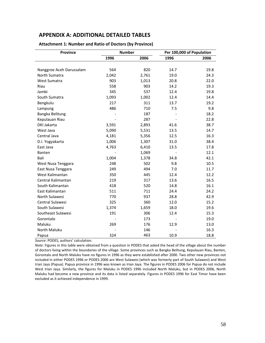## **APPENDIX A: ADDITIONAL DETAILED TABLES**

| <b>Province</b><br><b>Number</b> |       |       | Per 100,000 of Population |      |
|----------------------------------|-------|-------|---------------------------|------|
|                                  | 1996  | 2006  | 1996                      | 2006 |
|                                  |       |       |                           |      |
| Nanggroe Aceh Darussalam         | 564   | 820   | 14.7                      | 19.8 |
| North Sumatra                    | 2,042 | 2,761 | 19.0                      | 24.3 |
| <b>West Sumatra</b>              | 903   | 1,013 | 20.8                      | 22.0 |
| Riau                             | 558   | 903   | 14.2                      | 19.3 |
| Jambi                            | 345   | 537   | 12.4                      | 19.8 |
| South Sumatra                    | 1,093 | 1,002 | 12.4                      | 14.4 |
| Bengkulu                         | 217   | 311   | 13.7                      | 19.2 |
| Lampung                          | 486   | 710   | 7.5                       | 9.8  |
| Bangka Belitung                  |       | 187   |                           | 18.2 |
| Kepulauan Riau                   |       | 287   |                           | 22.8 |
| <b>DKI Jakarta</b>               | 3,591 | 2,893 | 41.6                      | 38.7 |
| West Java                        | 5,090 | 5,531 | 13.5                      | 14.7 |
| Central Java                     | 4,181 | 5,356 | 12.5                      | 16.3 |
| D.I. Yogyakarta                  | 1,006 | 1,307 | 31.0                      | 38.4 |
| East Java                        | 4,763 | 6,410 | 13.5                      | 17.8 |
| Banten                           |       | 1,069 |                           | 12.1 |
| Bali                             | 1,004 | 1,378 | 34.8                      | 42.1 |
| West Nusa Tenggara               | 248   | 502   | 9.8                       | 10.5 |
| East Nusa Tenggara               | 249   | 494   | 7.0                       | 11.7 |
| West Kalimantan                  | 350   | 445   | 12.4                      | 12.2 |
| Central Kalimantan               | 219   | 317   | 13.6                      | 16.5 |
| South Kalimantan                 | 418   | 520   | 14.8                      | 16.1 |
| East Kalimantan                  | 511   | 711   | 24.4                      | 24.2 |
| North Sulawesi                   | 770   | 937   | 28.8                      | 42.9 |
| Central Sulawesi                 | 325   | 360   | 12.0                      | 15.2 |
| South Sulawesi                   | 1,374 | 1,659 | 18.0                      | 19.6 |
| Southeast Sulawesi               | 191   | 306   | 12.4                      | 15.3 |
| Gorontalo                        |       | 173   |                           | 19.0 |
| Maluku                           | 269   | 176   | 12.9                      | 13.0 |
| North Maluku                     |       | 146   |                           | 16.3 |
| Papua                            | 324   | 463   | 10.9                      | 18.8 |

#### **Attachment 1: Number and Ratio of Doctors (by Province)**

*Source*: PODES, authors' calculation.

*Note*: Figures in this table were obtained from a question in PODES that asked the head of the village about the number of doctors living within the boundaries of the village. Some provinces such as Bangka Belitung, Kepulauan Riau, Banten, Gorontalo and North Maluku have no figures in 1996 as they were established after 2000. Two other new provinces not included in either PODES 1996 or PODES 2006 are West Sulawesi (which was formerly part of South Sulawesi) and West Irian Jaya (Papua). Papua province in 1996 was known as Irian Jaya. The figures in PODES 2006 for Papua do not include West Irian Jaya. Similarly, the figures for Maluku in PODES 1996 included North Maluku, but in PODES 2006, North Maluku had become a new province and its data is listed separately. Figures in PODES 1996 for East Timor have been excluded as it achieved independence in 1999.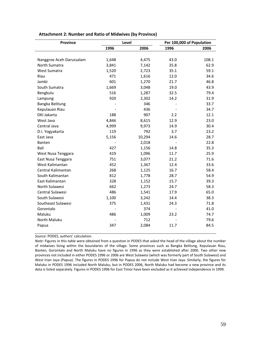| <b>Province</b>          | Level |        | Per 100,000 of Population |       |  |  |
|--------------------------|-------|--------|---------------------------|-------|--|--|
|                          | 1996  | 2006   | 1996                      | 2006  |  |  |
|                          |       |        |                           |       |  |  |
| Nanggroe Aceh Darussalam | 1,648 | 4,475  | 43.0                      | 108.1 |  |  |
| North Sumatra            | 3,841 | 7,142  | 35.8                      | 62.9  |  |  |
| West Sumatra             | 1,520 | 2,723  | 35.1                      | 59.1  |  |  |
| Riau                     | 471   | 1,616  | 12.0                      | 34.6  |  |  |
| Jambi                    | 601   | 1,270  | 21.7                      | 46.8  |  |  |
| South Sumatra            | 1,669 | 3,048  | 19.0                      | 43.9  |  |  |
| Bengkulu                 | 516   | 1,287  | 32.5                      | 79.4  |  |  |
| Lampung                  | 920   | 2,302  | 14.2                      | 31.9  |  |  |
| Bangka Belitung          |       | 346    |                           | 33.7  |  |  |
| Kepulauan Riau           |       | 436    |                           | 34.7  |  |  |
| <b>DKI Jakarta</b>       | 188   | 907    | 2.2                       | 12.1  |  |  |
| West Java                | 4,846 | 8,615  | 12.9                      | 23.0  |  |  |
| Central Java             | 4,999 | 9,973  | 14.9                      | 30.4  |  |  |
| D.I. Yogyakarta          | 119   | 792    | 3.7                       | 23.2  |  |  |
| East Java                | 5,156 | 10,294 | 14.6                      | 28.7  |  |  |
| Banten                   |       | 2,018  |                           | 22.8  |  |  |
| Bali                     | 427   | 1,156  | 14.8                      | 35.3  |  |  |
| West Nusa Tenggara       | 419   | 1,096  | 11.7                      | 25.9  |  |  |
| East Nusa Tenggara       | 751   | 3,077  | 21.2                      | 71.6  |  |  |
| West Kalimantan          | 452   | 1,367  | 12.4                      | 33.6  |  |  |
| Central Kalimantan       | 268   | 1,125  | 16.7                      | 58.4  |  |  |
| South Kalimantan         | 812   | 1,778  | 28.7                      | 54.9  |  |  |
| East Kalimantan          | 328   | 1,152  | 15.7                      | 39.3  |  |  |
| North Sulawesi           | 662   | 1,273  | 24.7                      | 58.3  |  |  |
| Central Sulawesi         | 486   | 1,541  | 17.9                      | 65.0  |  |  |
| South Sulawesi           | 1,100 | 3,242  | 14.4                      | 38.3  |  |  |
| Southeast Sulawesi       | 375   | 1,431  | 24.3                      | 71.8  |  |  |
| Gorontalo                |       | 374    |                           | 41.0  |  |  |
| Maluku                   | 486   | 1,009  | 23.2                      | 74.7  |  |  |
| North Maluku             |       | 712    |                           | 79.6  |  |  |
| Papua                    | 347   | 2,084  | 11.7                      | 84.5  |  |  |
|                          |       |        |                           |       |  |  |

#### **Attachment 2: Number and Ratio of Midwives (by Province)**

*Source*: PODES, authors' calculation.

*Note*: Figures in this table were obtained from a question in PODES that asked the head of the village about the number of midwives living within the boundaries of the village. Some provinces such as Bangka Belitung, Kepulauan Riau, Banten, Gorontalo and North Maluku have no figures in 1996 as they were established after 2000. Two other new provinces not included in either PODES 1996 or 2006 are West Sulawesi (which was formerly part of South Sulawesi) and West Irian Jaya (Papua). The figures in PODES 1996 for Papua do not include West Irian Jaya. Similarly, the figures for Maluku in PODES 1996 included North Maluku, but in PODES 2006, North Maluku had become a new province and its data is listed separately. Figures in PODES 1996 for East Timor have been excluded as it achieved independence in 1999.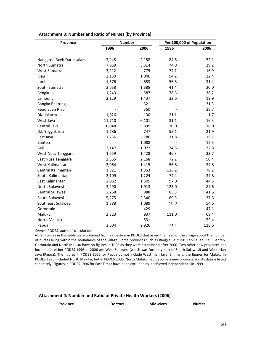| <b>Province</b>          | <b>Number</b> |       | Per 100,000 of Population |       |  |  |
|--------------------------|---------------|-------|---------------------------|-------|--|--|
|                          | 1996          | 2006  | 1996                      | 2006  |  |  |
|                          |               |       |                           |       |  |  |
| Nanggroe Aceh Darussalam | 3,248         | 2,158 | 84.8                      | 52.1  |  |  |
| North Sumatra            | 7,939         | 3,314 | 74.0                      | 29.2  |  |  |
| West Sumatra             | 3,212         | 779   | 74.1                      | 16.9  |  |  |
| Riau                     | 2,130         | 1,046 | 54.2                      | 22.4  |  |  |
| Jambi                    | 1,576         | 853   | 56.8                      | 31.4  |  |  |
| South Sumatra            | 3,638         | 1,388 | 41.4                      | 20.0  |  |  |
| Bengkulu                 | 1,243         | 587   | 78.3                      | 36.2  |  |  |
| Lampung                  | 2,119         | 1,437 | 32.6                      | 19.9  |  |  |
| Bangka Belitung          |               | 321   |                           | 31.3  |  |  |
| Kepulauan Riau           |               | 360   |                           | 28.7  |  |  |
| <b>DKI Jakarta</b>       | 1,826         | 130   | 21.1                      | 1.7   |  |  |
| West Java                | 11,710        | 6,101 | 31.1                      | 16.3  |  |  |
| Central Java             | 10,048        | 5,899 | 30.0                      | 18.0  |  |  |
| D.I. Yogyakarta          | 1,786         | 747   | 55.1                      | 21.9  |  |  |
| East Java                | 11,236        | 5,786 | 31.8                      | 16.1  |  |  |
| Banten                   |               | 1,088 |                           | 12.3  |  |  |
| Bali                     | 2,147         | 1,072 | 74.5                      | 32.8  |  |  |
| West Nusa Tenggara       | 1,659         | 1,428 | 46.3                      | 33.7  |  |  |
| East Nusa Tenggara       | 2,555         | 2,168 | 72.2                      | 50.4  |  |  |
| West Kalimantan          | 2,064         | 1,415 | 56.8                      | 34.8  |  |  |
| Central Kalimantan       | 1,821         | 1,353 | 113.2                     | 70.2  |  |  |
| South Kalimantan         | 2,109         | 1,224 | 74.4                      | 37.8  |  |  |
| East Kalimantan          | 2,032         | 1,305 | 97.0                      | 44.5  |  |  |
| North Sulawesi           | 3,290         | 1,913 | 123.0                     | 87.6  |  |  |
| Central Sulawesi         | 2,258         | 988   | 83.3                      | 41.6  |  |  |
| South Sulawesi           | 5,275         | 2,340 | 69.3                      | 27.6  |  |  |
| Southeast Sulawesi       | 1,388         | 1,089 | 90.0                      | 54.6  |  |  |
| Gorontalo                |               | 429   |                           | 47.1  |  |  |
| Maluku                   | 2,323         | 937   | 111.0                     | 69.4  |  |  |
| North Maluku             |               | 531   |                           | 59.4  |  |  |
| Papua                    | 3,604         | 2,926 | 121.1                     | 118.6 |  |  |

**Attachment 3: Number and Ratio of Nurses (by Province)**

*Source*: PODES, authors' calculation.

*Note*: Figures in this table were obtained from a question in PODES that asked the head of the village about the number of nurses living within the boundaries of the village. Some provinces such as Bangka Belitung, Kepulauan Riau, Banten, Gorontalo and North Maluku have no figures in 1996 as they were established after 2000. Two other new provinces not included in either PODES 1996 or 2006 are West Sulawesi (which was formerly part of South Sulawesi) and West Irian Jaya (Papua). The figures in PODES 2006 for Papua do not include West Irian Jaya. Similarly, the figures for Maluku in PODES 1996 included North Maluku, but in PODES 2006, North Maluku had become a new province and its data is listed separately. Figures in PODES 1996 for East Timor have been excluded as it achieved independence in 1999.

#### **Attachment 4: Number and Ratio of Private Health Workers (2006)**

| _______ | . <i>. .</i> | octors<br>m | uves:<br>w | H<br>353 |
|---------|--------------|-------------|------------|----------|
|---------|--------------|-------------|------------|----------|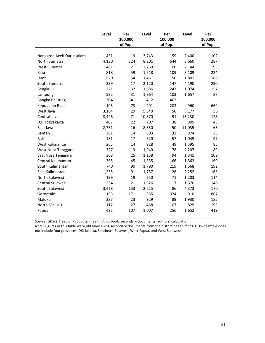|                          | Level | Per<br>100,000<br>of Pop. | Level  | Per<br>100,000<br>of Pop. | Level  | Per<br>100,000<br>of Pop. |
|--------------------------|-------|---------------------------|--------|---------------------------|--------|---------------------------|
|                          |       |                           |        |                           |        |                           |
| Nanggroe Aceh Darussalam | 451   | 19                        | 3,743  | 159                       | 2,400  | 102                       |
| North Sumatra            | 4,130 | 324                       | 8,201  | 644                       | 3,660  | 287                       |
| West Sumatra             | 481   | 21                        | 2,260  | 100                       | 2,144  | 95                        |
| Riau                     | 818   | 59                        | 1,518  | 109                       | 3,109  | 224                       |
| Jambi                    | 520   | 54                        | 1,451  | 150                       | 1,801  | 186                       |
| South Sumatra            | 239   | 17                        | 2,120  | 147                       | 4,190  | 290                       |
| Bengkulu                 | 221   | 32                        | 1,686  | 247                       | 1,074  | 157                       |
| Lampung                  | 592   | 31                        | 1,964  | 103                       | 1,657  | 87                        |
| Bangka Belitung          | 304   | 341                       | 412    | 462                       |        |                           |
| Kepulauan Riau           | 105   | 73                        | 291    | 203                       | 960    | 669                       |
| West Java                | 3,164 | 29                        | 5,540  | 50                        | 6,177  | 56                        |
| Central Java             | 8,426 | 71                        | 10,870 | 91                        | 15,230 | 128                       |
| D.I. Yogyakarta          | 407   | 22                        | 707    | 38                        | 805    | 43                        |
| East Java                | 2,751 | 16                        | 8,850  | 50                        | 11,035 | 63                        |
| Banten                   | 361   | 14                        | 803    | 32                        | 874    | 35                        |
| Bali                     | 181   | 17                        | 620    | 57                        | 1,049  | 97                        |
| West Kalimantan          | 265   | 14                        | 928    | 49                        | 1,595  | 85                        |
| West Nusa Tenggara       | 327   | 13                        | 1,940  | 78                        | 2,207  | 89                        |
| East Nusa Tenggara       | 308   | 25                        | 1,158  | 94                        | 1,341  | 109                       |
| Central Kalimantan       | 365   | 45                        | 1,335  | 166                       | 1,362  | 169                       |
| South Kalimantan         | 740   | 90                        | 1,790  | 219                       | 1,568  | 192                       |
| East Kalimantan          | 1,255 | 91                        | 1,737  | 126                       | 2,252  | 163                       |
| North Sulawesi           | 199   | 19                        | 750    | 71                        | 1,203  | 114                       |
| Central Sulawesi         | 234   | 21                        | 1,326  | 117                       | 1,670  | 148                       |
| South Sulawesi           | 3,428 | 133                       | 2,215  | 86                        | 4,373  | 170                       |
| Gorontalo                | 193   | 171                       | 365    | 324                       | 910    | 807                       |
| Maluku                   | 237   | 23                        | 929    | 89                        | 1,930  | 185                       |
| North Maluku             | 117   | 27                        | 458    | 107                       | 829    | 193                       |
| Papua                    | 422   | 107                       | 1,007  | 256                       | 1,652  | 419                       |

*Source*: GDS‐2, Head of *Kabupaten* health *dinas* book, secondary documents, authors' calculation.

*Note*: Figures in this table were obtained using secondary documents from the district health *dinas*. GDS‐2 sample does not include four provinces: DKI Jakarta, Southeast Sulawesi, West Papua, and West Sulawesi.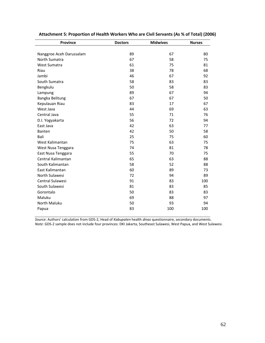| <b>Province</b>          | <b>Doctors</b> |     | <b>Nurses</b> |
|--------------------------|----------------|-----|---------------|
|                          |                |     |               |
| Nanggroe Aceh Darussalam | 89             | 67  | 80            |
| North Sumatra            | 67             | 58  | 75            |
| West Sumatra             | 61             | 75  | 81            |
| Riau                     | 38             | 78  | 68            |
| Jambi                    | 46             | 67  | 92            |
| South Sumatra            | 58             | 83  | 83            |
| Bengkulu                 | 50             | 58  | 83            |
| Lampung                  | 89             | 67  | 94            |
| Bangka Belitung          | 67             | 67  | 50            |
| Kepulauan Riau           | 83             | 17  | 67            |
| West Java                | 44             | 69  | 63            |
| Central Java             | 55             | 71  | 76            |
| D.I. Yogyakarta          | 56             | 72  | 94            |
| East Java                | 42             | 63  | 77            |
| Banten                   | 42             | 50  | 58            |
| Bali                     | 25             | 75  | 60            |
| West Kalimantan          | 75             | 63  | 75            |
| West Nusa Tenggara       | 74             | 81  | 78            |
| East Nusa Tenggara       | 55             | 70  | 75            |
| Central Kalimantan       | 65             | 63  | 88            |
| South Kalimantan         | 58             | 52  | 88            |
| East Kalimantan          | 60             | 89  | 73            |
| North Sulawesi           | 72             | 94  | 89            |
| Central Sulawesi         | 91             | 83  | 100           |
| South Sulawesi           | 81             | 83  | 85            |
| Gorontalo                | 50             | 83  | 83            |
| Maluku                   | 69             | 88  | 97            |
| North Maluku             | 50             | 93  | 94            |
| Papua                    | 83             | 100 | 100           |
|                          |                |     |               |

| Attachment 5: Proportion of Health Workers Who are Civil Servants (As % of Total) (2006) |  |  |  |  |
|------------------------------------------------------------------------------------------|--|--|--|--|
|------------------------------------------------------------------------------------------|--|--|--|--|

*Source*: Authors' calculation from GDS‐2, Head of *Kabupaten* health *dinas* questionnaire, secondary documents. *Note:* GDS‐2 sample does not include four provinces: DKI Jakarta, Southeast Sulawesi, West Papua, and West Sulawesi.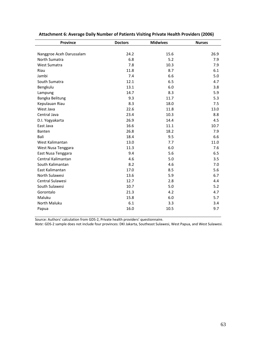| Province                 | <b>Doctors</b> | <b>Midwives</b> | <b>Nurses</b> |  |
|--------------------------|----------------|-----------------|---------------|--|
|                          |                |                 |               |  |
| Nanggroe Aceh Darussalam | 24.2           | 15.6            | 26.9          |  |
| North Sumatra            | 6.8            | 5.2             | 7.9           |  |
| West Sumatra             | 7.8            | 10.3            | 7.9           |  |
| Riau                     | 11.8           | 8.7             | 6.1           |  |
| Jambi                    | 7.4            | 6.6             | 5.0           |  |
| South Sumatra            | 12.1           | 6.5             | 4.7           |  |
| Bengkulu                 | 13.1           | 6.0             | 3.8           |  |
| Lampung                  | 14.7           | 8.3             | 5.9           |  |
| Bangka Belitung          | 9.3            | 11.7            | 5.3           |  |
| Kepulauan Riau           | 8.3            | 18.0            | 7.5           |  |
| West Java                | 22.6           | 11.8            | 13.0          |  |
| Central Java             | 23.4           | 10.3            | 8.8           |  |
| D.I. Yogyakarta          | 26.9           | 14.4            | 4.5           |  |
| East Java                | 16.6           | 11.1            | 10.7          |  |
| Banten                   | 26.8           | 18.2            | 7.9           |  |
| Bali                     | 18.4           | 9.5             | 6.6           |  |
| West Kalimantan          | 13.0           | 7.7             | 11.0          |  |
| West Nusa Tenggara       | 11.3           | 6.0             | 7.6           |  |
| East Nusa Tenggara       | 9.4            | 5.6             | 6.5           |  |
| Central Kalimantan       | 4.6            | 5.0             | 3.5           |  |
| South Kalimantan         | 8.2            | 4.6             | 7.0           |  |
| East Kalimantan          | 17.0           | 8.5             | 5.6           |  |
| North Sulawesi           | 13.6           | 5.9             | 6.7           |  |
| Central Sulawesi         | 12.7           | 2.8             | 4.4           |  |
| South Sulawesi           | 10.7           | 5.0             | 5.2           |  |
| Gorontalo                | 21.3           | 4.2             | 4.7           |  |
| Maluku                   | 15.8           | 6.0             | 5.7           |  |
| North Maluku             | 6.1            | 3.3             | 3.4           |  |
| Papua                    | 16.0           | 10.5            | 9.7           |  |

| Attachment 6: Average Daily Number of Patients Visiting Private Health Providers (2006) |  |  |  |  |
|-----------------------------------------------------------------------------------------|--|--|--|--|
|-----------------------------------------------------------------------------------------|--|--|--|--|

Source: Authors' calculation from GDS‐2, Private health providers' questionnaire.

*Note:* GDS‐2 sample does not include four provinces: DKI Jakarta, Southeast Sulawesi, West Papua, and West Sulawesi.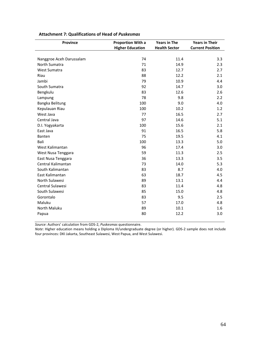| <b>Province</b>          | <b>Proportion With a</b> | <b>Years in The</b>  | <b>Years in Their</b>   |
|--------------------------|--------------------------|----------------------|-------------------------|
|                          | <b>Higher Education</b>  | <b>Health Sector</b> | <b>Current Position</b> |
|                          |                          |                      |                         |
| Nanggroe Aceh Darussalam | 74                       | 11.4                 | 3.3                     |
| North Sumatra            | 71                       | 14.9                 | 2.3                     |
| <b>West Sumatra</b>      | 83                       | 12.7                 | 2.7                     |
| Riau                     | 88                       | 12.2                 | 2.1                     |
| Jambi                    | 79                       | 10.9                 | 4.4                     |
| South Sumatra            | 92                       | 14.7                 | 3.0                     |
| Bengkulu                 | 83                       | 12.6                 | 2.6                     |
| Lampung                  | 78                       | 9.8                  | 2.2                     |
| Bangka Belitung          | 100                      | 9.0                  | 4.0                     |
| Kepulauan Riau           | 100                      | 10.2                 | 1.2                     |
| West Java                | 77                       | 16.5                 | 2.7                     |
| Central Java             | 97                       | 14.6                 | 5.1                     |
| D.I. Yogyakarta          | 100                      | 15.6                 | 2.1                     |
| East Java                | 91                       | 16.5                 | 5.8                     |
| Banten                   | 75                       | 19.5                 | 4.1                     |
| Bali                     | 100                      | 13.3                 | 5.0                     |
| West Kalimantan          | 96                       | 17.4                 | 3.0                     |
| West Nusa Tenggara       | 59                       | 11.3                 | 2.5                     |
| East Nusa Tenggara       | 36                       | 13.3                 | 3.5                     |
| Central Kalimantan       | 73                       | 14.0                 | 5.3                     |
| South Kalimantan         | 83                       | 8.7                  | 4.0                     |
| East Kalimantan          | 63                       | 18.7                 | 4.5                     |
| North Sulawesi           | 89                       | 13.1                 | 4.4                     |
| Central Sulawesi         | 83                       | 11.4                 | 4.8                     |
| South Sulawesi           | 85                       | 15.0                 | 4.8                     |
| Gorontalo                | 83                       | 9.5                  | 2.5                     |
| Maluku                   | 57                       | 17.0                 | 4.8                     |
| <b>North Maluku</b>      | 89                       | 10.1                 | 1.6                     |
| Papua                    | 80                       | 12.2                 | 3.0                     |

### **Attachment 7: Qualifications of Head of** *Puskesmas*

*Source*: Authors' calculation from GDS‐2, *Puskesmas* questionnaire.

*Note*: Higher education means holding a Diploma III/undergraduate degree (or higher). GDS‐2 sample does not include four provinces: DKI Jakarta, Southeast Sulawesi, West Papua, and West Sulawesi.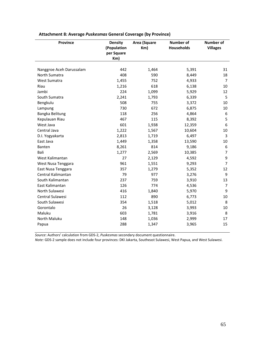| <b>Province</b>          | <b>Density</b><br>(Population<br>per Square<br>Km) | Area (Square<br>Km) | <b>Number of</b><br><b>Households</b> | <b>Number of</b><br><b>Villages</b> |
|--------------------------|----------------------------------------------------|---------------------|---------------------------------------|-------------------------------------|
| Nanggroe Aceh Darussalam | 442                                                | 1,464               | 5,391                                 | 31                                  |
| North Sumatra            | 408                                                | 590                 | 8,449                                 | 18                                  |
| West Sumatra             | 1,455                                              | 752                 | 4,933                                 | 7                                   |
| Riau                     | 1,216                                              | 618                 | 6,138                                 | 10                                  |
| Jambi                    | 224                                                | 1,099               | 5,929                                 | 12                                  |
| South Sumatra            | 2,241                                              | 1,793               | 6,339                                 | 5                                   |
| Bengkulu                 | 508                                                | 755                 | 3,372                                 | 10                                  |
| Lampung                  | 730                                                | 672                 | 6,875                                 | 10                                  |
| Bangka Belitung          | 118                                                | 256                 | 4,864                                 | 6                                   |
| Kepulauan Riau           | 467                                                | 115                 | 8,392                                 | 5                                   |
| West Java                | 601                                                | 1,938               | 12,359                                | 6                                   |
| Central Java             | 1,222                                              | 1,567               | 10,604                                | 10                                  |
| D.I. Yogyakarta          | 2,813                                              | 1,719               | 6,497                                 | 3                                   |
| East Java                | 1,449                                              | 1,358               | 13,590                                | 10                                  |
| Banten                   | 8,261                                              | 814                 | 9,186                                 | 6                                   |
| Bali                     | 1,277                                              | 2,569               | 10,385                                | $\overline{7}$                      |
| West Kalimantan          | 27                                                 | 2,129               | 4,592                                 | 9                                   |
| West Nusa Tenggara       | 961                                                | 1,551               | 9,293                                 | $\overline{7}$                      |
| East Nusa Tenggara       | 357                                                | 1,279               | 5,352                                 | 12                                  |
| Central Kalimantan       | 79                                                 | 977                 | 3,276                                 | 9                                   |
| South Kalimantan         | 237                                                | 759                 | 3,910                                 | 13                                  |
| East Kalimantan          | 126                                                | 774                 | 4,536                                 | 7                                   |
| North Sulawesi           | 416                                                | 1,840               | 5,970                                 | 9                                   |
| Central Sulawesi         | 112                                                | 890                 | 6,773                                 | 10                                  |
| South Sulawesi           | 354                                                | 1,518               | 5,012                                 | 8                                   |
| Gorontalo                | 26                                                 | 3,128               | 3,993                                 | 10                                  |
| Maluku                   | 603                                                | 1,781               | 3,916                                 | 8                                   |
| North Maluku             | 148                                                | 1,036               | 2,999                                 | 17                                  |
| Papua                    | 288                                                | 1,347               | 3,965                                 | 15                                  |

## **Attachment 8: Average** *Puskesmas* **General Coverage (by Province)**

*Source*: Authors' calculation from GDS‐2, *Puskesmas* secondary document questionnaire.

*Note:* GDS‐2 sample does not include four provinces: DKI Jakarta, Southeast Sulawesi, West Papua, and West Sulawesi.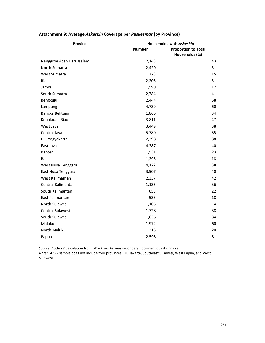| <b>Province</b>          | <b>Households with Askeskin</b> |                                              |  |  |
|--------------------------|---------------------------------|----------------------------------------------|--|--|
|                          | <b>Number</b>                   | <b>Proportion to Total</b><br>Households (%) |  |  |
| Nanggroe Aceh Darussalam | 2,143                           | 43                                           |  |  |
| North Sumatra            | 2,420                           | 31                                           |  |  |
| West Sumatra             | 773                             | 15                                           |  |  |
| Riau                     | 2,206                           | 31                                           |  |  |
| Jambi                    | 1,590                           | 17                                           |  |  |
| South Sumatra            | 2,784                           | 41                                           |  |  |
| Bengkulu                 | 2,444                           | 58                                           |  |  |
| Lampung                  | 4,739                           | 60                                           |  |  |
| Bangka Belitung          | 1,866                           | 34                                           |  |  |
| Kepulauan Riau           | 3,811                           | 47                                           |  |  |
| West Java                | 3,449                           | 38                                           |  |  |
| Central Java             | 5,780                           | 55                                           |  |  |
| D.I. Yogyakarta          | 2,398                           | 38                                           |  |  |
| East Java                | 4,387                           | 40                                           |  |  |
| Banten                   | 1,531                           | 23                                           |  |  |
| Bali                     | 1,296                           | 18                                           |  |  |
| West Nusa Tenggara       | 4,122                           | 38                                           |  |  |
| East Nusa Tenggara       | 3,907                           | 40                                           |  |  |
| West Kalimantan          | 2,337                           | 42                                           |  |  |
| Central Kalimantan       | 1,135                           | 36                                           |  |  |
| South Kalimantan         | 653                             | 22                                           |  |  |
| East Kalimantan          | 533                             | 18                                           |  |  |
| North Sulawesi           | 1,106                           | 14                                           |  |  |
| Central Sulawesi         | 1,728                           | 38                                           |  |  |
| South Sulawesi           | 1,636                           | 34                                           |  |  |
| Maluku                   | 1,972                           | 60                                           |  |  |
| North Maluku             | 313                             | 20                                           |  |  |
| Papua                    | 2,598                           | 81                                           |  |  |

## **Attachment 9: Average** *Askeskin* **Coverage per** *Puskesmas* **(by Province)**

*Source:* Authors' calculation from GDS‐2, *Puskesmas* secondary document questionnaire.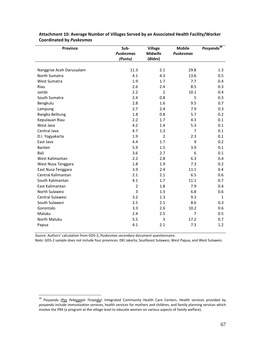| Province                 | Sub-<br><b>Puskesmas</b> | <b>Village</b><br><b>Midwife</b> | <b>Mobile</b><br><b>Puskesmas</b> | Posyandu <sup>36</sup> |
|--------------------------|--------------------------|----------------------------------|-----------------------------------|------------------------|
|                          | (Pustu)                  | (Bides)                          |                                   |                        |
|                          |                          |                                  |                                   |                        |
| Nanggroe Aceh Darussalam | 11.3                     | 2.1                              | 29.8                              | 1.3                    |
| North Sumatra            | 4.1                      | 4.3                              | 13.6                              | 0.5                    |
| West Sumatra             | 1.9                      | 1.7                              | 7.7                               | 0.4                    |
| Riau                     | 2.6                      | 2.4                              | 8.5                               | 0.3                    |
| Jambi                    | 2.2                      | $\overline{2}$                   | 10.1                              | 0.4                    |
| South Sumatra            | 2.4                      | 0.8                              | 5                                 | 0.3                    |
| Bengkulu                 | 2.8                      | 1.6                              | 9.5                               | 0.7                    |
| Lampung                  | 2.7                      | 2.4                              | 7.9                               | 0.3                    |
| Bangka Belitung          | 1.8                      | 0.8                              | 5.7                               | 0.2                    |
| Kepulauan Riau           | 2.2                      | 1.7                              | 4.3                               | 0.1                    |
| West Java                | 4.2                      | 1.4                              | 5.3                               | 0.1                    |
| Central Java             | 4.7                      | 1.3                              | $\overline{7}$                    | 0.1                    |
| D.I. Yogyakarta          | 1.9                      | $\overline{2}$                   | 2.3                               | 0.1                    |
| East Java                | 4.4                      | 1.7                              | 9                                 | 0.2                    |
| Banten                   | 5.9                      | 1.5                              | 3.9                               | 0.1                    |
| Bali                     | 3.6                      | 2.7                              | 6                                 | 0.1                    |
| West Kalimantan          | 2.2                      | 2.8                              | 6.3                               | 0.4                    |
| West Nusa Tenggara       | 1.8                      | 1.9                              | 7.3                               | 0.2                    |
| East Nusa Tenggara       | 3.9                      | 2.4                              | 11.1                              | 0.4                    |
| Central Kalimantan       | 2.1                      | 2.1                              | 6.5                               | 0.6                    |
| South Kalimantan         | 4.1                      | 1.7                              | 11.1                              | 0.7                    |
| East Kalimantan          | $\overline{2}$           | 1.8                              | 7.9                               | 0.4                    |
| North Sulawesi           | 3                        | 1.3                              | 6.8                               | 0.6                    |
| Central Sulawesi         | 3.2                      | 1.3                              | 9.3                               | $\mathbf{1}$           |
| South Sulawesi           | 2.5                      | 2.1                              | 8.6                               | 0.3                    |
| Gorontalo                | 3.3                      | 2.6                              | 10.2                              | 0.6                    |
| Maluku                   | 2.4                      | 2.5                              | $\overline{7}$                    | 0.5                    |
| North Maluku             | 5.5                      | 3                                | 17.2                              | 0.7                    |
| Papua                    | 4.1                      | 2.1                              | 7.3                               | 1.2                    |

**Attachment 10: Average Number of Villages Served by an Associated Health Facility/Worker Coordinated by** *Puskesmas*

*Source*: Authors' calculation from GDS‐2, *Puskesmas* secondary document questionnaire.

 $\overline{a}$ 

<sup>36</sup> *Posyandu (Pos Pelayanan Terpadu)*: Integrated Community Health Care Centers. Health services provided by *posyandu* include immunization services, health services for mothers and children, and family planning services which involve the PKK (a program at the village level to educate women on various aspects of family welfare).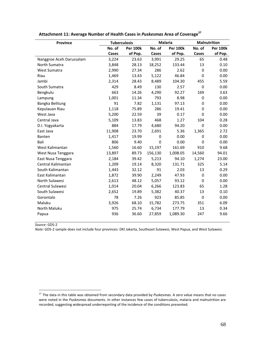| <b>Province</b>          | <b>Tuberculosis</b> |                 |             | <b>Malaria</b>  |             | Malnutrition    |
|--------------------------|---------------------|-----------------|-------------|-----------------|-------------|-----------------|
|                          | No. of              | <b>Per 100k</b> | No. of      | <b>Per 100k</b> | No. of      | <b>Per 100k</b> |
|                          | Cases               | of Pop.         | Cases       | of Pop.         | Cases       | of Pop.         |
| Nanggroe Aceh Darussalam | 3,224               | 23.63           | 3,991       | 29.25           | 65          | 0.48            |
| North Sumatra            | 3,848               | 28.13           | 18,252      | 133.44          | 13          | 0.10            |
| West Sumatra             | 2,990               | 27.34           | 286         | 2.62            | $\mathbf 0$ | 0.00            |
| Riau                     | 1,469               | 13.43           | 5,122       | 46.84           | $\mathbf 0$ | 0.00            |
| Jambi                    | 2,314               | 28.43           | 8,489       | 104.30          | 455         | 5.59            |
| South Sumatra            | 429                 | 8.49            | 130         | 2.57            | $\mathbf 0$ | 0.00            |
| Bengkulu                 | 663                 | 14.26           | 4,290       | 92.27           | 169         | 3.63            |
| Lampung                  | 1,001               | 11.34           | 793         | 8.98            | $\mathbf 0$ | 0.00            |
| Bangka Belitung          | 91                  | 7.82            | 1,131       | 97.13           | 0           | 0.00            |
| Kepulauan Riau           | 1,118               | 75.89           | 286         | 19.41           | $\mathbf 0$ | 0.00            |
| West Java                | 5,200               | 22.59           | 39          | 0.17            | $\mathbf 0$ | 0.00            |
| Central Java             | 5,109               | 13.83           | 468         | 1.27            | 104         | 0.28            |
| D.I. Yogyakarta          | 884                 | 17.79           | 4,680       | 94.20           | $\mathbf 0$ | 0.00            |
| East Java                | 11,908              | 23.70           | 2,691       | 5.36            | 1,365       | 2.72            |
| Banten                   | 1,417               | 19.99           | $\mathbf 0$ | 0.00            | 0           | 0.00            |
| Bali                     | 806                 | 9.40            | 0           | 0.00            | 0           | 0.00            |
| West Kalimantan          | 1,560               | 16.60           | 15,197      | 161.69          | 910         | 9.68            |
| West Nusa Tenggara       | 13,897              | 89.73           | 156,130     | 1,008.05        | 14,560      | 94.01           |
| East Nusa Tenggara       | 2,184               | 39.42           | 5,213       | 94.10           | 1,274       | 23.00           |
| Central Kalimantan       | 1,209               | 19.14           | 8,320       | 131.71          | 325         | 5.14            |
| South Kalimantan         | 1,443               | 32.12           | 91          | 2.03            | 13          | 0.29            |
| East Kalimantan          | 1,872               | 39.90           | 2,249       | 47.93           | $\mathbf 0$ | 0.00            |
| North Sulawesi           | 2,613               | 48.12           | 5,057       | 93.12           | $\mathbf 0$ | 0.00            |
| Central Sulawesi         | 1,014               | 20.04           | 6,266       | 123.83          | 65          | 1.28            |
| South Sulawesi           | 2,652               | 19.89           | 5,382       | 40.37           | 13          | 0.10            |
| Gorontalo                | 78                  | 7.26            | 923         | 85.85           | $\mathbf 0$ | 0.00            |
| Maluku                   | 3,926               | 68.10           | 15,782      | 273.75          | 351         | 6.09            |
| North Maluku             | 975                 | 25.74           | 6,734       | 177.79          | 13          | 0.34            |
| Papua                    | 936                 | 36.60           | 27,859      | 1,089.30        | 247         | 9.66            |

# **Attachment 11: Average Number of Health Cases in** *Puskesmas* **Area of Coverage<sup>37</sup>**

*Source*: GDS‐2

 $\overline{a}$ 

<sup>37</sup> The data in this table was obtained from secondary data provided by *Puskesmas*. A zero value means that no cases were noted in the *Puskesmas* documents. In other instances few cases of tuberculosis, malaria and malnutrition are recorded, suggesting widespread underreporting of the incidence of the conditions presented.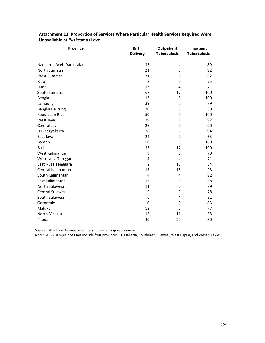| <b>Province</b>          | <b>Birth</b>    | <b>Outpatient</b>   | Inpatient           |
|--------------------------|-----------------|---------------------|---------------------|
|                          | <b>Delivery</b> | <b>Tuberculosis</b> | <b>Tuberculosis</b> |
|                          |                 |                     |                     |
| Nanggroe Aceh Darussalam | 35              | 4                   | 89                  |
| North Sumatra            | 21              | 8                   | 92                  |
| West Sumatra             | 31              | 0                   | 92                  |
| Riau                     | 8               | 0                   | 75                  |
| Jambi                    | 13              | 4                   | 71                  |
| South Sumatra            | 67              | 17                  | 100                 |
| Bengkulu                 | 13              | 8                   | 100                 |
| Lampung                  | 39              | 6                   | 89                  |
| Bangka Belitung          | 20              | $\mathbf 0$         | 80                  |
| Kepulauan Riau           | 50              | 0                   | 100                 |
| West Java                | 29              | $\mathbf 0$         | 92                  |
| Central Java             | 26              | 0                   | 90                  |
| D.I. Yogyakarta          | 28              | 6                   | 94                  |
| East Java                | 24              | 0                   | 63                  |
| Banten                   | 50              | $\Omega$            | 100                 |
| Bali                     | 33              | 17                  | 100                 |
| West Kalimantan          | 9               | 0                   | 70                  |
| West Nusa Tenggara       | 4               | 4                   | 71                  |
| East Nusa Tenggara       | $\overline{2}$  | 16                  | 84                  |
| Central Kalimantan       | 17              | 13                  | 93                  |
| South Kalimantan         | $\overline{4}$  | 4                   | 92                  |
| East Kalimantan          | 13              | 0                   | 88                  |
| North Sulawesi           | 11              | 0                   | 89                  |
| <b>Central Sulawesi</b>  | 9               | 9                   | 78                  |
| South Sulawesi           | 6               | 4                   | 81                  |
| Gorontalo                | 0               | 0                   | 83                  |
| Maluku                   | 13              | 6                   | 77                  |
| North Maluku             | 16              | 11                  | 68                  |
| Papua                    | 40              | 20                  | 80                  |

**Attachment 12: Proportion of Services Where Particular Health Services Required Were Unavailable at** *Puskesmas* **Level**

*Source*: GDS‐2, *Puskesmas* secondary documents questionnaire.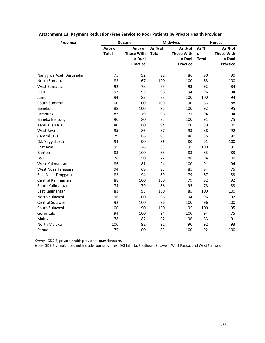| <b>Province</b>          |              | <b>Doctors</b>     |              | <b>Midwives</b>    |              | <b>Nurses</b>      |
|--------------------------|--------------|--------------------|--------------|--------------------|--------------|--------------------|
|                          | As % of      | As % of            | As % of      | As % of            | As%          | As % of            |
|                          | <b>Total</b> | <b>Those With</b>  | <b>Total</b> | <b>Those With</b>  | of           | <b>Those With</b>  |
|                          |              | a Dual<br>Practice |              | a Dual<br>Practice | <b>Total</b> | a Dual<br>Practice |
|                          |              |                    |              |                    |              |                    |
| Nanggroe Aceh Darussalam | 75           | 92                 | 92           | 86                 | 90           | 90                 |
| North Sumatra            | 83           | 67                 | 100          | 100                | 83           | 100                |
| West Sumatra             | 92           | 78                 | 83           | 93                 | 92           | 84                 |
| Riau                     | 92           | 93                 | 96           | 94                 | 96           | 94                 |
| Jambi                    | 94           | 82                 | 83           | 100                | 100          | 94                 |
| South Sumatra            | 100          | 100                | 100          | 90                 | 83           | 88                 |
| Bengkulu                 | 88           | 100                | 96           | 100                | 92           | 95                 |
| Lampung                  | 83           | 79                 | 96           | 71                 | 94           | 94                 |
| Bangka Belitung          | 90           | 80                 | 85           | 100                | 91           | 75                 |
| Kepulauan Riau           | 80           | 80                 | 94           | 100                | 89           | 100                |
| West Java                | 95           | 86                 | 87           | 93                 | 88           | 92                 |
| Central Java             | 79           | 86                 | 93           | 86                 | 85           | 90                 |
| D.I. Yogyakarta          | 94           | 90                 | 86           | 80                 | 91           | 100                |
| East Java                | 95           | 76                 | 89           | 95                 | 100          | 91                 |
| Banten                   | 83           | 100                | 83           | 83                 | 83           | 83                 |
| Bali                     | 78           | 50                 | 72           | 86                 | 94           | 100                |
| West Kalimantan          | 86           | 81                 | 94           | 100                | 91           | 94                 |
| West Nusa Tenggara       | 94           | 69                 | 93           | 85                 | 94           | 75                 |
| East Nusa Tenggara       | 83           | 94                 | 89           | 79                 | 87           | 83                 |
| Central Kalimantan       | 88           | 100                | 100          | 79                 | 92           | 92                 |
| South Kalimantan         | 74           | 79                 | 86           | 95                 | 78           | 83                 |
| East Kalimantan          | 83           | 93                 | 100          | 85                 | 100          | 100                |
| North Sulawesi           | 96           | 100                | 96           | 94                 | 96           | 92                 |
| Central Sulawesi         | 92           | 100                | 96           | 100                | 96           | 100                |
| South Sulawesi           | 100          | 90                 | 100          | 95                 | 100          | 95                 |
| Gorontalo                | 94           | 100                | 94           | 100                | 94           | 75                 |
| Maluku                   | 78           | 82                 | 92           | 96                 | 83           | 91                 |
| North Maluku             | 100          | 92                 | 92           | 90                 | 92           | 93                 |
| Papua                    | 75           | 100                | 83           | 100                | 92           | 100                |

## **Attachment 13: Payment Reduction/Free Service to Poor Patients by Private Health Provider**

*Source*: GDS‐2, private health providers' questionnaire.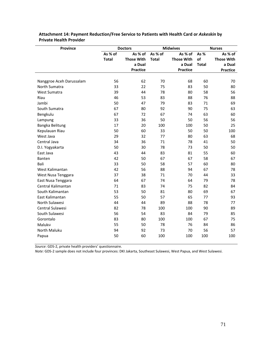| Province                 |              | <b>Doctors</b>    |              | <b>Midwives</b>   |              | <b>Nurses</b>     |
|--------------------------|--------------|-------------------|--------------|-------------------|--------------|-------------------|
|                          | As % of      | As % of           | As % of      | As % of           | As %         | As % of           |
|                          | <b>Total</b> | <b>Those With</b> | <b>Total</b> | <b>Those With</b> | of           | <b>Those With</b> |
|                          |              | a Dual            |              | a Dual            | <b>Total</b> | a Dual            |
|                          |              | Practice          |              | Practice          |              | Practice          |
|                          |              |                   |              |                   |              |                   |
| Nanggroe Aceh Darussalam | 56           | 62                | 70           | 68                | 60           | 70                |
| North Sumatra            | 33           | 22                | 75           | 83                | 50           | 80                |
| West Sumatra             | 39           | 44                | 78           | 80                | 58           | 56                |
| Riau                     | 46           | 53                | 83           | 88                | 76           | 88                |
| Jambi                    | 50           | 47                | 79           | 83                | 71           | 69                |
| South Sumatra            | 67           | 80                | 92           | 90                | 75           | 63                |
| Bengkulu                 | 67           | 72                | 67           | 74                | 63           | 60                |
| Lampung                  | 33           | 36                | 50           | 50                | 56           | 56                |
| Bangka Belitung          | 17           | 20                | 100          | 100               | 50           | 25                |
| Kepulauan Riau           | 50           | 60                | 33           | 50                | 50           | 100               |
| West Java                | 29           | 32                | 77           | 80                | 63           | 68                |
| Central Java             | 34           | 36                | 71           | 78                | 41           | 50                |
| D.I. Yogyakarta          | 50           | 30                | 78           | 73                | 50           | 50                |
| East Java                | 43           | 44                | 83           | 81                | 55           | 60                |
| Banten                   | 42           | 50                | 67           | 67                | 58           | 67                |
| Bali                     | 33           | 50                | 58           | 57                | 60           | 80                |
| West Kalimantan          | 42           | 56                | 88           | 94                | 67           | 78                |
| West Nusa Tenggara       | 37           | 38                | 71           | 70                | 44           | 33                |
| East Nusa Tenggara       | 64           | 67                | 74           | 64                | 79           | 78                |
| Central Kalimantan       | 71           | 83                | 74           | 75                | 82           | 84                |
| South Kalimantan         | 53           | 50                | 81           | 80                | 69           | 67                |
| East Kalimantan          | 55           | 50                | 57           | 65                | 77           | 93                |
| North Sulawesi           | 44           | 44                | 89           | 88                | 78           | 77                |
| Central Sulawesi         | 82           | 78                | 100          | 100               | 90           | 89                |
| South Sulawesi           | 56           | 54                | 83           | 84                | 79           | 85                |
| Gorontalo                | 83           | 80                | 100          | 100               | 67           | 75                |
| Maluku                   | 55           | 50                | 78           | 76                | 84           | 86                |
| <b>North Maluku</b>      | 94           | 92                | 73           | 70                | 56           | 57                |
| Papua                    | 50           | 60                | 100          | 100               | 100          | 100               |
|                          |              |                   |              |                   |              |                   |

**Attachment 14: Payment Reduction/Free Service to Patients with Health Card or** *Askeskin* **by Private Health Provider**

*Source*: GDS‐2, private health providers' questionnaire.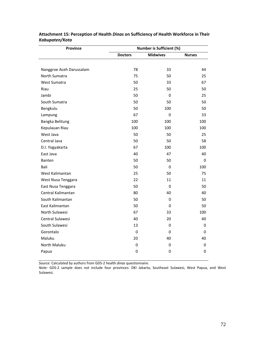| <b>Province</b>          | <b>Number is Sufficient (%)</b> |                 |               |  |  |
|--------------------------|---------------------------------|-----------------|---------------|--|--|
|                          | <b>Doctors</b>                  | <b>Midwives</b> | <b>Nurses</b> |  |  |
|                          |                                 |                 |               |  |  |
| Nanggroe Aceh Darussalam | 78                              | 33              | 44            |  |  |
| North Sumatra            | 75                              | 50              | 25            |  |  |
| West Sumatra             | 50                              | 33              | 67            |  |  |
| Riau                     | 25                              | 50              | 50            |  |  |
| Jambi                    | 50                              | 0               | 25            |  |  |
| South Sumatra            | 50                              | 50              | 50            |  |  |
| Bengkulu                 | 50                              | 100             | 50            |  |  |
| Lampung                  | 67                              | 0               | 33            |  |  |
| Bangka Belitung          | 100                             | 100             | 100           |  |  |
| Kepulauan Riau           | 100                             | 100             | 100           |  |  |
| West Java                | 50                              | 50              | 25            |  |  |
| Central Java             | 50                              | 50              | 58            |  |  |
| D.I. Yogyakarta          | 67                              | 100             | 100           |  |  |
| East Java                | 40                              | 47              | 40            |  |  |
| Banten                   | 50                              | 50              | 0             |  |  |
| Bali                     | 50                              | 0               | 100           |  |  |
| West Kalimantan          | 25                              | 50              | 75            |  |  |
| West Nusa Tenggara       | 22                              | 11              | 11            |  |  |
| East Nusa Tenggara       | 50                              | 0               | 50            |  |  |
| Central Kalimantan       | 80                              | 40              | 40            |  |  |
| South Kalimantan         | 50                              | 0               | 50            |  |  |
| East Kalimantan          | 50                              | 0               | 50            |  |  |
| North Sulawesi           | 67                              | 33              | 100           |  |  |
| Central Sulawesi         | 40                              | 20              | 40            |  |  |
| South Sulawesi           | 13                              | 0               | 0             |  |  |
| Gorontalo                | $\boldsymbol{0}$                | 0               | 0             |  |  |
| Maluku                   | 20                              | 40              | 40            |  |  |
| North Maluku             | $\mathbf 0$                     | 0               | 0             |  |  |
| Papua                    | $\pmb{0}$                       | 0               | 0             |  |  |

## **Attachment 15: Perception of Health** *Dinas* **on Sufficiency of Health Workforce in Their** *Kabupaten/Kota*

*Source*: Calculated by authors from GDS‐2 health *dinas* questionnaire.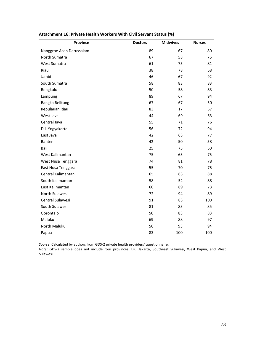| <b>Province</b>          | <b>Doctors</b> | <b>Midwives</b> | <b>Nurses</b> |
|--------------------------|----------------|-----------------|---------------|
| Nanggroe Aceh Darussalam | 89             | 67              | 80            |
| North Sumatra            | 67             | 58              | 75            |
| <b>West Sumatra</b>      | 61             | 75              | 81            |
| Riau                     | 38             | 78              | 68            |
| Jambi                    | 46             | 67              | 92            |
| South Sumatra            | 58             | 83              | 83            |
| Bengkulu                 | 50             | 58              | 83            |
| Lampung                  | 89             | 67              | 94            |
| Bangka Belitung          | 67             | 67              | 50            |
| Kepulauan Riau           | 83             | 17              | 67            |
| West Java                | 44             | 69              | 63            |
| Central Java             | 55             | 71              | 76            |
| D.I. Yogyakarta          | 56             | 72              | 94            |
| East Java                | 42             | 63              | 77            |
| Banten                   | 42             | 50              | 58            |
| Bali                     | 25             | 75              | 60            |
| West Kalimantan          | 75             | 63              | 75            |
| West Nusa Tenggara       | 74             | 81              | 78            |
| East Nusa Tenggara       | 55             | 70              | 75            |
| Central Kalimantan       | 65             | 63              | 88            |
| South Kalimantan         | 58             | 52              | 88            |
| East Kalimantan          | 60             | 89              | 73            |
| North Sulawesi           | 72             | 94              | 89            |
| Central Sulawesi         | 91             | 83              | 100           |
| South Sulawesi           | 81             | 83              | 85            |
| Gorontalo                | 50             | 83              | 83            |
| Maluku                   | 69             | 88              | 97            |
| North Maluku             | 50             | 93              | 94            |
| Papua                    | 83             | 100             | 100           |

# **Attachment 16: Private Health Workers With Civil Servant Status (%)**

*Source*: Calculated by authors from GDS‐2 private health providers' questionnaire.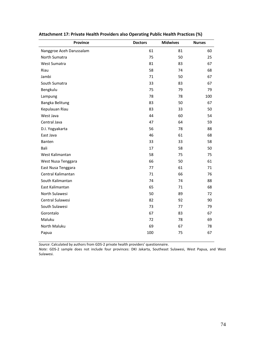| <b>Province</b>          | <b>Doctors</b> | <b>Midwives</b> | <b>Nurses</b> |
|--------------------------|----------------|-----------------|---------------|
| Nanggroe Aceh Darussalam | 61             | 81              | 60            |
| North Sumatra            | 75             | 50              | 25            |
| West Sumatra             | 81             | 83              | 67            |
| Riau                     | 58             | 74              | 68            |
| Jambi                    | 71             | 50              | 67            |
| South Sumatra            | 33             | 83              | 67            |
| Bengkulu                 | 75             | 79              | 79            |
| Lampung                  | 78             | 78              | 100           |
| Bangka Belitung          | 83             | 50              | 67            |
| Kepulauan Riau           | 83             | 33              | 50            |
| West Java                | 44             | 60              | 54            |
| Central Java             | 47             | 64              | 59            |
| D.I. Yogyakarta          | 56             | 78              | 88            |
| East Java                | 46             | 61              | 68            |
| Banten                   | 33             | 33              | 58            |
| Bali                     | 17             | 58              | 50            |
| West Kalimantan          | 58             | 75              | 75            |
| West Nusa Tenggara       | 66             | 50              | 61            |
| East Nusa Tenggara       | 77             | 61              | 71            |
| Central Kalimantan       | 71             | 66              | 76            |
| South Kalimantan         | 74             | 74              | 88            |
| East Kalimantan          | 65             | 71              | 68            |
| North Sulawesi           | 50             | 89              | 72            |
| Central Sulawesi         | 82             | 92              | 90            |
| South Sulawesi           | 73             | 77              | 79            |
| Gorontalo                | 67             | 83              | 67            |
| Maluku                   | 72             | 78              | 69            |
| North Maluku             | 69             | 67              | 78            |
| Papua                    | 100            | 75              | 67            |

## **Attachment 17: Private Health Providers also Operating Public Health Practices (%)**

*Source*: Calculated by authors from GDS‐2 private health providers' questionnaire.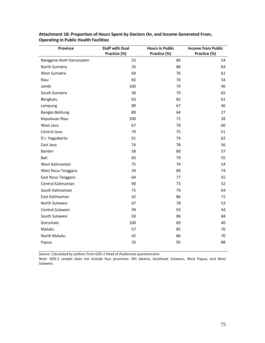| Province                 | <b>Staff with Dual</b> | <b>Hours in Public</b> | <b>Income from Public</b> |
|--------------------------|------------------------|------------------------|---------------------------|
|                          | Practice (%)           | Practice (%)           | Practice (%)              |
| Nanggroe Aceh Darussalam | 52                     | 86                     | 54                        |
| North Sumatra            | 33                     | 88                     | 64                        |
| West Sumatra             | 69                     | 76                     | 61                        |
| Riau                     | 83                     | 70                     | 54                        |
| Jambi                    | 100                    | 74                     | 46                        |
| South Sumatra            | 58                     | 79                     | 65                        |
| Bengkulu                 | 63                     | 83                     | 61                        |
| Lampung                  | 89                     | 67                     | 46                        |
| Bangka Belitung          | 80                     | 64                     | 27                        |
| Kepulauan Riau           | 100                    | 72                     | 28                        |
| West Java                | 67                     | 79                     | 60                        |
| Central Java             | 79                     | 75                     | 51                        |
| D.I. Yogyakarta          | 61                     | 74                     | 62                        |
| East Java                | 74                     | 78                     | 56                        |
| Banten                   | 58                     | 80                     | 57                        |
| Bali                     | 83                     | 79                     | 55                        |
| West Kalimantan          | 75                     | 74                     | 54                        |
| West Nusa Tenggara       | 29                     | 89                     | 74                        |
| East Nusa Tenggara       | 64                     | 77                     | 55                        |
| Central Kalimantan       | 90                     | 73                     | 52                        |
| South Kalimantan         | 75                     | 79                     | 64                        |
| East Kalimantan          | 42                     | 86                     | 72                        |
| North Sulawesi           | 67                     | 78                     | 53                        |
| Central Sulawesi         | 39                     | 93                     | 44                        |
| South Sulawesi           | 50                     | 86                     | 68                        |
| Gorontalo                | 100                    | 69                     | 40                        |
| Maluku                   | 57                     | 85                     | 70                        |
| North Maluku             | 42                     | 86                     | 70                        |
| Papua                    | 33                     | 95                     | 88                        |

**Attachment 18: Proportion of Hours Spent by Doctors On, and Income Generated From, Operating in Public Health Facilities**

*Source*: Calculated by authors from GDS‐2 Head of *Puskesmas* questionnaire.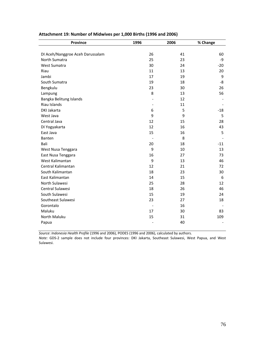| <b>Province</b>                  | 1996                     | 2006 | % Change |
|----------------------------------|--------------------------|------|----------|
|                                  |                          |      |          |
| DI Aceh/Nanggroe Aceh Darussalam | 26                       | 41   | 60       |
| North Sumatra                    | 25                       | 23   | -9       |
| West Sumatra                     | 30                       | 24   | $-20$    |
| Riau                             | 11                       | 13   | 20       |
| Jambi                            | 17                       | 19   | 9        |
| South Sumatra                    | 19                       | 18   | -8       |
| Bengkulu                         | 23                       | 30   | 26       |
| Lampung                          | 8                        | 13   | 56       |
| Bangka Belitung Islands          |                          | 12   |          |
| Riau Islands                     | $\overline{\phantom{a}}$ | 11   |          |
| DKI Jakarta                      | 6                        | 5    | $-18$    |
| West Java                        | 9                        | 9    | 5        |
| Central Java                     | 12                       | 15   | 28       |
| DI Yogyakarta                    | 12                       | 16   | 43       |
| East Java                        | 15                       | 16   | 5        |
| Banten                           | $\overline{\phantom{a}}$ | 8    |          |
| Bali                             | 20                       | 18   | $-11$    |
| West Nusa Tenggara               | 9                        | 10   | 13       |
| East Nusa Tenggara               | 16                       | 27   | 73       |
| West Kalimantan                  | 9                        | 13   | 46       |
| Central Kalimantan               | 12                       | 21   | 72       |
| South Kalimantan                 | 18                       | 23   | 30       |
| East Kalimantan                  | 14                       | 15   | 6        |
| North Sulawesi                   | 25                       | 28   | 12       |
| Central Sulawesi                 | 18                       | 26   | 46       |
| South Sulawesi                   | 15                       | 19   | 24       |
| Southeast Sulawesi               | 23                       | 27   | 18       |
| Gorontalo                        |                          | 16   |          |
| Maluku                           | 17                       | 30   | 83       |
| North Maluku                     | 15                       | 31   | 109      |
| Papua                            | $\overline{a}$           | 40   |          |

## **Attachment 19: Number of Midwives per 1,000 Births (1996 and 2006)**

*Source*: *Indonesia Health Profile* (1996 and 2006), PODES (1996 and 2006), calculated by authors.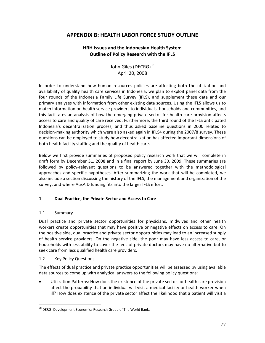# **APPENDIX B: HEALTH LABOR FORCE STUDY OUTLINE**

## **HRH Issues and the Indonesian Health System Outline of Policy Research with the IFLS**

John Giles (DECRG)<sup>38</sup> April 20, 2008

In order to understand how human resources policies are affecting both the utilization and availability of quality health care services in Indonesia, we plan to exploit panel data from the four rounds of the Indonesia Family Life Survey (IFLS), and supplement these data and our primary analyses with information from other existing data sources. Using the IFLS allows us to match information on health service providers to individuals, households and communities, and this facilitates an analysis of how the emerging private sector for health care provision affects access to care and quality of care received. Furthermore, the third round of the IFLS anticipated Indonesia's decentralization process, and thus asked baseline questions in 2000 related to decision‐making authority which were also asked again in IFLS4 during the 2007/8 survey. These questions can be employed to study how decentralization has affected important dimensions of both health facility staffing and the quality of health care.

Below we first provide summaries of proposed policy research work that we will complete in draft form by December 31, 2008 and in a final report by June 30, 2009. These summaries are followed by policy‐relevant questions to be answered together with the methodological approaches and specific hypotheses. After summarizing the work that will be completed, we also include a section discussing the history of the IFLS, the management and organization of the survey, and where AusAID funding fits into the larger IFLS effort.

## **1 Dual Practice, the Private Sector and Access to Care**

#### 1.1 Summary

 $\overline{a}$ 

Dual practice and private sector opportunities for physicians, midwives and other health workers create opportunities that may have positive or negative effects on access to care. On the positive side, dual practice and private sector opportunities may lead to an increased supply of health service providers. On the negative side, the poor may have less access to care, or households with less ability to cover the fees of private doctors may have no alternative but to seek care from less qualified health care providers.

#### 1.2 Key Policy Questions

The effects of dual practice and private practice opportunities will be assessed by using available data sources to come up with analytical answers to the following policy questions:

• Utilization Patterns: How does the existence of the private sector for health care provision affect the probability that an individual will visit a medical facility or health worker when ill? How does existence of the private sector affect the likelihood that a patient will visit a

<sup>&</sup>lt;sup>38</sup> DERG: Development Economics Research Group of The World Bank.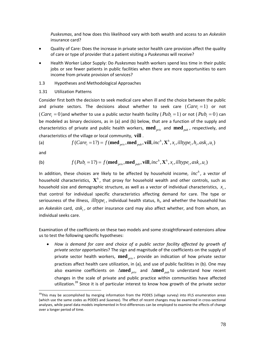*Puskesmas*, and how does this likelihood vary with both wealth and access to an *Askeskin* insurance card?

- Quality of Care: Does the increase in private sector health care provision affect the quality of care or type of provider that a patient visiting a *Puskesmas* will receive?
- Health Worker Labor Supply: Do *Puskesmas* health workers spend less time in their public jobs or see fewer patients in public facilities when there are more opportunities to earn income from private provision of services?
- 1.3 Hypotheses and Methodological Approaches

#### 1.31 Utilization Patterns

Consider first both the decision to seek medical care when ill and the choice between the public and private sectors. The decisions about whether to seek care  $(Care_i = 1)$  or not (  $Care<sub>i</sub> = 0$  )and whether to use a public sector health facility (  $Pub<sub>i</sub> = 1$  ) or not (  $Pub<sub>i</sub> = 0$  ) can be modeled as binary decisions, as in (a) and (b) below, that are a function of the supply and characteristics of private and public health workers, **med***priv* and **med***pub* , respectively, and characteristics of the village or local community, **vill** .

(a) 
$$
f(Care_i = 1?) = f(\text{med}_{priv}, \text{med}_{pub}, \text{vill}, inc^h, \mathbf{X}^h, x_i, illtype_i, h_i, ask_i, u_i)
$$

and

 $\overline{a}$ 

(b) 
$$
f(Pub_i = 1?) = f(\text{med}_{priv}, \text{med}_{pub}, \text{vill}, inc^h, \mathbf{X}^h, x_i, illtype_i, ask_i, u_i)
$$

In addition, these choices are likely to be affected by household income, *inc*<sup>h</sup>, a vector of household characteristics,  $\mathbf{X}^h$ , that proxy for household wealth and other controls, such as household size and demographic structure, as well as a vector of individual characteristics,  $x_i$ , that control for individual specific characteristics affecting demand for care. The type or seriousness of the illness, *illtype*,, individual health status,  $h_i$ , and whether the household has an *Askeskin* card,  $ask<sub>i</sub>$ , or other insurance card may also affect whether, and from whom, an individual seeks care.

Examination of the coefficients on these two models and some straightforward extensions allow us to test the following specific hypotheses:

• *How is demand for care and choice of a public sector facility affected by growth of private sector opportunities*? The sign and magnitude of the coefficients on the supply of private sector health workers, **med**<sub>priv</sub>, provide an indication of how private sector practices affect health care utilization, in (a), and use of public facilities in (b). One may also examine coefficients on Δ**med** *priv* and Δ**med** *pub* to understand how recent changes in the scale of private and public practice within communities have affected utilization.<sup>39</sup> Since it is of particular interest to know how growth of the private sector

<sup>&</sup>lt;sup>39</sup>This may be accomplished by merging information from the PODES (village survey) into IFLS enumeration areas (which use the same codes as PODES and *Susenas*). The effect of recent changes may be examined in cross‐sectional analyses, while panel data models implemented in first‐differences can be employed to examine the effects of change over a longer period of time.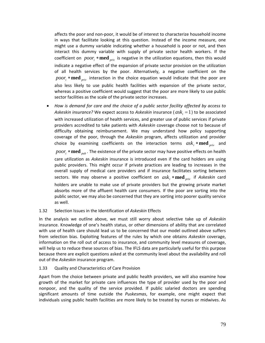affects the poor and non‐poor, it would be of interest to characterize household income in ways that facilitate looking at this question. Instead of the income measure, one might use a dummy variable indicating whether a household is poor or not, and then interact this dummy variable with supply of private sector health workers. If the coefficient on  $poor_i$  **\* med**  $_{priv}$  is negative in the utilization equations, then this would indicate a negative effect of the expansion of private sector provision on the utilization of all health services by the poor. Alternatively, a negative coefficient on the  $poor_i$  **\* med**  $prior_i$  interaction in the choice equation would indicate that the poor are also less likely to use public health facilities with expansion of the private sector, whereas a positive coefficient would suggest that the poor are more likely to use public sector facilities as the scale of the private sector increases.

• *How is demand for care and the choice of a public sector facility affected by access to Askeskin insurance?* We expect access to *Askeskin* insurance ( $ask_i = 1$ ) to be associated with increased utilization of health services, and greater use of public services if private providers accredited to take patients with *Askeskin* coverage choose not to because of difficulty obtaining reimbursement. We may understand how policy supporting coverage of the poor, through the *Askeskin* program, affects utilization and provider choice by examining coefficients on the interaction terms  $ask_i * \textbf{med}_{priv}$  and *poor*; \* **med** <sub>*pub*</sub>. The existence of the private sector may have positive effects on health care utilization as *Askeskin* insurance is introduced even if the card holders are using public providers. This might occur if private practices are leading to increases in the overall supply of medical care providers and if insurance facilitates sorting between sectors. We may observe a positive coefficient on  $ask_i * \textbf{med}_{priv}$  if Askeskin card holders are unable to make use of private providers but the growing private market absorbs more of the affluent health care consumers. If the poor are sorting into the public sector, we may also be concerned that they are sorting into poorer quality service as well.

#### 1.32 Selection Issues in the Identification of *Askeskin* Effects

In the analysis we outline above, we must still worry about selective take up of *Askeskin* insurance. Knowledge of one's health status, or other dimensions of ability that are correlated with use of health care should lead us to be concerned that our model outlined above suffers from selection bias. Exploiting features of the rules by which one obtains *Askeskin* coverage, information on the roll out of access to insurance, and community level measures of coverage, will help us to reduce these sources of bias. The IFLS data are particularly useful for this purpose because there are explicit questions asked at the community level about the availability and roll out of the *Askeskin* insurance program.

#### 1.33 Quality and Characteristics of Care Provision

Apart from the choice between private and public health providers, we will also examine how growth of the market for private care influences the type of provider used by the poor and nonpoor, and the quality of the service provided. If public salaried doctors are spending significant amounts of time outside the *Puskesmas*, for example, one might expect that individuals using public health facilities are more likely to be treated by nurses or midwives. As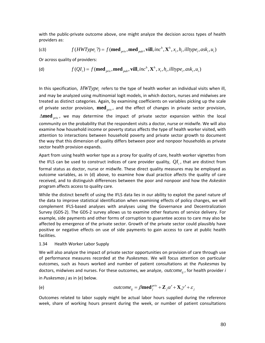with the public‐private outcome above, one might analyze the decision across types of health providers as:

(c3) 
$$
f(HWType_i ?) = f(\text{med}_{priv}, \text{med}_{pub}, \text{vill}, inc^h, \mathbf{X}^h, x_i, h_i, illtype_i, ask_i, u_i)
$$

Or across quality of providers:

(d) 
$$
f(QI_i) = f(\text{med}_{priv}, \text{med}_{pub}, \text{vill}, inc^h, \mathbf{X}^h, x_i, h_i, illtype_i, ask_i, u_i)
$$

In this specification,  $HWType_i$  refers to the type of health worker an individual visits when ill, and may be analyzed using multinomial logit models, in which doctors, nurses and midwives are treated as distinct categories. Again, by examining coefficients on variables picking up the scale of private sector provision, **med***priv* , and the effect of changes in private sector provision, Δ**med** *priv* , we may determine the impact of private sector expansion within the local community on the probability that the respondent visits a doctor, nurse or midwife. We will also examine how household income or poverty status affects the type of health worker visited, with attention to interactions between household poverty and private sector growth to document the way that this dimension of quality differs between poor and nonpoor households as private sector health provision expands.

Apart from using health worker type as a proxy for quality of care, health worker vignettes from the IFLS can be used to construct indices of care provider quality,  $QI_i$ , that are distinct from formal status as doctor, nurse or midwife. These direct quality measures may be employed as outcome variables, as in (d) above, to examine how dual practice affects the quality of care received, and to distinguish differences between the poor and nonpoor and how the *Askeskin* program affects access to quality care.

While the distinct benefit of using the IFLS data lies in our ability to exploit the panel nature of the data to improve statistical identification when examining effects of policy changes, we will complement IFLS‐based analyses with analyses using the Governance and Decentralization Survey (GDS‐2). The GDS‐2 survey allows us to examine other features of service delivery. For example, side payments and other forms of corruption to guarantee access to care may also be affected by emergence of the private sector. Growth of the private sector could plausibly have positive or negative effects on use of side payments to gain access to care at public health facilities.

#### 1.34 Health Worker Labor Supply

We will also analyze the impact of private sector opportunities on provision of care through use of performance measures recorded at the *Puskesmas*. We will focus attention on particular outcomes, such as hours worked and number of patient consultations at the *Puskesmas* by doctors, midwives and nurses. For these outcomes, we analyze, *outcome* <sub>ii</sub>, for health provider *i* in *Puskesmas j* as in (e) below.

(e) 
$$
outcome_{ij} = \beta \textbf{med}_j^{priv} + \mathbf{Z}_j \alpha' + \mathbf{X}_i \gamma' + \varepsilon_j
$$

Outcomes related to labor supply might be actual labor hours supplied during the reference week, share of working hours present during the week, or number of patient consultations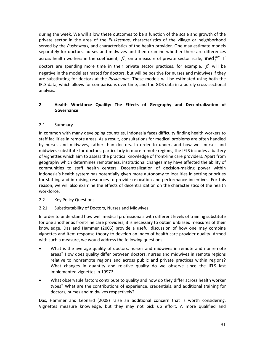during the week. We will allow these outcomes to be a function of the scale and growth of the private sector in the area of the *Puskesmas*, characteristics of the village or neighborhood served by the *Puskesmas*, and characteristics of the health provider. One may estimate models separately for doctors, nurses and midwives and then examine whether there are differences across health workers in the coefficient,  $\beta$ , on a measure of private sector scale,  $\text{med}_{i}^{priv}$ . If doctors are spending more time in their private sector practices, for example,  $\beta$  will be negative in the model estimated for doctors, but will be positive for nurses and midwives if they are substituting for doctors at the *Puskesmas*. These models will be estimated using both the IFLS data, which allows for comparisons over time, and the GDS data in a purely cross‐sectional analysis.

## **2 Health Workforce Quality: The Effects of Geography and Decentralization of Governance**

### 2.1 Summary

In common with many developing countries, Indonesia faces difficulty finding health workers to staff facilities in remote areas. As a result, consultations for medical problems are often handled by nurses and midwives, rather than doctors. In order to understand how well nurses and midwives substitute for doctors, particularly in more remote regions, the IFLS includes a battery of vignettes which aim to assess the practical knowledge of front‐line care providers. Apart from geography which determines remoteness, institutional changes may have affected the ability of communities to staff health centers. Decentralization of decision‐making power within Indonesia's health system has potentially given more autonomy to localities in setting priorities for staffing and in raising resources to provide relocation and performance incentives. For this reason, we will also examine the effects of decentralization on the characteristics of the health workforce.

#### 2.2 Key Policy Questions

## 2.21 Substitutability of Doctors, Nurses and Midwives

In order to understand how well medical professionals with different levels of training substitute for one another as front‐line care providers, it is necessary to obtain unbiased measures of their knowledge. Das and Hammer (2005) provide a useful discussion of how one may combine vignettes and item response theory to develop an index of health care provider quality. Armed with such a measure, we would address the following questions:

- What is the average quality of doctors, nurses and midwives in remote and nonremote areas? How does quality differ between doctors, nurses and midwives in remote regions relative to nonremote regions and across public and private practices within regions? What changes in quantity and relative quality do we observe since the IFLS last implemented vignettes in 1997?
- What observable factors contribute to quality and how do they differ across health worker types? What are the contributions of experience, credentials, and additional training for doctors, nurses and midwives respectively?

Das, Hammer and Leonard (2008) raise an additional concern that is worth considering. Vignettes measure knowledge, but they may not pick up effort. A more qualified and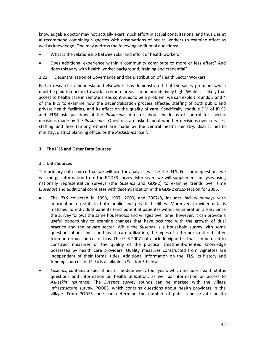knowledgable doctor may not actually exert much effort in actual consultations, and thus Das et al recommend combining vignettes with observations of health workers to examine effort as well as knowledge. One may address the following additional questions:

- What is the relationship between skill and effort of health workers?
- Does additional experience within a community contribute to more or less effort? And does this vary with health worker background, training and credential?
- 2.22 Decentralization of Governance and the Distribution of Health Sector Workers.

Earlier research in Indonesia and elsewhere has demonstrated that the salary premium which must be paid to doctors to work in remote areas can be prohibitively high. While it is likely that access to health care in remote areas continues to be a problem, we can exploit rounds 3 and 4 of the IFLS to examine how the decentralization process affected staffing of both public and private health facilities, and its affect on the quality of care. Specifically, module DM of IFLS3 and IFLS4 ask questions of the *Puskesmas* director about the locus of control for specific decisions made by the *Puskesmas*. Questions are asked about whether decisions over services, staffing and fees (among others) are made by the central health ministry, district health ministry, district planning office, or the *Puskesmas* itself.

### **3 The IFLS and Other Data Sources**

#### 3.1 Data Sources

The primary data source that we will use for analyses will be the IFLS. For some questions we will merge information from the PODES survey. Moreover, we will supplement analyses using nationally representative surveys (the *Susenas* and GDS‐2) to examine trends over time (*Susenas*) and additional correlates with decentralization in the GDS‐2 cross‐section for 2006.

- The *IFLS* collected in 1993, 1997, 2000, and 2007/8, includes facility surveys with information on staff in both public and private facilities. Moreover, provider data is matched to individual patients (and potential patients) within enumeration areas. Since the survey follows the same households and villages over time, however, it can provide a useful opportunity to examine changes that have occurred with the growth of dual practice and the private sector. While the *Susenas* is a household survey with some questions about illness and health care utilization, the types of self reports utilized suffer from notorious sources of bias. The IFLS 2007 data include vignettes that can be used to construct measures of the quality of the practical treatment‐oriented knowledge possessed by health care providers. Quality measures constructed from vignettes are independent of their formal titles. Additional information on the IFLS, its history and funding sources for IFLS4 is available in Section 5 below.
- *Susenas*, contains a special health module every four years which includes health status questions and information on health utilization, as well as information on access to *Askeskin* insurance. The *Susenas* survey rounds can be merged with the village infrastructure survey, PODES, which contains questions about health providers in the village. From PODES, one can determine the number of public and private health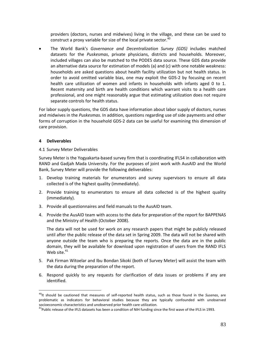providers (doctors, nurses and midwives) living in the village, and these can be used to construct a proxy variable for size of the local private sector.<sup>40</sup>

• The World Bank's *Governance and Decentralization Survey (GDS)* includes matched datasets for the *Puskesmas*, private physicians, districts and households. Moreover, included villages can also be matched to the PODES data source. These GDS data provide an alternative data source for estimation of models (a) and (c) with one notable weakness: households are asked questions about health facility utilization but not health status. In order to avoid omitted variable bias, one may exploit the GDS‐2 by focusing on recent health care utilization of women and infants in households with infants aged 0 to 1. Recent maternity and birth are health conditions which warrant visits to a health care professional, and one might reasonably argue that estimating utilization does not require separate controls for health status.

For labor supply questions, the GDS data have information about labor supply of doctors, nurses and midwives in the *Puskesmas*. In addition, questions regarding use of side payments and other forms of corruption in the household GDS‐2 data can be useful for examining this dimension of care provision.

#### **4 Deliverables**

 $\overline{a}$ 

#### 4.1 Survey Meter Deliverables

Survey Meter is the Yogyakarta‐based survey firm that is coordinating IFLS4 in collaboration with RAND and Gadjah Mada University. For the purposes of joint work with AusAID and the World Bank, Survey Meter will provide the following deliverables:

- 1. Develop training materials for enumerators and survey supervisors to ensure all data collected is of the highest quality (immediately).
- 2. Provide training to enumerators to ensure all data collected is of the highest quality (immediately).
- 3. Provide all questionnaires and field manuals to the AusAID team.
- 4. Provide the AusAID team with access to the data for preparation of the report for BAPPENAS and the Ministry of Health (October 2008).

The data will not be used for work on any research papers that might be publicly released until after the public release of the data set in Spring 2009. The data will not be shared with anyone outside the team who is preparing the reports. Once the data are in the public domain, they will be available for download upon registration of users from the RAND IFLS Web site. $41$ 

- 5. Pak Firman Witoelar and Ibu Bondan Sikoki (both of Survey Meter) will assist the team with the data during the preparation of the report.
- 6. Respond quickly to any requests for clarification of data issues or problems if any are identified.

<sup>40</sup>It should be cautioned that measures of self‐reported health status, such as those found in the *Susenas*, are problematic as indicators for behavioral studies because they are typically confounded with unobserved<br>socioeconomic characteristics and unobserved prior health care utilization.

<sup>&</sup>lt;sup>41</sup>Public release of the IFLS datasets has been a condition of NIH funding since the first wave of the IFLS in 1993.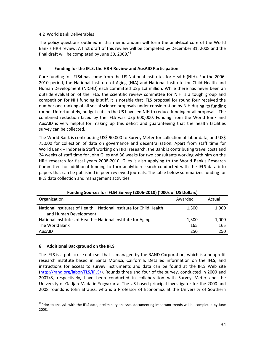#### 4.2 World Bank Deliverables

The policy questions outlined in this memorandum will form the analytical core of the World Bank's HRH review. A first draft of this review will be completed by December 31, 2008 and the final draft will be completed by June 30, 2009. $42$ 

## **5 Funding for the IFLS, the HRH Review and AusAID Participation**

Core funding for IFLS4 has come from the US National Institutes for Health (NIH). For the 2006‐ 2010 period, the National Institute of Aging (NIA) and National Institute for Child Health and Human Development (NICHD) each committed US\$ 1.3 million. While there has never been an outside evaluation of the IFLS, the scientific review committee for NIH is a tough group and competition for NIH funding is stiff. It is notable that IFLS proposal for round four received the number one ranking of all social science proposals under consideration by NIH during its funding round. Unfortunately, budget cuts in the US have led NIH to reduce funding or all proposals. The combined reduction faced by the IFLS was US\$ 600,000. Funding from the World Bank and AusAID is very helpful for making up this deficit and guaranteeing that the health facilities survey can be collected.

The World Bank is contributing US\$ 90,000 to Survey Meter for collection of labor data, and US\$ 75,000 for collection of data on governance and decentralization. Apart from staff time for World Bank – Indonesia Staff working on HRH research, the Bank is contributing travel costs and 24 weeks of staff time for John Giles and 36 weeks for two consultants working with him on the HRH research for fiscal years 2008‐2010. Giles is also applying to the World Bank's Research Committee for additional funding to turn analytic research conducted with the IFLS data into papers that can be published in peer‐reviewed journals. The table below summarizes funding for IFLS data collection and management activities.

| Funding Sources for IFLS4 Survey (2006-2010) ( 000s of US Dollars)                           |         |        |  |  |
|----------------------------------------------------------------------------------------------|---------|--------|--|--|
| Organization                                                                                 | Awarded | Actual |  |  |
| National Institutes of Health - National Institute for Child Health<br>and Human Development | 1,300   | 1,000  |  |  |
| National Institutes of Health - National Institute for Aging                                 | 1,300   | 1,000  |  |  |
| The World Bank                                                                               | 165     | 165    |  |  |
| AusAID                                                                                       | 250     | 250    |  |  |

## **Funding Sources for IFLS4 Survey (2006‐2010) ('000s of US Dollars)**

## **6 Additional Background on the IFLS**

 $\overline{a}$ 

The IFLS is a public‐use data set that is managed by the RAND Corporation, which is a nonprofit research institute based in Santa Monica, California. Detailed information on the IFLS, and instructions for access to survey instruments and data can be found at the IFLS Web site (http://rand.org/labor/FLS/IFLS/). Rounds three and four of the survey, conducted in 2000 and 2007/8, respectively, have been conducted in collaboration with Survey Meter and the University of Gadjah Mada in Yogyakarta. The US‐based principal investigator for the 2000 and 2008 rounds is John Strauss, who is a Professor of Economics at the University of Southern

<sup>&</sup>lt;sup>42</sup>Prior to analysis with the IFLS data, preliminary analyses documenting important trends will be completed by June 2008.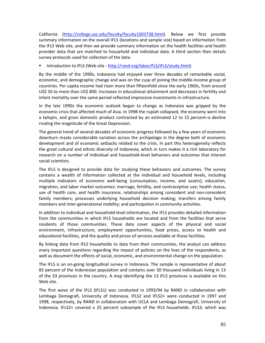California (http://college.usc.edu/faculty/faculty1003738.html). Below we first provide summary information on the overall IFLS (locations and sample size) based on information from the IFLS Web site, and then we provide summary information on the health facilities and health provider data that are matched to household and individual data. A third section then details survey protocols used for collection of the data.

■ Introduction to IFLS (Web site - http://rand.org/labor/FLS/IFLS/study.html)

By the middle of the 1990s, Indonesia had enjoyed over three decades of remarkable social, economic, and demographic change and was on the cusp of joining the middle‐income group of countries. Per capita income had risen more than fifteenfold since the early 1960s, from around US\$ 50 to more than US\$ 800. Increases in educational attainment and decreases in fertility and infant mortality over the same period reflected impressive investments in infrastructure.

In the late 1990s the economic outlook began to change as Indonesia was gripped by the economic crisis that affected much of Asia. In 1998 the rupiah collapsed, the economy went into a tailspin, and gross domestic product contracted by an estimated 12 to 15 percent–a decline rivaling the magnitude of the Great Depression.

The general trend of several decades of economic progress followed by a few years of economic downturn masks considerable variation across the archipelago in the degree both of economic development and of economic setbacks related to the crisis. In part this heterogeneity reflects the great cultural and ethnic diversity of Indonesia, which in turn makes it a rich laboratory for research on a number of individual and household‐level behaviors and outcomes that interest social scientists.

The IFLS is designed to provide data for studying these behaviors and outcomes. The survey contains a wealth of information collected at the individual and household levels, including multiple indicators of economic well-being (consumption, income, and assets); education, migration, and labor market outcomes; marriage, fertility, and contraceptive use; health status, use of health care, and health insurance; relationships among coresident and non‐coresident family members; processes underlying household decision making; transfers among family members and inter‐generational mobility; and participation in community activities.

In addition to individual and household‐level information, the IFLS provides detailed information from the communities in which IFLS households are located and from the facilities that serve residents of those communities. These data cover aspects of the physical and social environment, infrastructure, employment opportunities, food prices, access to health and educational facilities, and the quality and prices of services available at those facilities.

By linking data from IFLS households to data from their communities, the analyst can address many important questions regarding the impact of policies on the lives of the respondents, as well as document the effects of social, economic, and environmental change on the population.

The IFLS is an on‐going longitudinal survey in Indonesia. The sample is representative of about 83 percent of the Indonesian population and contains over 30 thousand individuals living in 13 of the 33 provinces in the country. A map identifying the 13 IFLS provinces is available on this Web site.

The first wave of the IFLS (IFLS1) was conducted in 1993/94 by RAND in collaboration with Lembaga Demografi, University of Indonesia. IFLS2 and IFLS2+ were conducted in 1997 and 1998, respectively, by RAND in collaboration with UCLA and Lembaga Demografi, University of Indonesia. IFLS2+ covered a 25 percent subsample of the IFLS households. IFLS3, which was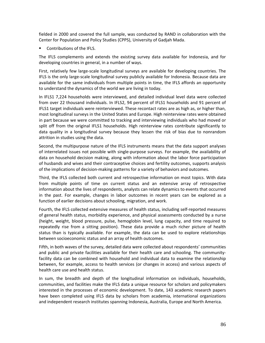fielded in 2000 and covered the full sample, was conducted by RAND in collaboration with the Center for Population and Policy Studies (CPPS), University of Gadjah Mada.

Contributions of the IFLS.

The IFLS complements and extends the existing survey data available for Indonesia, and for developing countries in general, in a number of ways.

First, relatively few large‐scale longitudinal surveys are available for developing countries. The IFLS is the only large‐scale longitudinal survey publicly available for Indonesia. Because data are available for the same individuals from multiple points in time, the IFLS affords an opportunity to understand the dynamics of the world we are living in today.

In IFLS1 7,224 households were interviewed, and detailed individual level data were collected from over 22 thousand individuals. In IFLS2, 94 percent of IFLS1 households and 91 percent of IFLS1 target individuals were reinterviewed. These recontact rates are as high as, or higher than, most longitudinal surveys in the United States and Europe. High reinterview rates were obtained in part because we were committed to tracking and interviewing individuals who had moved or split off from the original IFLS1 households. High reinterview rates contribute significantly to data quality in a longitudinal survey because they lessen the risk of bias due to nonrandom attrition in studies using the data.

Second, the multipurpose nature of the IFLS instruments means that the data support analyses of interrelated issues not possible with single‐purpose surveys. For example, the availability of data on household decision making, along with information about the labor force participation of husbands and wives and their contraceptive choices and fertility outcomes, supports analysis of the implications of decision-making patterns for a variety of behaviors and outcomes.

Third, the IFLS collected both current and retrospective information on most topics. With data from multiple points of time on current status and an extensive array of retrospective information about the lives of respondents, analysts can relate dynamics to events that occurred in the past. For example, changes in labor outcomes in recent years can be explored as a function of earlier decisions about schooling, migration, and work.

Fourth, the IFLS collected extensive measures of health status, including self‐reported measures of general health status, morbidity experience, and physical assessments conducted by a nurse (height, weight, blood pressure, pulse, hemoglobin level, lung capacity, and time required to repeatedly rise from a sitting position). These data provide a much richer picture of health status than is typically available. For example, the data can be used to explore relationships between socioeconomic status and an array of health outcomes.

Fifth, in both waves of the survey, detailed data were collected about respondents' communities and public and private facilities available for their health care and schooling. The communityfacility data can be combined with household and individual data to examine the relationship between, for example, access to health services (or changes in access) and various aspects of health care use and health status.

In sum, the breadth and depth of the longitudinal information on individuals, households, communities, and facilities make the IFLS data a unique resource for scholars and policymakers interested in the processes of economic development. To date, 143 academic research papers have been completed using IFLS data by scholars from academia, international organizations and independent research institutes spanning Indonesia, Australia, Europe and North America.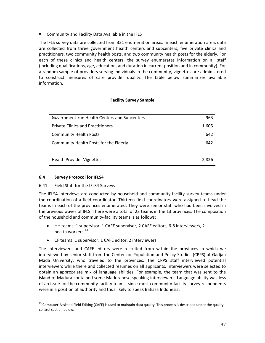**E** Community and Facility Data Available in the IFLS

The IFLS survey data are collected from 321 enumeration areas. In each enumeration area, data are collected from three government health centers and subcenters, five private clinics and practitioners, two community health posts, and two community health posts for the elderly. For each of these clinics and health centers, the survey enumerates information on all staff (including qualifications, age, education, and duration in current position and in community). For a random sample of providers serving individuals in the community, vignettes are administered to construct measures of care provider quality. The table below summarizes available information.

### **Facility Survey Sample**

| Government-run Health Centers and Subcenters | 963   |
|----------------------------------------------|-------|
| <b>Private Clinics and Practitioners</b>     | 1,605 |
| <b>Community Health Posts</b>                | 642   |
| Community Health Posts for the Elderly       | 642   |
|                                              |       |
| <b>Health Provider Vignettes</b>             | 2.826 |

#### **6.4 Survey Protocol for IFLS4**

#### 6.41 Field Staff for the IFLS4 Surveys

The IFLS4 interviews are conducted by household and community‐facility survey teams under the coordination of a field coordinator. Thirteen field coordinators were assigned to head the teams in each of the provinces enumerated. They were senior staff who had been involved in the previous waves of IFLS. There were a total of 23 teams in the 13 provinces. The composition of the household and community‐facility teams is as follows:

- HH teams: 1 supervisor, 1 CAFE supervisor, 2 CAFE editors, 6‐8 interviewers, 2 health workers.<sup>43</sup>
- CF teams: 1 supervisor, 1 CAFE editor, 2 interviewers.

The interviewers and CAFE editors were recruited from within the provinces in which we interviewed by senior staff from the Center for Population and Policy Studies (CPPS) at Gadjah Mada University, who traveled to the provinces. The CPPS staff interviewed potential interviewers while there and collected resumes on all applicants. Interviewers were selected to obtain an appropriate mix of language abilities. For example, the team that was sent to the island of Madura contained some Maduranese speaking interviewers. Language ability was less of an issue for the community‐facility teams, since most community‐facility survey respondents were in a position of authority and thus likely to speak Bahasa Indonesia.

 $\overline{a}$ 43 Computer-Assisted Field Editing (CAFÉ) is used to maintain data quality. This process is described under the quality control section below.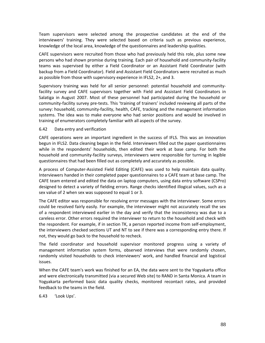Team supervisors were selected among the prospective candidates at the end of the interviewers' training. They were selected based on criteria such as previous experience, knowledge of the local area, knowledge of the questionnaires and leadership qualities.

CAFE supervisors were recruited from those who had previously held this role, plus some new persons who had shown promise during training. Each pair of household and community‐facility teams was supervised by either a Field Coordinator or an Assistant Field Coordinator (with backup from a Field Coordinator). Field and Assistant Field Coordinators were recruited as much as possible from those with supervisory experience in IFLS2, 2+, and 3.

Supervisory training was held for all senior personnel: potential household and community‐ facility survey and CAFE supervisors together with Field and Assistant Field Coordinators in Salatiga in August 2007. Most of these personnel had participated during the household or community‐facility survey pre‐tests. This 'training of trainers' included reviewing all parts of the survey: household, community‐facility, health, CAFE, tracking and the management information systems. The idea was to make everyone who had senior positions and would be involved in training of enumerators completely familiar with all aspects of the survey.

#### 6.42 Data entry and verification

CAFE operations were an important ingredient in the success of IFLS. This was an innovation begun in IFLS2. Data cleaning began in the field. Interviewers filled out the paper questionnaires while in the respondents' households, then edited their work at base camp. For both the household and community‐facility surveys, interviewers were responsible for turning in legible questionnaires that had been filled out as completely and accurately as possible.

A process of Computer‐Assisted Field Editing (CAFE) was used to help maintain data quality. Interviewers handed in their completed paper questionnaires to a CAFE team at base camp. The CAFE team entered and edited the data on laptop computers, using data entry software (CSPro) designed to detect a variety of fielding errors. Range checks identified illogical values, such as a sex value of 2 when sex was supposed to equal 1 or 3.

The CAFE editor was responsible for resolving error messages with the interviewer. Some errors could be resolved fairly easily. For example, the interviewer might not accurately recall the sex of a respondent interviewed earlier in the day and verify that the inconsistency was due to a careless error. Other errors required the interviewer to return to the household and check with the respondent. For example, if in section TK, a person reported income from self‐employment, the interviewers checked sections UT and NT to see if there was a corresponding entry there. If not, they would go back to the household to recheck.

The field coordinator and household supervisor monitored progress using a variety of management information system forms, observed interviews that were randomly chosen, randomly visited households to check interviewers' work, and handled financial and logistical issues.

When the CAFE team's work was finished for an EA, the data were sent to the Yogyakarta office and were electronically transmitted (via a secured Web site) to RAND in Santa Monica. A team in Yogyakarta performed basic data quality checks, monitored recontact rates, and provided feedback to the teams in the field.

6.43 'Look Ups'.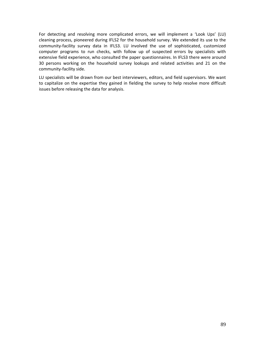For detecting and resolving more complicated errors, we will implement a 'Look Ups' (LU) cleaning process, pioneered during IFLS2 for the household survey. We extended its use to the community-facility survey data in IFLS3. LU involved the use of sophisticated, customized computer programs to run checks, with follow up of suspected errors by specialists with extensive field experience, who consulted the paper questionnaires. In IFLS3 there were around 30 persons working on the household survey lookups and related activities and 21 on the community-facility side.

LU specialists will be drawn from our best interviewers, editors, and field supervisors. We want to capitalize on the expertise they gained in fielding the survey to help resolve more difficult issues before releasing the data for analysis.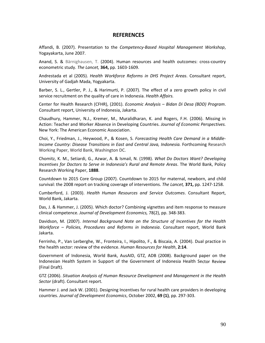## **REFERENCES**

Affandi, B. (2007). Presentation to the *Competency‐Based Hospital Management Workshop*, Yogayakarta, June 2007.

Anand, S. & Bärnighausen, T. (2004). Human resources and health outcomes: cross‐country econometric study. *The Lancet,* **364,** pp. 1603‐1609.

Andrestada et al (2005). *Health Workforce Reforms in DHS Project Areas*. Consultant report, University of Gadjah Mada, Yogyakarta.

Barber, S. L., Gertler, P. J., & Harimurti, P. (2007). The effect of a zero growth policy in civil service recruitment on the quality of care in Indonesia. *Health Affairs.*

Center for Health Research (CFHR), (2001). *Economic Analysis – Bidan Di Desa (BDD) Program*. Consultant report, University of Indonesia, Jakarta.

Chaudhury, Hammer, N.J., Kremer, M., Muralidharan, K. and Rogers, F.H. (2006). Missing in Action: Teacher and Worker Absence in Developing Countries. *Journal of Economic Perspectives.* New York: The American Economic Association.

Choi, Y., Friedman, J., Heywood, P., & Kosen, S. *Forecasting Health Care Demand in a Middle‐ Income Country: Disease Transitions in East and Central Java, Indonesia.* Forthcoming Research Working Paper, World Bank, Washington DC.

Chomitz, K. M., Setiardi, G., Azwar, A. & Ismail, N. (1998). *What Do Doctors Want? Developing Incentives for Doctors to Serve in Indonesia's Rural and Remote Areas*. The World Bank, Policy Research Working Paper, **1888**.

Countdown to 2015 Core Group (2007). Countdown to 2015 for maternal, newborn, and child survival: the 2008 report on tracking coverage of interventions. *The Lancet,* **371,** pp. 1247‐1258.

Cumberford, J. (2003). *Health Human Resources and Service Outcomes*. Consultant Report, World Bank, Jakarta.

Das, J. & Hammer, J. (2005). Which doctor? Combining vignettes and item response to measure clinical competence. *Journal of Development Economics,* 78(2), pp. 348‐383.

Davidson, M. (2007). *Internal Background Note on the Structure of Incentives for the Health Workforce – Policies, Procedures and Reforms in Indonesia*. Consultant report, World Bank Jakarta.

Ferrinho, P., Van Lerberghe, W., Fronteira, I., Hipolito, F., & Biscaia, A. (2004). Dual practice in the health sector: review of the evidence. *Human Resources for Health*, **2:14**.

Government of Indonesia, World Bank, AusAID, GTZ, ADB (2008). Background paper on the Indonesian Health System in Support of the Government of Indonesia Health Sector Review (Final Draft).

GTZ (2006). *Situation Analysis of Human Resource Development and Management in the Health Sector* (draft). Consultant report.

Hammer J. and Jack W. (2001). Designing Incentives for rural health care providers in developing countries. *Journal of Development Economics*, October 2002, **69 (1)**, pp. 297‐303.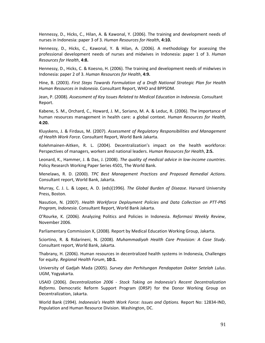Hennessy, D., Hicks, C., Hilan, A. & Kawonal, Y. (2006). The training and development needs of nurses in Indonesia: paper 3 of 3. *Human Resources for Health*, **4:10.**

Hennessy, D., Hicks, C., Kawonal, Y. & Hilan, A. (2006). A methodology for assessing the professional development needs of nurses and midwives in Indonesia: paper 1 of 3. *Human Resources for Health*, **4:8.**

Hennessy, D., Hicks, C. & Koesno, H. (2006). The training and development needs of midwives in Indonesia: paper 2 of 3. *Human Resources for Health*, **4:9.**

Hine, B. (2003). *First Steps Towards Formulation of a Draft National Strategic Plan for Health Human Resources in Indonesia*. Consultant Report, WHO and BPPSDM.

Jean, P. (2008). *Assessment of Key Issues Related to Medical Education in Indonesia*. Consultant Report.

Kabene, S. M., Orchard, C., Howard, J. M., Soriano, M. A. & Leduc, R. (2006). The importance of human resources management in health care: a global context. *Human Resources for Health,* **4:20.**

Kluyskens, J. & Firdaus, M. (2007). *Assessment of Regulatory Responsibilities and Management of Health Work Force*. Consultant Report, World Bank Jakarta.

Kolehmainen‐Aitken, R. L. (2004). Decentralization's impact on the health workforce: Perspectives of managers, workers and national leaders. *Human Resources for Health*, **2:5.**

Leonard, K., Hammer, J. & Das, J. (2008). *The quality of medical advice in low‐income countries*. Policy Research Working Paper Series 4501, The World Bank.

Menelaws, R. D. (2000). *TPC Best Management Practices and Proposed Remedial Actions.* Consultant report, World Bank, Jakarta.

Murray, C. J. L. & Lopez, A. D. (eds)(1996). *The Global Burden of Disease*. Harvard University Press, Boston.

Nasution, N. (2007). *Health Workforce Deployment Policies and Data Collection on PTT‐PNS Program, Indonesia*. Consultant Report, World Bank Jakarta.

O'Rourke, K. (2006). Analyzing Politics and Policies in Indonesia. *Reformasi Weekly Review*, November 2006.

Parliamentary Commission X, (2008). Report by Medical Education Working Group, Jakarta.

Sciortino, R. & Ridarineni, N. (2008). *Muhammadiyah Health Care Provision: A Case Study*. Consultant report, World Bank, Jakarta.

Thabrany, H. (2006). Human resources in decentralized health systems in Indonesia, Challenges for equity. *Regional Health Forum*, **10:1.**

University of Gadjah Mada (2005). *Survey dan Perhitungan Pendapatan Dokter Setelah Lulus*. UGM, Yogyakarta.

USAID (2006). *Decentralization 2006 ‐ Stock Taking on Indonesia's Recent Decentralization Reforms*. Democratic Reform Support Program (DRSP) for the Donor Working Group on Decentralization, Jakarta.

World Bank (1994). *Indonesia's Health Work Force: Issues and Options.* Report No: 12834‐IND, Population and Human Resource Division. Washington, DC.